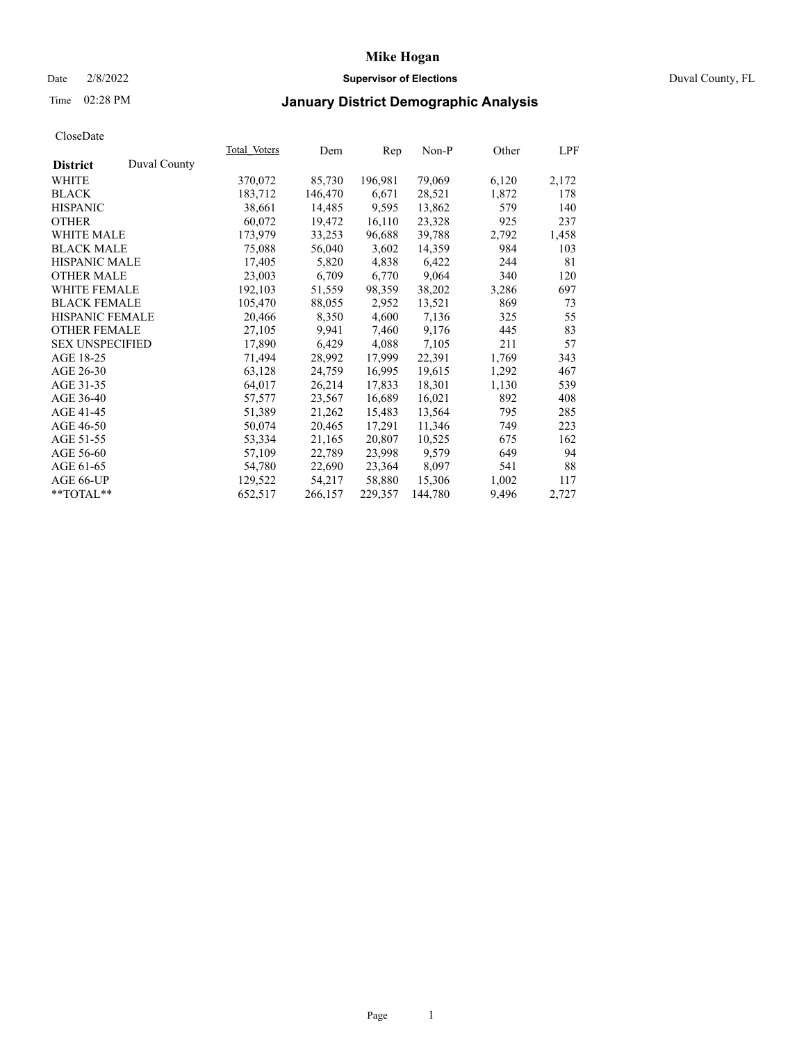### Date 2/8/2022 **Supervisor of Elections** Duval County, FL

## Time 02:28 PM **January District Demographic Analysis**

|                        |              | Total Voters | Dem     | Rep     | Non-P   | Other | LPF   |
|------------------------|--------------|--------------|---------|---------|---------|-------|-------|
| <b>District</b>        | Duval County |              |         |         |         |       |       |
| WHITE                  |              | 370,072      | 85,730  | 196,981 | 79,069  | 6,120 | 2,172 |
| <b>BLACK</b>           |              | 183,712      | 146,470 | 6,671   | 28,521  | 1,872 | 178   |
| <b>HISPANIC</b>        |              | 38,661       | 14,485  | 9,595   | 13,862  | 579   | 140   |
| <b>OTHER</b>           |              | 60,072       | 19,472  | 16,110  | 23,328  | 925   | 237   |
| WHITE MALE             |              | 173,979      | 33,253  | 96,688  | 39,788  | 2,792 | 1,458 |
| <b>BLACK MALE</b>      |              | 75,088       | 56,040  | 3,602   | 14,359  | 984   | 103   |
| <b>HISPANIC MALE</b>   |              | 17,405       | 5,820   | 4,838   | 6,422   | 244   | 81    |
| <b>OTHER MALE</b>      |              | 23,003       | 6,709   | 6,770   | 9,064   | 340   | 120   |
| <b>WHITE FEMALE</b>    |              | 192,103      | 51,559  | 98,359  | 38,202  | 3,286 | 697   |
| <b>BLACK FEMALE</b>    |              | 105,470      | 88,055  | 2,952   | 13,521  | 869   | 73    |
| <b>HISPANIC FEMALE</b> |              | 20,466       | 8,350   | 4,600   | 7,136   | 325   | 55    |
| <b>OTHER FEMALE</b>    |              | 27,105       | 9,941   | 7,460   | 9,176   | 445   | 83    |
| <b>SEX UNSPECIFIED</b> |              | 17,890       | 6,429   | 4,088   | 7,105   | 211   | 57    |
| AGE 18-25              |              | 71,494       | 28,992  | 17,999  | 22,391  | 1,769 | 343   |
| AGE 26-30              |              | 63,128       | 24,759  | 16,995  | 19,615  | 1,292 | 467   |
| AGE 31-35              |              | 64,017       | 26,214  | 17,833  | 18,301  | 1,130 | 539   |
| AGE 36-40              |              | 57,577       | 23,567  | 16,689  | 16,021  | 892   | 408   |
| AGE 41-45              |              | 51,389       | 21,262  | 15,483  | 13,564  | 795   | 285   |
| AGE 46-50              |              | 50,074       | 20,465  | 17,291  | 11,346  | 749   | 223   |
| AGE 51-55              |              | 53,334       | 21,165  | 20,807  | 10,525  | 675   | 162   |
| AGE 56-60              |              | 57,109       | 22,789  | 23,998  | 9,579   | 649   | 94    |
| AGE 61-65              |              | 54,780       | 22,690  | 23,364  | 8,097   | 541   | 88    |
| AGE 66-UP              |              | 129,522      | 54,217  | 58,880  | 15,306  | 1,002 | 117   |
| $*$ TOTAL $*$          |              | 652,517      | 266,157 | 229,357 | 144,780 | 9,496 | 2,727 |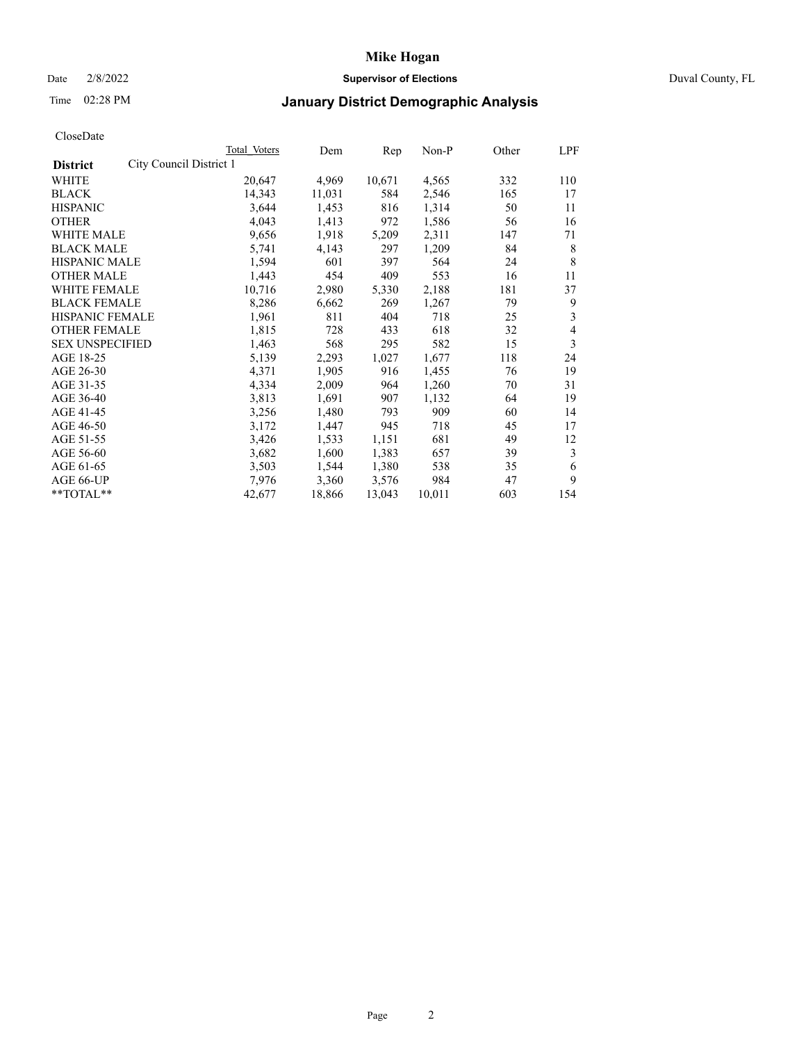### Date 2/8/2022 **Supervisor of Elections** Duval County, FL

## Time 02:28 PM **January District Demographic Analysis**

|                                            | <b>Total Voters</b> | Dem    | Rep    | Non-P  | Other | LPF |
|--------------------------------------------|---------------------|--------|--------|--------|-------|-----|
| City Council District 1<br><b>District</b> |                     |        |        |        |       |     |
| WHITE                                      | 20,647              | 4,969  | 10,671 | 4,565  | 332   | 110 |
| <b>BLACK</b>                               | 14,343              | 11,031 | 584    | 2,546  | 165   | 17  |
| <b>HISPANIC</b>                            | 3,644               | 1,453  | 816    | 1,314  | 50    | 11  |
| <b>OTHER</b>                               | 4,043               | 1,413  | 972    | 1,586  | 56    | 16  |
| WHITE MALE                                 | 9,656               | 1,918  | 5,209  | 2,311  | 147   | 71  |
| <b>BLACK MALE</b>                          | 5,741               | 4,143  | 297    | 1,209  | 84    | 8   |
| <b>HISPANIC MALE</b>                       | 1,594               | 601    | 397    | 564    | 24    | 8   |
| <b>OTHER MALE</b>                          | 1,443               | 454    | 409    | 553    | 16    | 11  |
| WHITE FEMALE                               | 10,716              | 2,980  | 5,330  | 2,188  | 181   | 37  |
| <b>BLACK FEMALE</b>                        | 8,286               | 6,662  | 269    | 1,267  | 79    | 9   |
| HISPANIC FEMALE                            | 1,961               | 811    | 404    | 718    | 25    | 3   |
| <b>OTHER FEMALE</b>                        | 1,815               | 728    | 433    | 618    | 32    | 4   |
| <b>SEX UNSPECIFIED</b>                     | 1,463               | 568    | 295    | 582    | 15    | 3   |
| AGE 18-25                                  | 5,139               | 2,293  | 1,027  | 1,677  | 118   | 24  |
| AGE 26-30                                  | 4,371               | 1,905  | 916    | 1,455  | 76    | 19  |
| AGE 31-35                                  | 4,334               | 2,009  | 964    | 1,260  | 70    | 31  |
| AGE 36-40                                  | 3,813               | 1,691  | 907    | 1,132  | 64    | 19  |
| AGE 41-45                                  | 3,256               | 1,480  | 793    | 909    | 60    | 14  |
| AGE 46-50                                  | 3,172               | 1,447  | 945    | 718    | 45    | 17  |
| AGE 51-55                                  | 3,426               | 1,533  | 1,151  | 681    | 49    | 12  |
| AGE 56-60                                  | 3,682               | 1,600  | 1,383  | 657    | 39    | 3   |
| AGE 61-65                                  | 3,503               | 1,544  | 1,380  | 538    | 35    | 6   |
| AGE 66-UP                                  | 7,976               | 3,360  | 3,576  | 984    | 47    | 9   |
| **TOTAL**                                  | 42,677              | 18,866 | 13,043 | 10,011 | 603   | 154 |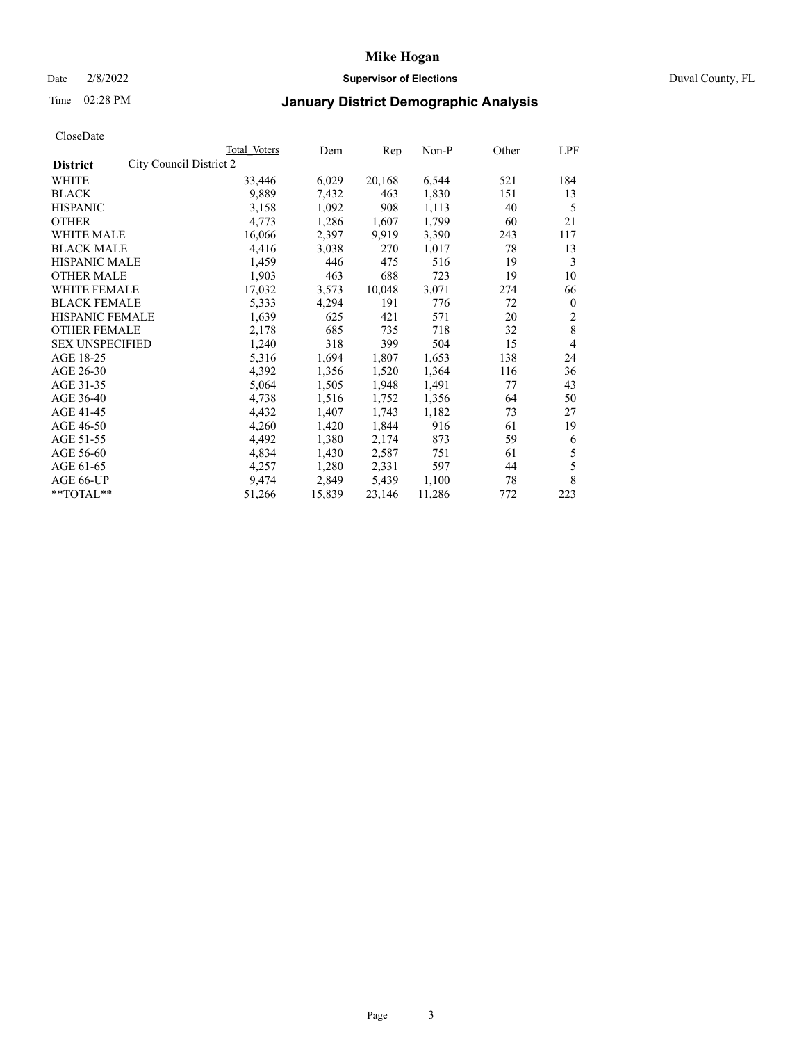### Date 2/8/2022 **Supervisor of Elections** Duval County, FL

## Time 02:28 PM **January District Demographic Analysis**

|                                            | Total Voters | Dem    | Rep    | Non-P  | Other | LPF          |
|--------------------------------------------|--------------|--------|--------|--------|-------|--------------|
| City Council District 2<br><b>District</b> |              |        |        |        |       |              |
| WHITE                                      | 33,446       | 6,029  | 20,168 | 6,544  | 521   | 184          |
| <b>BLACK</b>                               | 9,889        | 7,432  | 463    | 1,830  | 151   | 13           |
| <b>HISPANIC</b>                            | 3,158        | 1,092  | 908    | 1,113  | 40    | 5            |
| <b>OTHER</b>                               | 4,773        | 1,286  | 1,607  | 1,799  | 60    | 21           |
| WHITE MALE                                 | 16,066       | 2,397  | 9,919  | 3,390  | 243   | 117          |
| <b>BLACK MALE</b>                          | 4,416        | 3,038  | 270    | 1,017  | 78    | 13           |
| <b>HISPANIC MALE</b>                       | 1,459        | 446    | 475    | 516    | 19    | 3            |
| <b>OTHER MALE</b>                          | 1,903        | 463    | 688    | 723    | 19    | 10           |
| WHITE FEMALE                               | 17,032       | 3,573  | 10,048 | 3,071  | 274   | 66           |
| <b>BLACK FEMALE</b>                        | 5,333        | 4,294  | 191    | 776    | 72    | $\mathbf{0}$ |
| HISPANIC FEMALE                            | 1,639        | 625    | 421    | 571    | 20    | 2            |
| <b>OTHER FEMALE</b>                        | 2,178        | 685    | 735    | 718    | 32    | 8            |
| <b>SEX UNSPECIFIED</b>                     | 1,240        | 318    | 399    | 504    | 15    | 4            |
| AGE 18-25                                  | 5,316        | 1,694  | 1,807  | 1,653  | 138   | 24           |
| AGE 26-30                                  | 4,392        | 1,356  | 1,520  | 1,364  | 116   | 36           |
| AGE 31-35                                  | 5,064        | 1,505  | 1,948  | 1,491  | 77    | 43           |
| AGE 36-40                                  | 4,738        | 1,516  | 1,752  | 1,356  | 64    | 50           |
| AGE 41-45                                  | 4,432        | 1,407  | 1,743  | 1,182  | 73    | 27           |
| AGE 46-50                                  | 4,260        | 1,420  | 1,844  | 916    | 61    | 19           |
| AGE 51-55                                  | 4,492        | 1,380  | 2,174  | 873    | 59    | 6            |
| AGE 56-60                                  | 4,834        | 1,430  | 2,587  | 751    | 61    | 5            |
| AGE 61-65                                  | 4,257        | 1,280  | 2,331  | 597    | 44    | 5            |
| AGE 66-UP                                  | 9,474        | 2,849  | 5,439  | 1,100  | 78    | 8            |
| **TOTAL**                                  | 51,266       | 15,839 | 23,146 | 11,286 | 772   | 223          |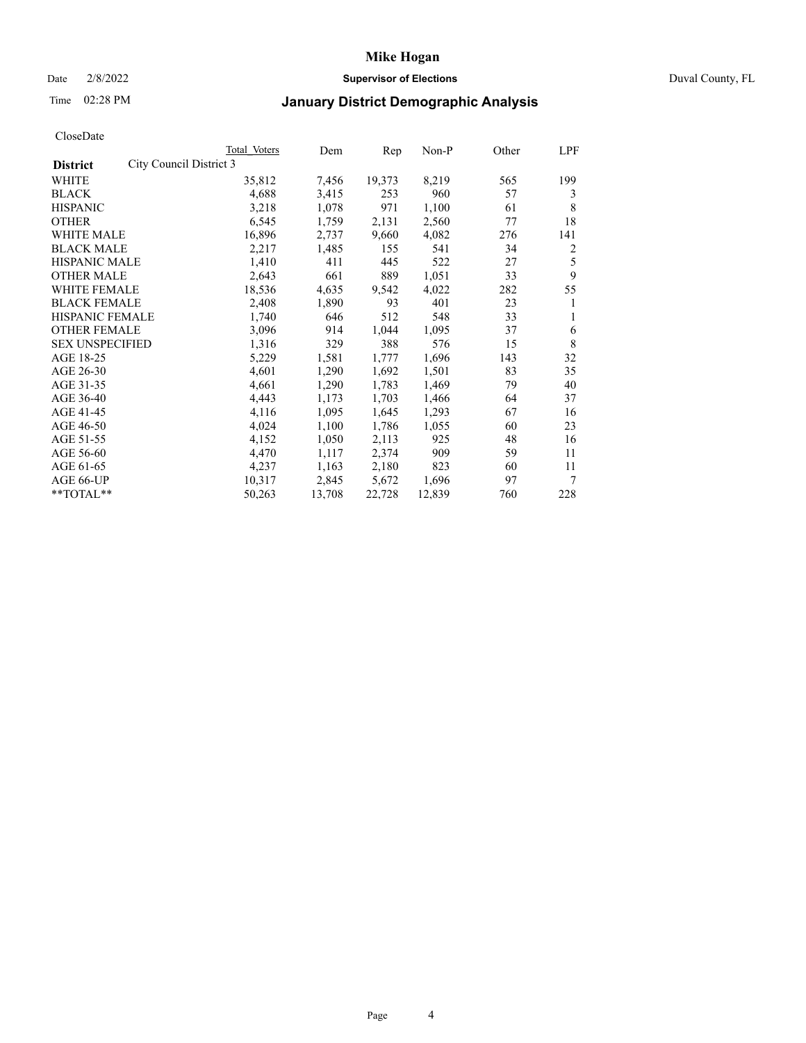### Date 2/8/2022 **Supervisor of Elections** Duval County, FL

## Time 02:28 PM **January District Demographic Analysis**

|                                            | Total Voters | Dem    | Rep    | $Non-P$ | Other | LPF |
|--------------------------------------------|--------------|--------|--------|---------|-------|-----|
| City Council District 3<br><b>District</b> |              |        |        |         |       |     |
| WHITE                                      | 35,812       | 7,456  | 19,373 | 8,219   | 565   | 199 |
| <b>BLACK</b>                               | 4,688        | 3,415  | 253    | 960     | 57    | 3   |
| <b>HISPANIC</b>                            | 3,218        | 1,078  | 971    | 1,100   | 61    | 8   |
| <b>OTHER</b>                               | 6,545        | 1,759  | 2,131  | 2,560   | 77    | 18  |
| WHITE MALE                                 | 16,896       | 2,737  | 9,660  | 4,082   | 276   | 141 |
| <b>BLACK MALE</b>                          | 2,217        | 1,485  | 155    | 541     | 34    | 2   |
| <b>HISPANIC MALE</b>                       | 1,410        | 411    | 445    | 522     | 27    | 5   |
| <b>OTHER MALE</b>                          | 2,643        | 661    | 889    | 1,051   | 33    | 9   |
| WHITE FEMALE                               | 18,536       | 4,635  | 9,542  | 4,022   | 282   | 55  |
| <b>BLACK FEMALE</b>                        | 2,408        | 1,890  | 93     | 401     | 23    | 1   |
| HISPANIC FEMALE                            | 1,740        | 646    | 512    | 548     | 33    | 1   |
| <b>OTHER FEMALE</b>                        | 3,096        | 914    | 1,044  | 1,095   | 37    | 6   |
| <b>SEX UNSPECIFIED</b>                     | 1,316        | 329    | 388    | 576     | 15    | 8   |
| AGE 18-25                                  | 5,229        | 1,581  | 1,777  | 1,696   | 143   | 32  |
| AGE 26-30                                  | 4,601        | 1,290  | 1,692  | 1,501   | 83    | 35  |
| AGE 31-35                                  | 4,661        | 1,290  | 1,783  | 1,469   | 79    | 40  |
| AGE 36-40                                  | 4,443        | 1,173  | 1,703  | 1,466   | 64    | 37  |
| AGE 41-45                                  | 4,116        | 1,095  | 1,645  | 1,293   | 67    | 16  |
| AGE 46-50                                  | 4,024        | 1,100  | 1,786  | 1,055   | 60    | 23  |
| AGE 51-55                                  | 4,152        | 1,050  | 2,113  | 925     | 48    | 16  |
| AGE 56-60                                  | 4,470        | 1,117  | 2,374  | 909     | 59    | 11  |
| AGE 61-65                                  | 4,237        | 1,163  | 2,180  | 823     | 60    | 11  |
| AGE 66-UP                                  | 10,317       | 2,845  | 5,672  | 1,696   | 97    | 7   |
| **TOTAL**                                  | 50,263       | 13,708 | 22,728 | 12,839  | 760   | 228 |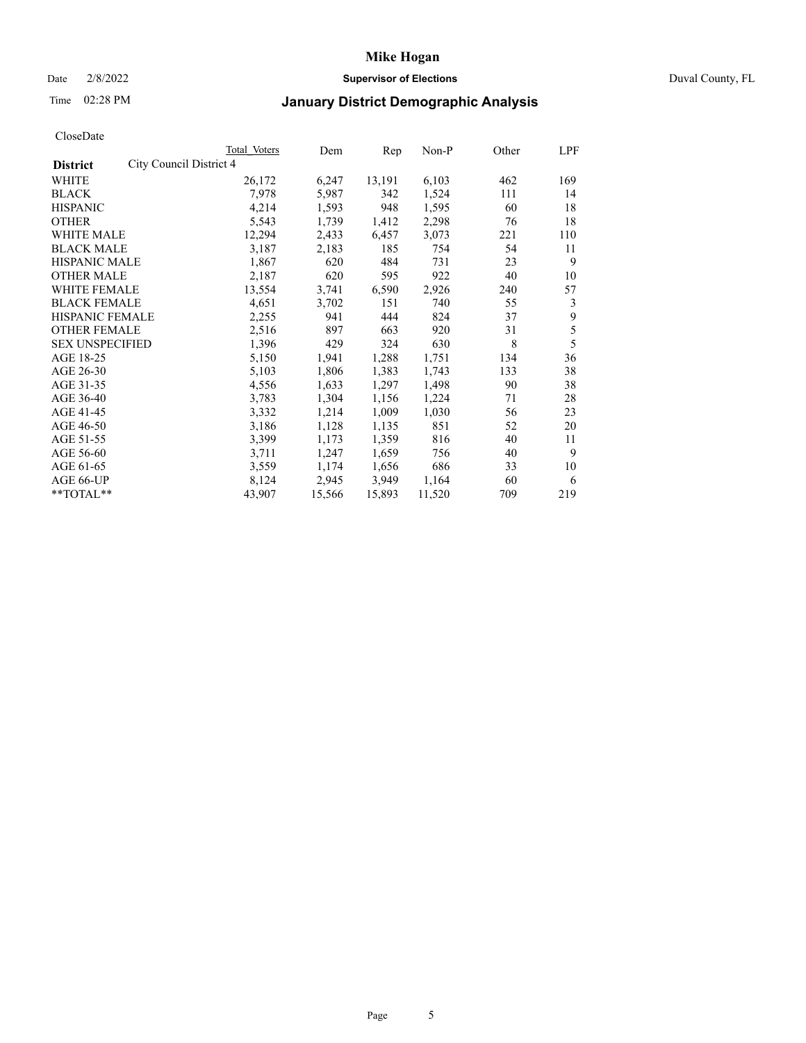### Date 2/8/2022 **Supervisor of Elections** Duval County, FL

## Time 02:28 PM **January District Demographic Analysis**

|                                            | Total Voters | Dem    | Rep    | Non-P  | Other | LPF |
|--------------------------------------------|--------------|--------|--------|--------|-------|-----|
| City Council District 4<br><b>District</b> |              |        |        |        |       |     |
| WHITE                                      | 26,172       | 6,247  | 13,191 | 6,103  | 462   | 169 |
| <b>BLACK</b>                               | 7,978        | 5,987  | 342    | 1,524  | 111   | 14  |
| <b>HISPANIC</b>                            | 4,214        | 1,593  | 948    | 1,595  | 60    | 18  |
| <b>OTHER</b>                               | 5,543        | 1,739  | 1,412  | 2,298  | 76    | 18  |
| WHITE MALE                                 | 12,294       | 2,433  | 6,457  | 3,073  | 221   | 110 |
| <b>BLACK MALE</b>                          | 3,187        | 2,183  | 185    | 754    | 54    | 11  |
| <b>HISPANIC MALE</b>                       | 1,867        | 620    | 484    | 731    | 23    | 9   |
| <b>OTHER MALE</b>                          | 2,187        | 620    | 595    | 922    | 40    | 10  |
| WHITE FEMALE                               | 13,554       | 3,741  | 6,590  | 2,926  | 240   | 57  |
| <b>BLACK FEMALE</b>                        | 4,651        | 3,702  | 151    | 740    | 55    | 3   |
| <b>HISPANIC FEMALE</b>                     | 2,255        | 941    | 444    | 824    | 37    | 9   |
| <b>OTHER FEMALE</b>                        | 2,516        | 897    | 663    | 920    | 31    | 5   |
| <b>SEX UNSPECIFIED</b>                     | 1,396        | 429    | 324    | 630    | 8     | 5   |
| AGE 18-25                                  | 5,150        | 1,941  | 1,288  | 1,751  | 134   | 36  |
| AGE 26-30                                  | 5,103        | 1,806  | 1,383  | 1,743  | 133   | 38  |
| AGE 31-35                                  | 4,556        | 1,633  | 1,297  | 1,498  | 90    | 38  |
| AGE 36-40                                  | 3,783        | 1,304  | 1,156  | 1,224  | 71    | 28  |
| AGE 41-45                                  | 3,332        | 1,214  | 1,009  | 1,030  | 56    | 23  |
| AGE 46-50                                  | 3,186        | 1,128  | 1,135  | 851    | 52    | 20  |
| AGE 51-55                                  | 3,399        | 1,173  | 1,359  | 816    | 40    | 11  |
| AGE 56-60                                  | 3,711        | 1,247  | 1,659  | 756    | 40    | 9   |
| AGE 61-65                                  | 3,559        | 1,174  | 1,656  | 686    | 33    | 10  |
| AGE 66-UP                                  | 8,124        | 2,945  | 3,949  | 1,164  | 60    | 6   |
| **TOTAL**                                  | 43,907       | 15,566 | 15,893 | 11,520 | 709   | 219 |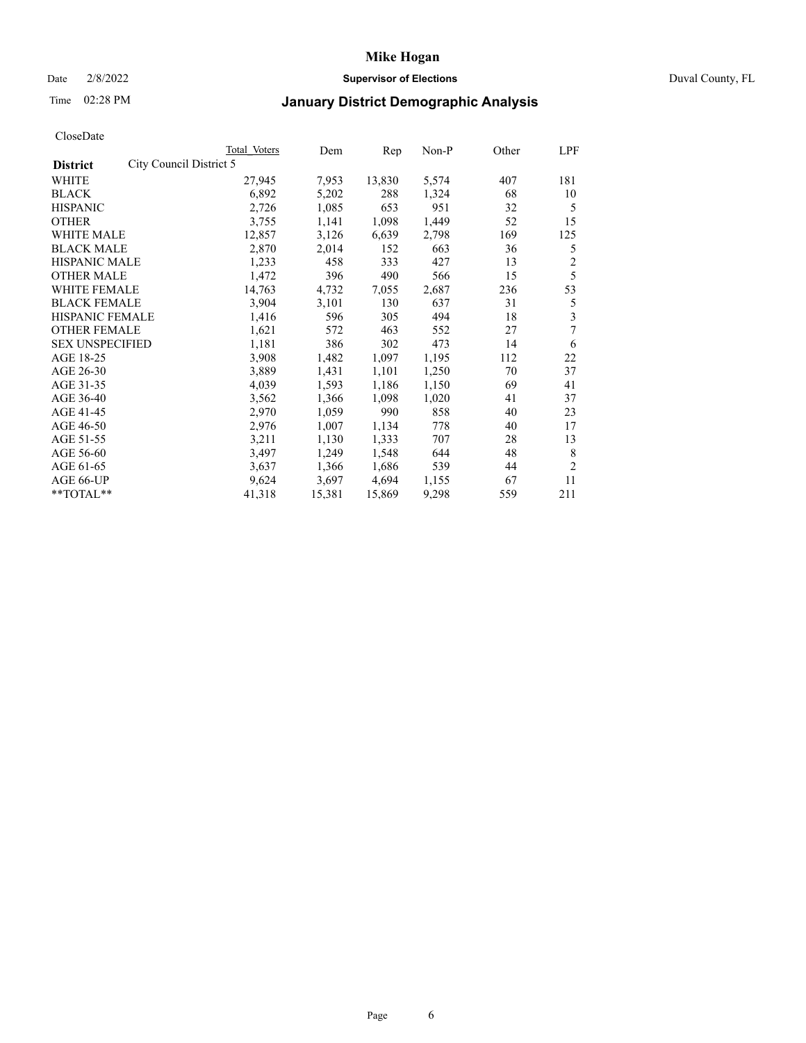### Date 2/8/2022 **Supervisor of Elections** Duval County, FL

## Time 02:28 PM **January District Demographic Analysis**

|                                            | Total Voters | Dem    | Rep    | Non-P | Other | LPF            |
|--------------------------------------------|--------------|--------|--------|-------|-------|----------------|
| City Council District 5<br><b>District</b> |              |        |        |       |       |                |
| WHITE                                      | 27,945       | 7,953  | 13,830 | 5,574 | 407   | 181            |
| <b>BLACK</b>                               | 6,892        | 5,202  | 288    | 1,324 | 68    | 10             |
| <b>HISPANIC</b>                            | 2,726        | 1,085  | 653    | 951   | 32    | 5              |
| <b>OTHER</b>                               | 3,755        | 1,141  | 1,098  | 1,449 | 52    | 15             |
| WHITE MALE                                 | 12,857       | 3,126  | 6,639  | 2,798 | 169   | 125            |
| <b>BLACK MALE</b>                          | 2,870        | 2,014  | 152    | 663   | 36    | 5              |
| <b>HISPANIC MALE</b>                       | 1,233        | 458    | 333    | 427   | 13    | $\overline{c}$ |
| <b>OTHER MALE</b>                          | 1,472        | 396    | 490    | 566   | 15    | 5              |
| WHITE FEMALE                               | 14,763       | 4,732  | 7,055  | 2,687 | 236   | 53             |
| <b>BLACK FEMALE</b>                        | 3,904        | 3,101  | 130    | 637   | 31    | 5              |
| HISPANIC FEMALE                            | 1,416        | 596    | 305    | 494   | 18    | 3              |
| <b>OTHER FEMALE</b>                        | 1,621        | 572    | 463    | 552   | 27    | 7              |
| <b>SEX UNSPECIFIED</b>                     | 1,181        | 386    | 302    | 473   | 14    | 6              |
| AGE 18-25                                  | 3,908        | 1,482  | 1,097  | 1,195 | 112   | 22             |
| AGE 26-30                                  | 3,889        | 1,431  | 1,101  | 1,250 | 70    | 37             |
| AGE 31-35                                  | 4,039        | 1,593  | 1,186  | 1,150 | 69    | 41             |
| AGE 36-40                                  | 3,562        | 1,366  | 1,098  | 1,020 | 41    | 37             |
| AGE 41-45                                  | 2,970        | 1,059  | 990    | 858   | 40    | 23             |
| AGE 46-50                                  | 2,976        | 1,007  | 1,134  | 778   | 40    | 17             |
| AGE 51-55                                  | 3,211        | 1,130  | 1,333  | 707   | 28    | 13             |
| AGE 56-60                                  | 3,497        | 1,249  | 1,548  | 644   | 48    | 8              |
| AGE 61-65                                  | 3,637        | 1,366  | 1,686  | 539   | 44    | $\overline{2}$ |
| AGE 66-UP                                  | 9,624        | 3,697  | 4,694  | 1,155 | 67    | 11             |
| **TOTAL**                                  | 41,318       | 15,381 | 15,869 | 9,298 | 559   | 211            |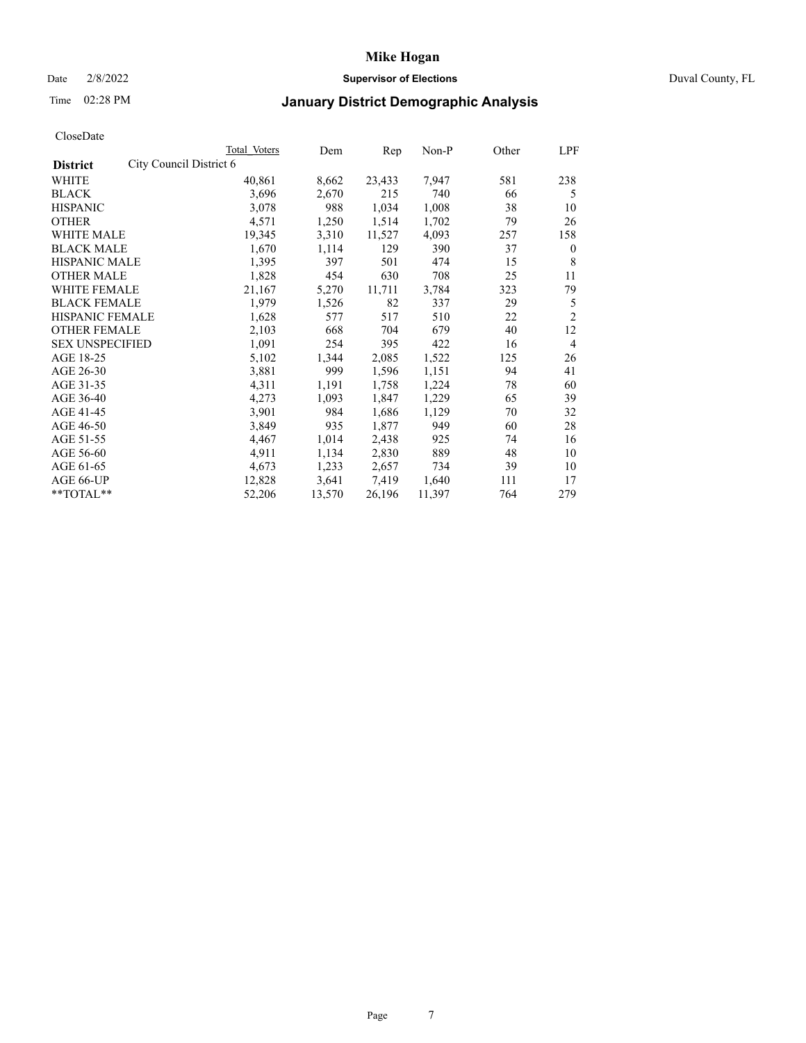#### Date 2/8/2022 **Supervisor of Elections** Duval County, FL

## Time 02:28 PM **January District Demographic Analysis**

| Total Voters | Dem                                                                                                                                        |        | Non-P  | Other | LPF            |
|--------------|--------------------------------------------------------------------------------------------------------------------------------------------|--------|--------|-------|----------------|
|              |                                                                                                                                            |        |        |       |                |
| 40,861       | 8,662                                                                                                                                      | 23,433 | 7,947  | 581   | 238            |
| 3,696        | 2,670                                                                                                                                      | 215    | 740    | 66    | 5              |
| 3,078        | 988                                                                                                                                        | 1,034  | 1,008  | 38    | 10             |
| 4,571        | 1,250                                                                                                                                      | 1,514  | 1,702  | 79    | 26             |
| 19,345       | 3,310                                                                                                                                      | 11,527 | 4,093  | 257   | 158            |
| 1,670        | 1,114                                                                                                                                      | 129    | 390    | 37    | $\mathbf{0}$   |
| 1,395        | 397                                                                                                                                        | 501    | 474    | 15    | 8              |
| 1,828        | 454                                                                                                                                        | 630    | 708    | 25    | 11             |
| 21,167       | 5,270                                                                                                                                      | 11,711 | 3,784  | 323   | 79             |
| 1,979        | 1,526                                                                                                                                      | 82     | 337    | 29    | 5              |
| 1,628        | 577                                                                                                                                        | 517    | 510    | 22    | $\overline{2}$ |
| 2,103        | 668                                                                                                                                        | 704    | 679    | 40    | 12             |
| 1,091        | 254                                                                                                                                        | 395    | 422    | 16    | $\overline{4}$ |
| 5,102        | 1,344                                                                                                                                      | 2,085  | 1,522  | 125   | 26             |
| 3,881        | 999                                                                                                                                        | 1,596  | 1,151  | 94    | 41             |
| 4,311        | 1,191                                                                                                                                      | 1,758  | 1,224  | 78    | 60             |
| 4,273        | 1,093                                                                                                                                      | 1,847  | 1,229  | 65    | 39             |
| 3,901        | 984                                                                                                                                        | 1,686  | 1,129  | 70    | 32             |
| 3,849        | 935                                                                                                                                        | 1,877  | 949    | 60    | 28             |
| 4,467        | 1,014                                                                                                                                      | 2,438  | 925    | 74    | 16             |
| 4,911        | 1,134                                                                                                                                      | 2,830  | 889    | 48    | 10             |
| 4,673        | 1,233                                                                                                                                      | 2,657  | 734    | 39    | 10             |
| 12,828       | 3,641                                                                                                                                      | 7,419  | 1,640  | 111   | 17             |
| 52,206       | 13,570                                                                                                                                     | 26,196 | 11,397 | 764   | 279            |
| WHITE FEMALE | City Council District 6<br><b>HISPANIC MALE</b><br><b>BLACK FEMALE</b><br>HISPANIC FEMALE<br><b>OTHER FEMALE</b><br><b>SEX UNSPECIFIED</b> |        |        | Rep   |                |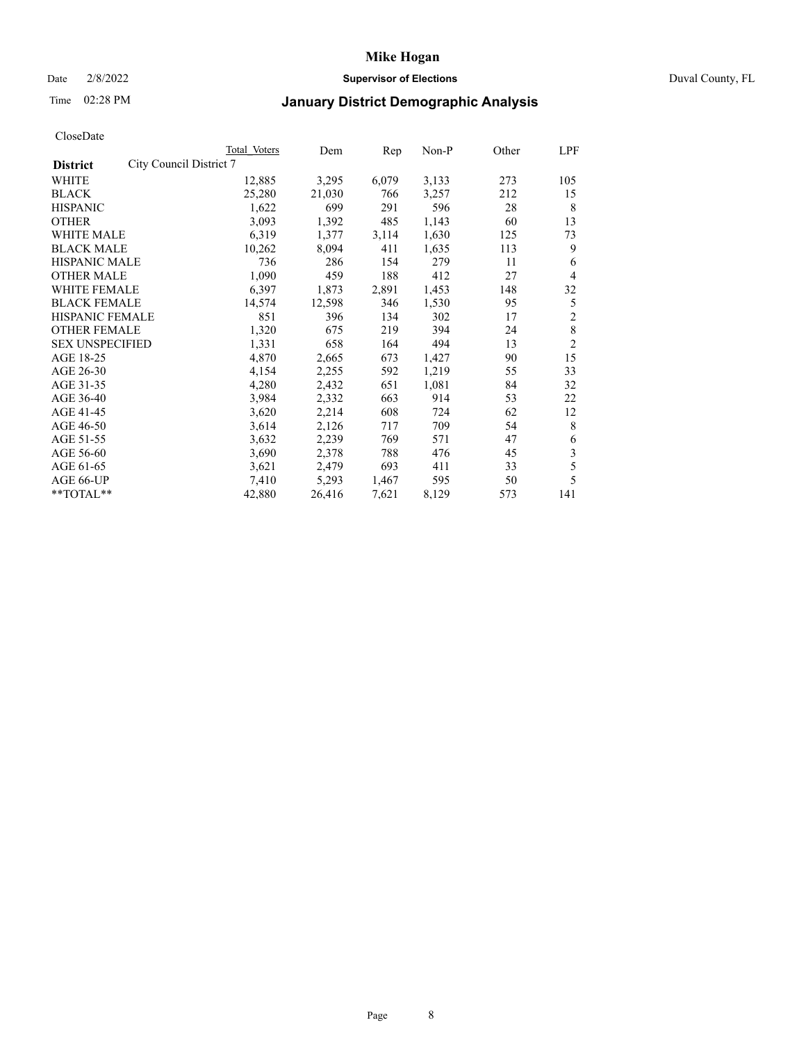#### Date 2/8/2022 **Supervisor of Elections** Duval County, FL

## Time 02:28 PM **January District Demographic Analysis**

|                                            | Total Voters | Dem    | Rep   | Non-P | Other | LPF            |
|--------------------------------------------|--------------|--------|-------|-------|-------|----------------|
| City Council District 7<br><b>District</b> |              |        |       |       |       |                |
| WHITE                                      | 12,885       | 3,295  | 6,079 | 3,133 | 273   | 105            |
| <b>BLACK</b>                               | 25,280       | 21,030 | 766   | 3,257 | 212   | 15             |
| <b>HISPANIC</b>                            | 1,622        | 699    | 291   | 596   | 28    | 8              |
| <b>OTHER</b>                               | 3,093        | 1,392  | 485   | 1,143 | 60    | 13             |
| <b>WHITE MALE</b>                          | 6,319        | 1,377  | 3,114 | 1,630 | 125   | 73             |
| <b>BLACK MALE</b>                          | 10,262       | 8,094  | 411   | 1,635 | 113   | 9              |
| <b>HISPANIC MALE</b>                       | 736          | 286    | 154   | 279   | 11    | 6              |
| <b>OTHER MALE</b>                          | 1,090        | 459    | 188   | 412   | 27    | $\overline{4}$ |
| <b>WHITE FEMALE</b>                        | 6,397        | 1,873  | 2,891 | 1,453 | 148   | 32             |
| <b>BLACK FEMALE</b>                        | 14,574       | 12,598 | 346   | 1,530 | 95    | 5              |
| <b>HISPANIC FEMALE</b>                     | 851          | 396    | 134   | 302   | 17    | $\overline{c}$ |
| <b>OTHER FEMALE</b>                        | 1,320        | 675    | 219   | 394   | 24    | 8              |
| <b>SEX UNSPECIFIED</b>                     | 1,331        | 658    | 164   | 494   | 13    | $\overline{c}$ |
| AGE 18-25                                  | 4,870        | 2,665  | 673   | 1,427 | 90    | 15             |
| AGE 26-30                                  | 4,154        | 2,255  | 592   | 1,219 | 55    | 33             |
| AGE 31-35                                  | 4,280        | 2,432  | 651   | 1,081 | 84    | 32             |
| AGE 36-40                                  | 3,984        | 2,332  | 663   | 914   | 53    | 22             |
| AGE 41-45                                  | 3,620        | 2,214  | 608   | 724   | 62    | 12             |
| AGE 46-50                                  | 3,614        | 2,126  | 717   | 709   | 54    | 8              |
| AGE 51-55                                  | 3,632        | 2,239  | 769   | 571   | 47    | 6              |
| AGE 56-60                                  | 3,690        | 2,378  | 788   | 476   | 45    | 3              |
| AGE 61-65                                  | 3,621        | 2,479  | 693   | 411   | 33    | 5              |
| AGE 66-UP                                  | 7,410        | 5,293  | 1,467 | 595   | 50    | 5              |
| $**TOTAL**$                                | 42,880       | 26,416 | 7,621 | 8,129 | 573   | 141            |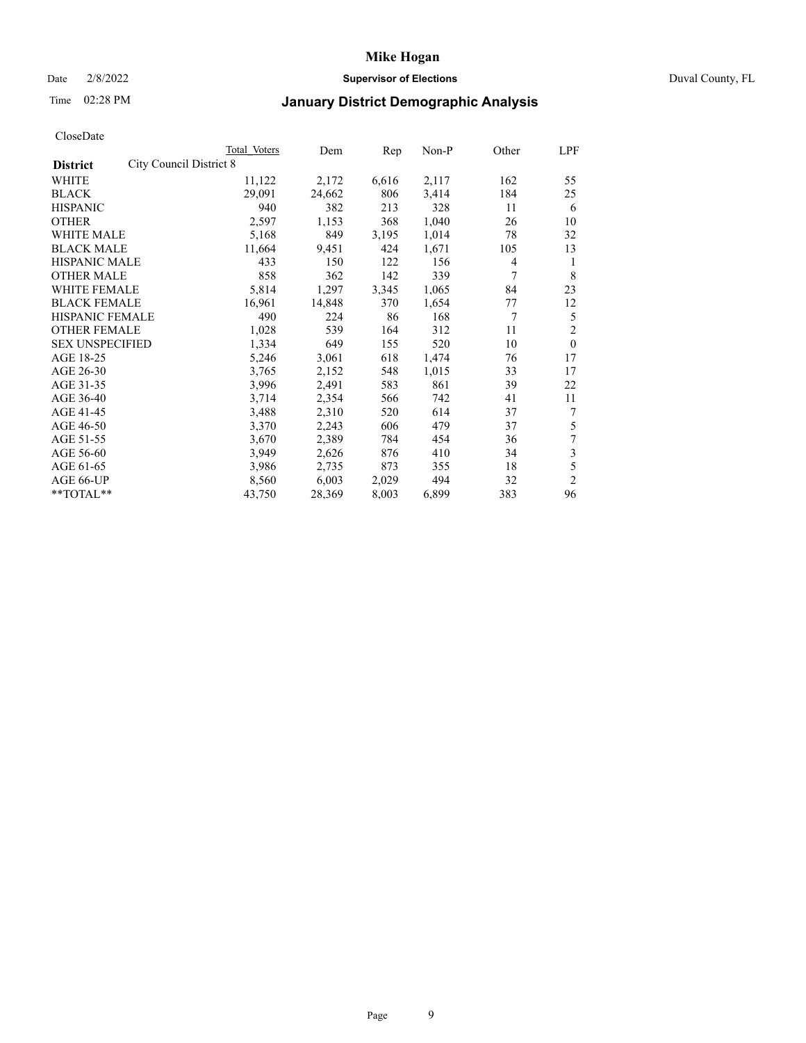### Date 2/8/2022 **Supervisor of Elections** Duval County, FL

# Time 02:28 PM **January District Demographic Analysis**

| CloseDate |  |
|-----------|--|
|-----------|--|

| Total Voters | Dem                     | Rep   | Non-P | Other | LPF              |
|--------------|-------------------------|-------|-------|-------|------------------|
|              |                         |       |       |       |                  |
| 11,122       | 2,172                   | 6,616 | 2,117 | 162   | 55               |
| 29,091       | 24,662                  | 806   | 3,414 | 184   | 25               |
| 940          | 382                     | 213   | 328   | 11    | 6                |
| 2,597        | 1,153                   | 368   | 1,040 | 26    | 10               |
| 5,168        | 849                     | 3,195 | 1,014 | 78    | 32               |
| 11,664       | 9,451                   | 424   | 1,671 | 105   | 13               |
| 433          | 150                     | 122   | 156   | 4     | 1                |
| 858          | 362                     | 142   | 339   | 7     | 8                |
| 5,814        | 1,297                   | 3,345 | 1,065 | 84    | 23               |
| 16,961       | 14,848                  | 370   | 1,654 | 77    | 12               |
| 490          | 224                     | 86    | 168   | 7     | 5                |
| 1,028        | 539                     | 164   | 312   | 11    | $\mathfrak{2}$   |
| 1,334        | 649                     | 155   | 520   | 10    | $\theta$         |
| 5,246        | 3,061                   | 618   | 1,474 | 76    | 17               |
| 3,765        | 2,152                   | 548   | 1,015 | 33    | 17               |
| 3,996        | 2,491                   | 583   | 861   | 39    | 22               |
| 3,714        | 2,354                   | 566   | 742   | 41    | 11               |
| 3,488        | 2,310                   | 520   | 614   | 37    | 7                |
| 3,370        | 2,243                   | 606   | 479   | 37    | 5                |
| 3,670        | 2,389                   | 784   | 454   | 36    | $\boldsymbol{7}$ |
| 3,949        | 2,626                   | 876   | 410   | 34    | 3                |
| 3,986        | 2,735                   | 873   | 355   | 18    | 5                |
| 8,560        | 6,003                   | 2,029 | 494   | 32    | $\mathfrak{2}$   |
| 43,750       | 28,369                  | 8,003 | 6,899 | 383   | 96               |
|              | City Council District 8 |       |       |       |                  |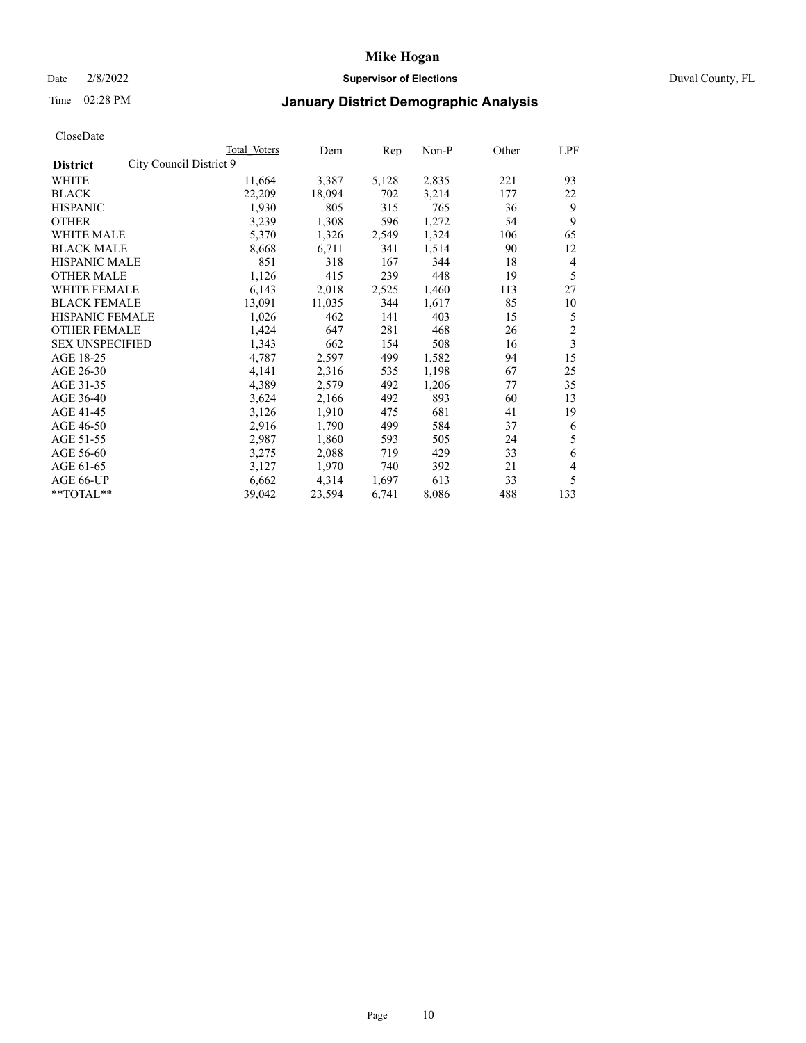### Date 2/8/2022 **Supervisor of Elections** Duval County, FL

## Time 02:28 PM **January District Demographic Analysis**

|                                            | Total Voters | Dem    | Rep   | Non-P | Other | LPF            |
|--------------------------------------------|--------------|--------|-------|-------|-------|----------------|
| City Council District 9<br><b>District</b> |              |        |       |       |       |                |
| WHITE                                      | 11,664       | 3,387  | 5,128 | 2,835 | 221   | 93             |
| <b>BLACK</b>                               | 22,209       | 18,094 | 702   | 3,214 | 177   | 22             |
| <b>HISPANIC</b>                            | 1,930        | 805    | 315   | 765   | 36    | 9              |
| <b>OTHER</b>                               | 3,239        | 1,308  | 596   | 1,272 | 54    | 9              |
| WHITE MALE                                 | 5,370        | 1,326  | 2,549 | 1,324 | 106   | 65             |
| <b>BLACK MALE</b>                          | 8,668        | 6,711  | 341   | 1,514 | 90    | 12             |
| <b>HISPANIC MALE</b>                       | 851          | 318    | 167   | 344   | 18    | $\overline{4}$ |
| <b>OTHER MALE</b>                          | 1,126        | 415    | 239   | 448   | 19    | 5              |
| WHITE FEMALE                               | 6,143        | 2,018  | 2,525 | 1,460 | 113   | 27             |
| <b>BLACK FEMALE</b>                        | 13,091       | 11,035 | 344   | 1,617 | 85    | 10             |
| HISPANIC FEMALE                            | 1,026        | 462    | 141   | 403   | 15    | 5              |
| <b>OTHER FEMALE</b>                        | 1,424        | 647    | 281   | 468   | 26    | $\overline{c}$ |
| <b>SEX UNSPECIFIED</b>                     | 1,343        | 662    | 154   | 508   | 16    | 3              |
| AGE 18-25                                  | 4,787        | 2,597  | 499   | 1,582 | 94    | 15             |
| AGE 26-30                                  | 4,141        | 2,316  | 535   | 1,198 | 67    | 25             |
| AGE 31-35                                  | 4,389        | 2,579  | 492   | 1,206 | 77    | 35             |
| AGE 36-40                                  | 3,624        | 2,166  | 492   | 893   | 60    | 13             |
| AGE 41-45                                  | 3,126        | 1,910  | 475   | 681   | 41    | 19             |
| AGE 46-50                                  | 2,916        | 1,790  | 499   | 584   | 37    | 6              |
| AGE 51-55                                  | 2,987        | 1,860  | 593   | 505   | 24    | 5              |
| AGE 56-60                                  | 3,275        | 2,088  | 719   | 429   | 33    | 6              |
| AGE 61-65                                  | 3,127        | 1,970  | 740   | 392   | 21    | 4              |
| AGE 66-UP                                  | 6,662        | 4,314  | 1,697 | 613   | 33    | 5              |
| **TOTAL**                                  | 39,042       | 23,594 | 6,741 | 8,086 | 488   | 133            |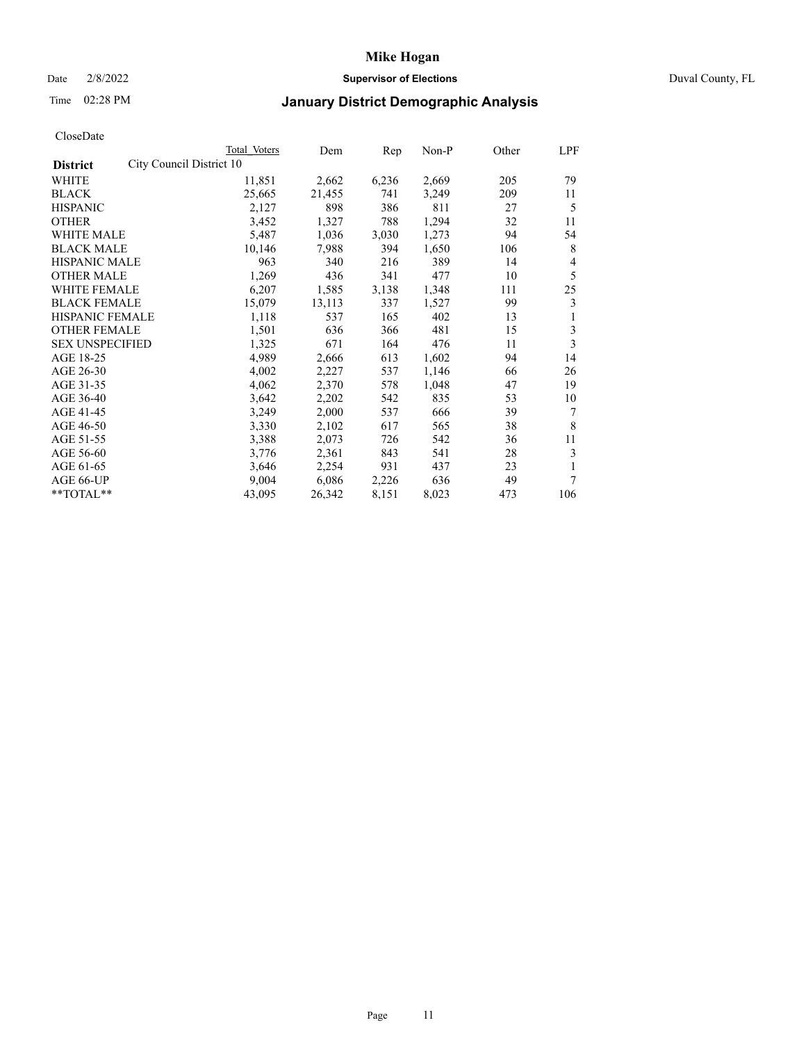### Date 2/8/2022 **Supervisor of Elections** Duval County, FL

## Time 02:28 PM **January District Demographic Analysis**

|                                             | Total Voters | Dem    | Rep   | Non-P | Other | LPF |
|---------------------------------------------|--------------|--------|-------|-------|-------|-----|
| City Council District 10<br><b>District</b> |              |        |       |       |       |     |
| WHITE                                       | 11,851       | 2,662  | 6,236 | 2,669 | 205   | 79  |
| <b>BLACK</b>                                | 25,665       | 21,455 | 741   | 3,249 | 209   | 11  |
| <b>HISPANIC</b>                             | 2,127        | 898    | 386   | 811   | 27    | 5   |
| <b>OTHER</b>                                | 3,452        | 1,327  | 788   | 1,294 | 32    | 11  |
| WHITE MALE                                  | 5,487        | 1,036  | 3,030 | 1,273 | 94    | 54  |
| <b>BLACK MALE</b>                           | 10,146       | 7,988  | 394   | 1,650 | 106   | 8   |
| <b>HISPANIC MALE</b>                        | 963          | 340    | 216   | 389   | 14    | 4   |
| <b>OTHER MALE</b>                           | 1,269        | 436    | 341   | 477   | 10    | 5   |
| WHITE FEMALE                                | 6,207        | 1,585  | 3,138 | 1,348 | 111   | 25  |
| <b>BLACK FEMALE</b>                         | 15,079       | 13,113 | 337   | 1,527 | 99    | 3   |
| <b>HISPANIC FEMALE</b>                      | 1,118        | 537    | 165   | 402   | 13    | 1   |
| <b>OTHER FEMALE</b>                         | 1,501        | 636    | 366   | 481   | 15    | 3   |
| <b>SEX UNSPECIFIED</b>                      | 1,325        | 671    | 164   | 476   | 11    | 3   |
| AGE 18-25                                   | 4,989        | 2,666  | 613   | 1,602 | 94    | 14  |
| AGE 26-30                                   | 4,002        | 2,227  | 537   | 1,146 | 66    | 26  |
| AGE 31-35                                   | 4,062        | 2,370  | 578   | 1,048 | 47    | 19  |
| AGE 36-40                                   | 3,642        | 2,202  | 542   | 835   | 53    | 10  |
| AGE 41-45                                   | 3,249        | 2,000  | 537   | 666   | 39    | 7   |
| AGE 46-50                                   | 3,330        | 2,102  | 617   | 565   | 38    | 8   |
| AGE 51-55                                   | 3,388        | 2,073  | 726   | 542   | 36    | 11  |
| AGE 56-60                                   | 3,776        | 2,361  | 843   | 541   | 28    | 3   |
| AGE 61-65                                   | 3,646        | 2,254  | 931   | 437   | 23    |     |
| AGE 66-UP                                   | 9,004        | 6,086  | 2,226 | 636   | 49    | 7   |
| **TOTAL**                                   | 43,095       | 26,342 | 8,151 | 8,023 | 473   | 106 |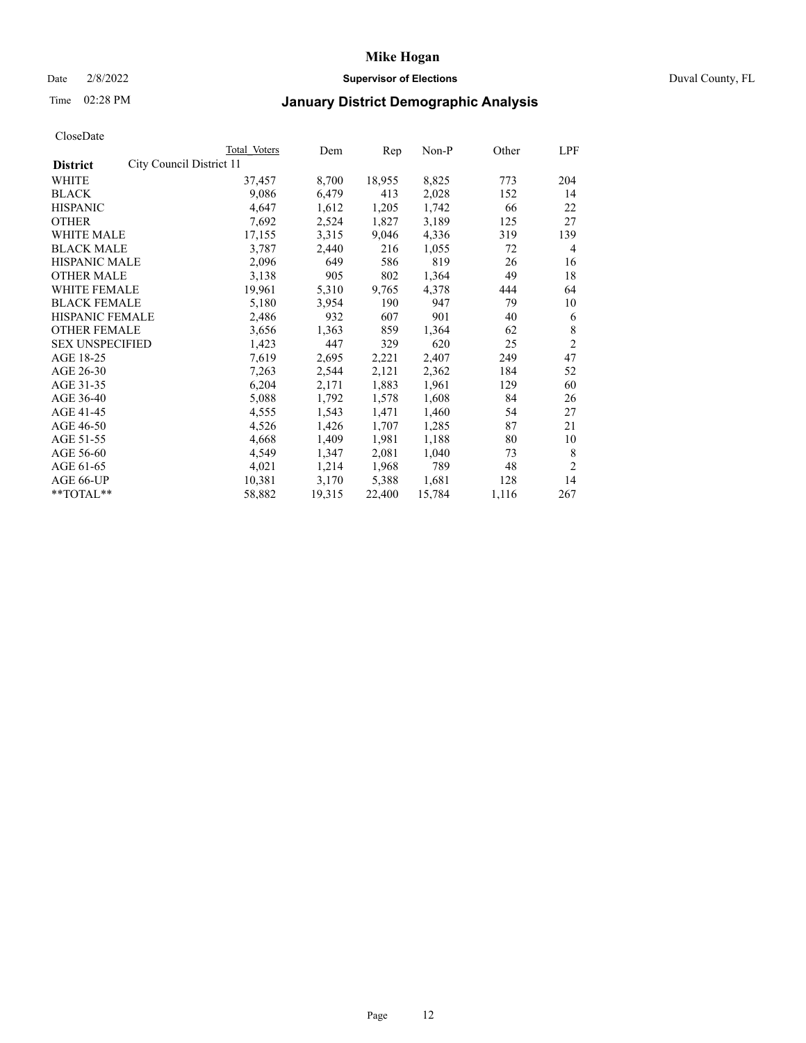### Date 2/8/2022 **Supervisor of Elections** Duval County, FL

## Time 02:28 PM **January District Demographic Analysis**

|                        |                          | Total Voters | Dem    | Rep    | Non-P  | Other | LPF            |
|------------------------|--------------------------|--------------|--------|--------|--------|-------|----------------|
| <b>District</b>        | City Council District 11 |              |        |        |        |       |                |
| WHITE                  |                          | 37,457       | 8,700  | 18,955 | 8,825  | 773   | 204            |
| <b>BLACK</b>           |                          | 9,086        | 6,479  | 413    | 2,028  | 152   | 14             |
| <b>HISPANIC</b>        |                          | 4,647        | 1,612  | 1,205  | 1,742  | 66    | 22             |
| <b>OTHER</b>           |                          | 7,692        | 2,524  | 1,827  | 3,189  | 125   | 27             |
| <b>WHITE MALE</b>      |                          | 17,155       | 3,315  | 9,046  | 4,336  | 319   | 139            |
| <b>BLACK MALE</b>      |                          | 3,787        | 2,440  | 216    | 1,055  | 72    | 4              |
| <b>HISPANIC MALE</b>   |                          | 2,096        | 649    | 586    | 819    | 26    | 16             |
| <b>OTHER MALE</b>      |                          | 3,138        | 905    | 802    | 1,364  | 49    | 18             |
| WHITE FEMALE           |                          | 19,961       | 5,310  | 9,765  | 4,378  | 444   | 64             |
| <b>BLACK FEMALE</b>    |                          | 5,180        | 3,954  | 190    | 947    | 79    | 10             |
| HISPANIC FEMALE        |                          | 2,486        | 932    | 607    | 901    | 40    | 6              |
| <b>OTHER FEMALE</b>    |                          | 3,656        | 1,363  | 859    | 1,364  | 62    | 8              |
| <b>SEX UNSPECIFIED</b> |                          | 1,423        | 447    | 329    | 620    | 25    | $\overline{2}$ |
| AGE 18-25              |                          | 7,619        | 2,695  | 2,221  | 2,407  | 249   | 47             |
| AGE 26-30              |                          | 7,263        | 2,544  | 2,121  | 2,362  | 184   | 52             |
| AGE 31-35              |                          | 6,204        | 2,171  | 1,883  | 1,961  | 129   | 60             |
| AGE 36-40              |                          | 5,088        | 1,792  | 1,578  | 1,608  | 84    | 26             |
| AGE 41-45              |                          | 4,555        | 1,543  | 1,471  | 1,460  | 54    | 27             |
| AGE 46-50              |                          | 4,526        | 1,426  | 1,707  | 1,285  | 87    | 21             |
| AGE 51-55              |                          | 4,668        | 1,409  | 1,981  | 1,188  | 80    | 10             |
| AGE 56-60              |                          | 4,549        | 1,347  | 2,081  | 1,040  | 73    | 8              |
| AGE 61-65              |                          | 4,021        | 1,214  | 1,968  | 789    | 48    | $\overline{2}$ |
| AGE 66-UP              |                          | 10,381       | 3,170  | 5,388  | 1,681  | 128   | 14             |
| **TOTAL**              |                          | 58,882       | 19,315 | 22,400 | 15,784 | 1,116 | 267            |
|                        |                          |              |        |        |        |       |                |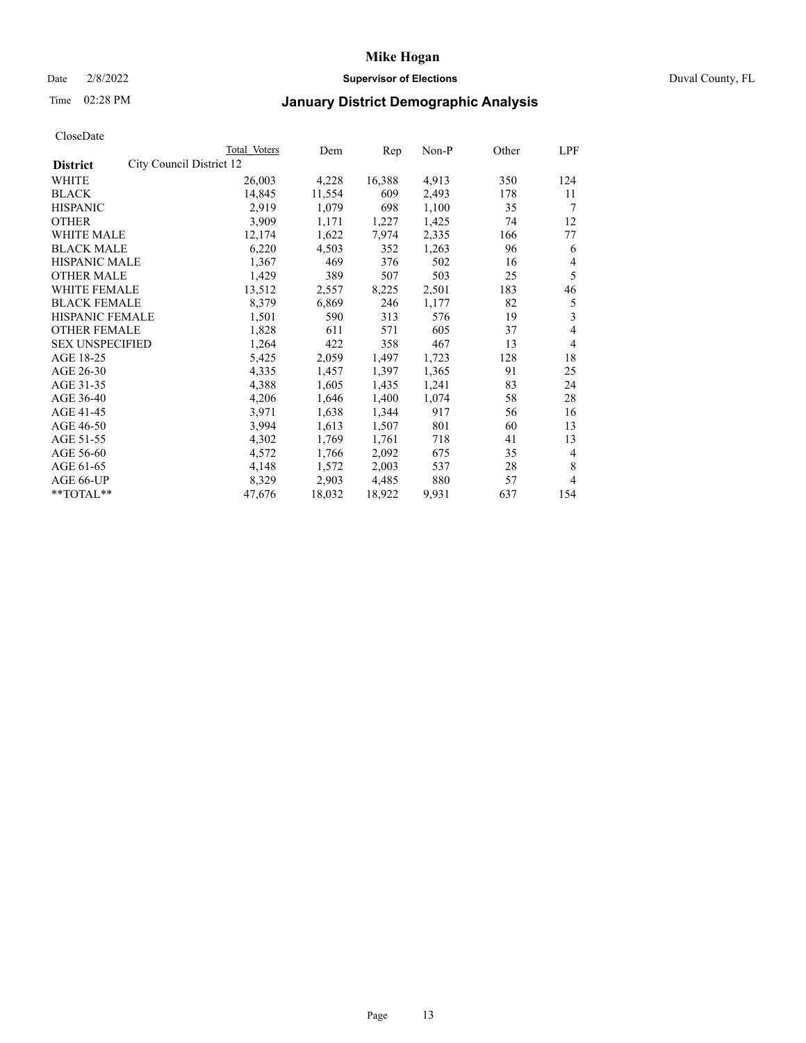### Date 2/8/2022 **Supervisor of Elections** Duval County, FL

## Time 02:28 PM **January District Demographic Analysis**

|                                             | Total Voters | Dem    | Rep    | Non-P | Other | LPF            |
|---------------------------------------------|--------------|--------|--------|-------|-------|----------------|
| City Council District 12<br><b>District</b> |              |        |        |       |       |                |
| WHITE                                       | 26,003       | 4,228  | 16,388 | 4,913 | 350   | 124            |
| <b>BLACK</b>                                | 14,845       | 11,554 | 609    | 2,493 | 178   | 11             |
| <b>HISPANIC</b>                             | 2,919        | 1,079  | 698    | 1,100 | 35    | 7              |
| <b>OTHER</b>                                | 3,909        | 1,171  | 1,227  | 1,425 | 74    | 12             |
| <b>WHITE MALE</b>                           | 12,174       | 1,622  | 7,974  | 2,335 | 166   | 77             |
| <b>BLACK MALE</b>                           | 6,220        | 4,503  | 352    | 1,263 | 96    | 6              |
| <b>HISPANIC MALE</b>                        | 1,367        | 469    | 376    | 502   | 16    | 4              |
| <b>OTHER MALE</b>                           | 1,429        | 389    | 507    | 503   | 25    | 5              |
| WHITE FEMALE                                | 13,512       | 2,557  | 8,225  | 2,501 | 183   | 46             |
| <b>BLACK FEMALE</b>                         | 8,379        | 6,869  | 246    | 1,177 | 82    | 5              |
| HISPANIC FEMALE                             | 1,501        | 590    | 313    | 576   | 19    | 3              |
| <b>OTHER FEMALE</b>                         | 1,828        | 611    | 571    | 605   | 37    | 4              |
| <b>SEX UNSPECIFIED</b>                      | 1,264        | 422    | 358    | 467   | 13    | 4              |
| AGE 18-25                                   | 5,425        | 2,059  | 1,497  | 1,723 | 128   | 18             |
| AGE 26-30                                   | 4,335        | 1,457  | 1,397  | 1,365 | 91    | 25             |
| AGE 31-35                                   | 4,388        | 1,605  | 1,435  | 1,241 | 83    | 24             |
| AGE 36-40                                   | 4,206        | 1,646  | 1,400  | 1,074 | 58    | 28             |
| AGE 41-45                                   | 3,971        | 1,638  | 1,344  | 917   | 56    | 16             |
| AGE 46-50                                   | 3,994        | 1,613  | 1,507  | 801   | 60    | 13             |
| AGE 51-55                                   | 4,302        | 1,769  | 1,761  | 718   | 41    | 13             |
| AGE 56-60                                   | 4,572        | 1,766  | 2,092  | 675   | 35    | $\overline{4}$ |
| AGE 61-65                                   | 4,148        | 1,572  | 2,003  | 537   | 28    | 8              |
| AGE 66-UP                                   | 8,329        | 2,903  | 4,485  | 880   | 57    | 4              |
| **TOTAL**                                   | 47,676       | 18,032 | 18,922 | 9,931 | 637   | 154            |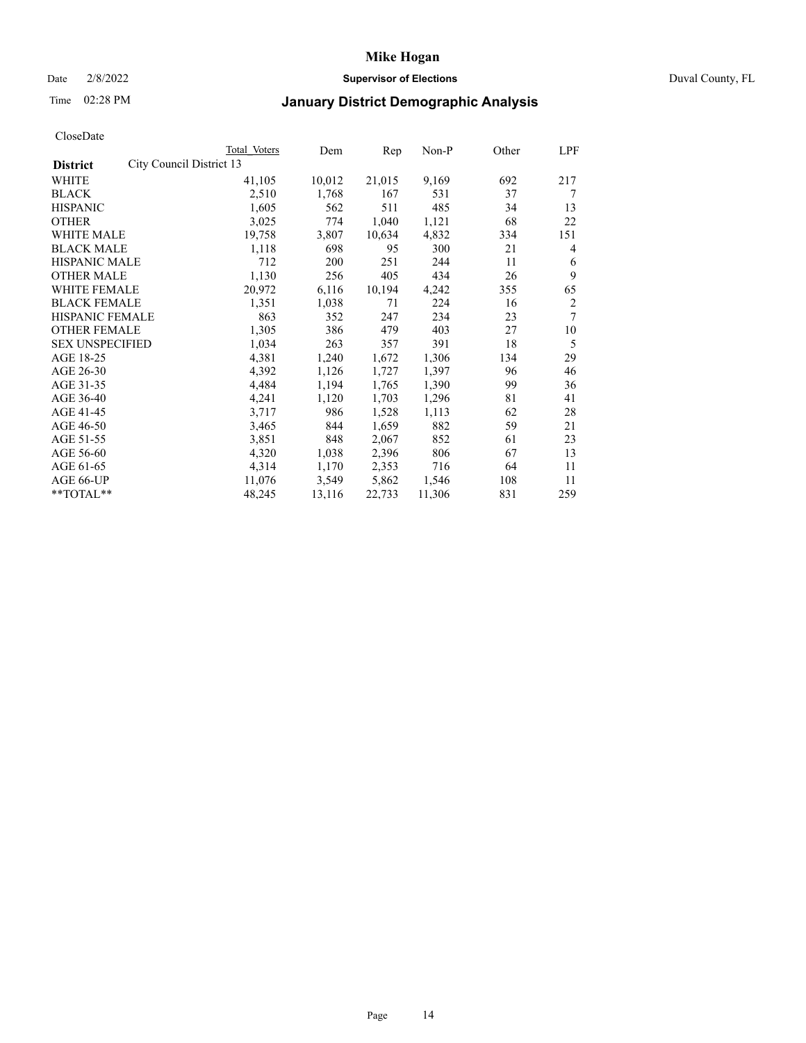### Date 2/8/2022 **Supervisor of Elections** Duval County, FL

## Time 02:28 PM **January District Demographic Analysis**

|                                             | Total Voters | Dem    | Rep    | Non-P  | Other | LPF            |
|---------------------------------------------|--------------|--------|--------|--------|-------|----------------|
| City Council District 13<br><b>District</b> |              |        |        |        |       |                |
| WHITE                                       | 41,105       | 10,012 | 21,015 | 9,169  | 692   | 217            |
| <b>BLACK</b>                                | 2,510        | 1,768  | 167    | 531    | 37    | 7              |
| <b>HISPANIC</b>                             | 1,605        | 562    | 511    | 485    | 34    | 13             |
| <b>OTHER</b>                                | 3,025        | 774    | 1,040  | 1,121  | 68    | 22             |
| <b>WHITE MALE</b>                           | 19,758       | 3,807  | 10,634 | 4,832  | 334   | 151            |
| <b>BLACK MALE</b>                           | 1,118        | 698    | 95     | 300    | 21    | 4              |
| <b>HISPANIC MALE</b>                        | 712          | 200    | 251    | 244    | 11    | 6              |
| <b>OTHER MALE</b>                           | 1,130        | 256    | 405    | 434    | 26    | 9              |
| WHITE FEMALE                                | 20,972       | 6,116  | 10,194 | 4,242  | 355   | 65             |
| <b>BLACK FEMALE</b>                         | 1,351        | 1,038  | 71     | 224    | 16    | $\overline{c}$ |
| HISPANIC FEMALE                             | 863          | 352    | 247    | 234    | 23    | 7              |
| <b>OTHER FEMALE</b>                         | 1,305        | 386    | 479    | 403    | 27    | 10             |
| <b>SEX UNSPECIFIED</b>                      | 1,034        | 263    | 357    | 391    | 18    | 5              |
| AGE 18-25                                   | 4,381        | 1,240  | 1,672  | 1,306  | 134   | 29             |
| AGE 26-30                                   | 4,392        | 1,126  | 1,727  | 1,397  | 96    | 46             |
| AGE 31-35                                   | 4,484        | 1,194  | 1,765  | 1,390  | 99    | 36             |
| AGE 36-40                                   | 4,241        | 1,120  | 1,703  | 1,296  | 81    | 41             |
| AGE 41-45                                   | 3,717        | 986    | 1,528  | 1,113  | 62    | 28             |
| AGE 46-50                                   | 3,465        | 844    | 1,659  | 882    | 59    | 21             |
| AGE 51-55                                   | 3,851        | 848    | 2,067  | 852    | 61    | 23             |
| AGE 56-60                                   | 4,320        | 1,038  | 2,396  | 806    | 67    | 13             |
| AGE 61-65                                   | 4,314        | 1,170  | 2,353  | 716    | 64    | 11             |
| AGE 66-UP                                   | 11,076       | 3,549  | 5,862  | 1,546  | 108   | 11             |
| **TOTAL**                                   | 48,245       | 13,116 | 22,733 | 11,306 | 831   | 259            |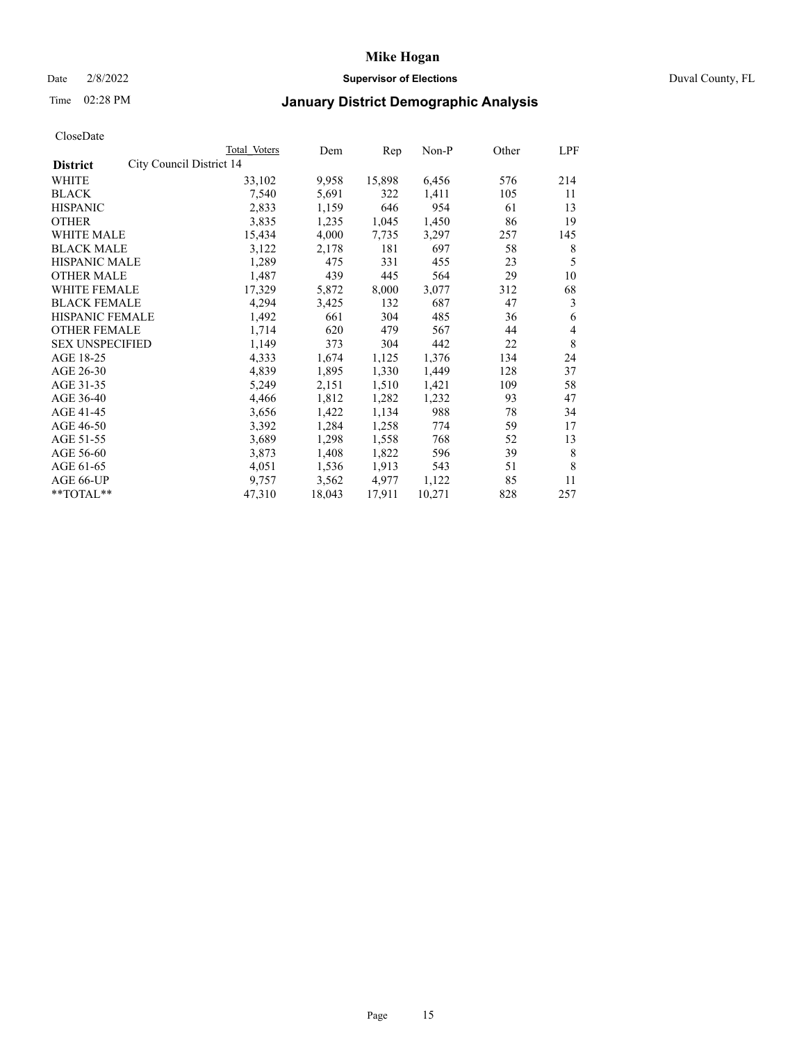### Date 2/8/2022 **Supervisor of Elections** Duval County, FL

## Time 02:28 PM **January District Demographic Analysis**

|                        |                          | Total Voters | Dem    | Rep    | Non-P  | Other | LPF |
|------------------------|--------------------------|--------------|--------|--------|--------|-------|-----|
| <b>District</b>        | City Council District 14 |              |        |        |        |       |     |
| WHITE                  |                          | 33,102       | 9,958  | 15,898 | 6,456  | 576   | 214 |
| <b>BLACK</b>           |                          | 7,540        | 5,691  | 322    | 1,411  | 105   | 11  |
| <b>HISPANIC</b>        |                          | 2,833        | 1,159  | 646    | 954    | 61    | 13  |
| <b>OTHER</b>           |                          | 3,835        | 1,235  | 1,045  | 1,450  | 86    | 19  |
| <b>WHITE MALE</b>      |                          | 15,434       | 4,000  | 7,735  | 3,297  | 257   | 145 |
| <b>BLACK MALE</b>      |                          | 3,122        | 2,178  | 181    | 697    | 58    | 8   |
| <b>HISPANIC MALE</b>   |                          | 1,289        | 475    | 331    | 455    | 23    | 5   |
| <b>OTHER MALE</b>      |                          | 1,487        | 439    | 445    | 564    | 29    | 10  |
| WHITE FEMALE           |                          | 17,329       | 5,872  | 8,000  | 3,077  | 312   | 68  |
| <b>BLACK FEMALE</b>    |                          | 4,294        | 3,425  | 132    | 687    | 47    | 3   |
| HISPANIC FEMALE        |                          | 1,492        | 661    | 304    | 485    | 36    | 6   |
| <b>OTHER FEMALE</b>    |                          | 1,714        | 620    | 479    | 567    | 44    | 4   |
| <b>SEX UNSPECIFIED</b> |                          | 1,149        | 373    | 304    | 442    | 22    | 8   |
| AGE 18-25              |                          | 4,333        | 1,674  | 1,125  | 1,376  | 134   | 24  |
| AGE 26-30              |                          | 4,839        | 1,895  | 1,330  | 1,449  | 128   | 37  |
| AGE 31-35              |                          | 5,249        | 2,151  | 1,510  | 1,421  | 109   | 58  |
| AGE 36-40              |                          | 4,466        | 1,812  | 1,282  | 1,232  | 93    | 47  |
| AGE 41-45              |                          | 3,656        | 1,422  | 1,134  | 988    | 78    | 34  |
| AGE 46-50              |                          | 3,392        | 1,284  | 1,258  | 774    | 59    | 17  |
| AGE 51-55              |                          | 3,689        | 1,298  | 1,558  | 768    | 52    | 13  |
| AGE 56-60              |                          | 3,873        | 1,408  | 1,822  | 596    | 39    | 8   |
| AGE 61-65              |                          | 4,051        | 1,536  | 1,913  | 543    | 51    | 8   |
| AGE 66-UP              |                          | 9,757        | 3,562  | 4,977  | 1,122  | 85    | 11  |
| **TOTAL**              |                          | 47,310       | 18,043 | 17,911 | 10,271 | 828   | 257 |
|                        |                          |              |        |        |        |       |     |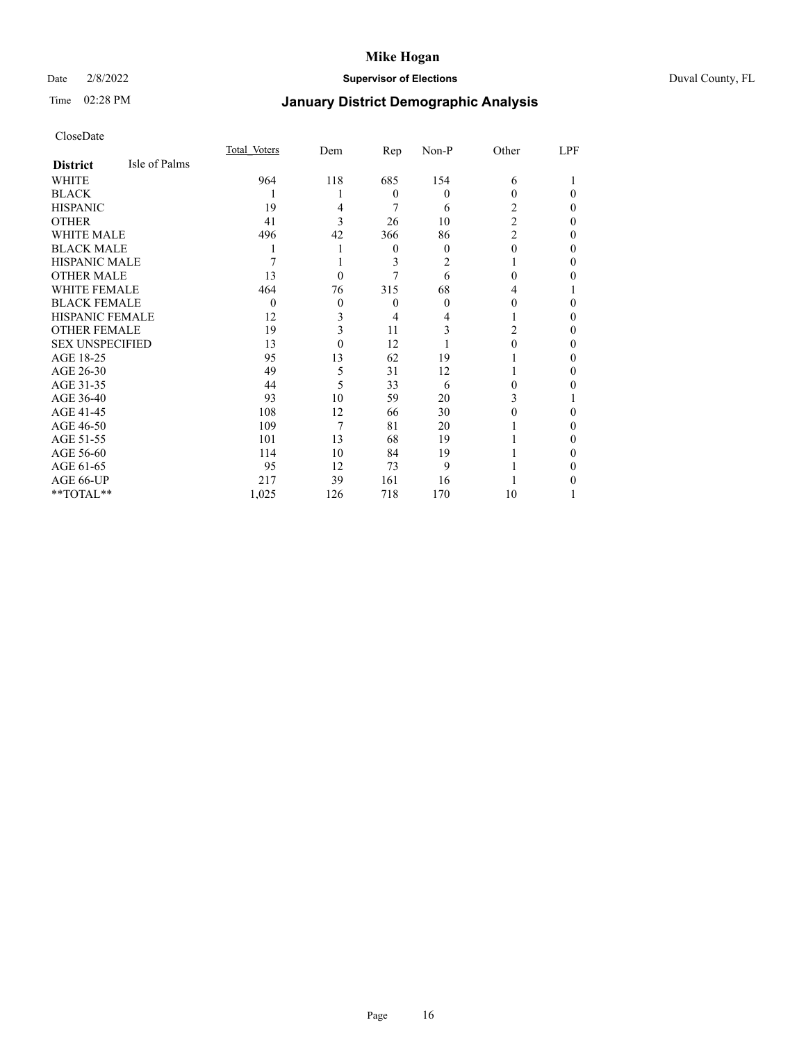### Date 2/8/2022 **Supervisor of Elections** Duval County, FL

# Time 02:28 PM **January District Demographic Analysis**

|                        |               | Total Voters | Dem      | Rep      | Non-P | Other          | LPF |
|------------------------|---------------|--------------|----------|----------|-------|----------------|-----|
| <b>District</b>        | Isle of Palms |              |          |          |       |                |     |
| WHITE                  |               | 964          | 118      | 685      | 154   | 6              |     |
| <b>BLACK</b>           |               |              |          | $\theta$ | 0     | 0              | 0   |
| <b>HISPANIC</b>        |               | 19           | 4        | 7        | 6     | 2              | 0   |
| <b>OTHER</b>           |               | 41           | 3        | 26       | 10    | $\overline{2}$ | 0   |
| WHITE MALE             |               | 496          | 42       | 366      | 86    | $\overline{2}$ | 0   |
| <b>BLACK MALE</b>      |               |              |          | $\theta$ | 0     | 0              | 0   |
| <b>HISPANIC MALE</b>   |               |              |          | 3        | 2     |                | 0   |
| <b>OTHER MALE</b>      |               | 13           | $\theta$ |          | 6     | 0              | 0   |
| <b>WHITE FEMALE</b>    |               | 464          | 76       | 315      | 68    | 4              |     |
| <b>BLACK FEMALE</b>    |               | $\theta$     | $\theta$ | $\theta$ | 0     | 0              | 0   |
| <b>HISPANIC FEMALE</b> |               | 12           | 3        | 4        |       |                | 0   |
| <b>OTHER FEMALE</b>    |               | 19           | 3        | 11       | 3     | 2              | 0   |
| <b>SEX UNSPECIFIED</b> |               | 13           | $\Omega$ | 12       |       | 0              | 0   |
| AGE 18-25              |               | 95           | 13       | 62       | 19    |                | 0   |
| AGE 26-30              |               | 49           | 5        | 31       | 12    |                | 0   |
| AGE 31-35              |               | 44           | 5        | 33       | 6     | 0              | 0   |
| AGE 36-40              |               | 93           | 10       | 59       | 20    | 3              |     |
| AGE 41-45              |               | 108          | 12       | 66       | 30    |                | 0   |
| AGE 46-50              |               | 109          | 7        | 81       | 20    |                | 0   |
| AGE 51-55              |               | 101          | 13       | 68       | 19    |                | 0   |
| AGE 56-60              |               | 114          | 10       | 84       | 19    |                | 0   |
| AGE 61-65              |               | 95           | 12       | 73       | 9     |                | 0   |
| AGE 66-UP              |               | 217          | 39       | 161      | 16    |                |     |
| **TOTAL**              |               | 1,025        | 126      | 718      | 170   | 10             |     |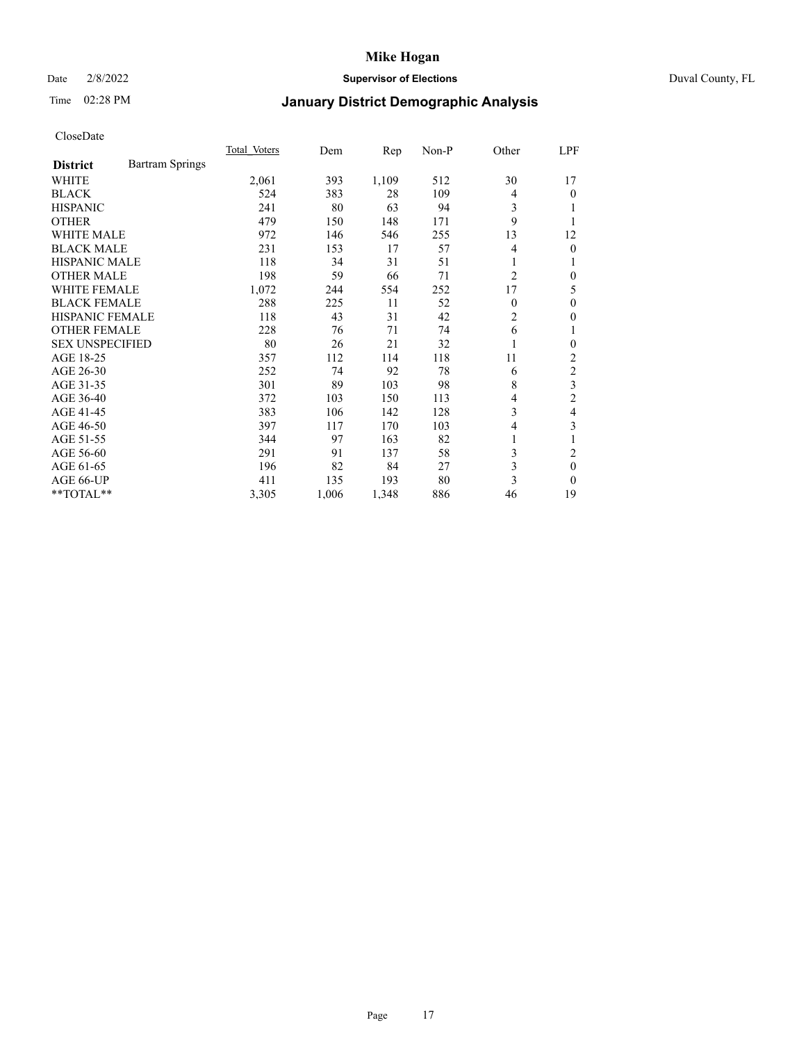### Date 2/8/2022 **Supervisor of Elections** Duval County, FL

## Time 02:28 PM **January District Demographic Analysis**

|                                           | Total Voters | Dem   | Rep   | $Non-P$ | Other          | LPF            |
|-------------------------------------------|--------------|-------|-------|---------|----------------|----------------|
| <b>Bartram Springs</b><br><b>District</b> |              |       |       |         |                |                |
| <b>WHITE</b>                              | 2,061        | 393   | 1,109 | 512     | 30             | 17             |
| <b>BLACK</b>                              | 524          | 383   | 28    | 109     | $\overline{4}$ | 0              |
| <b>HISPANIC</b>                           | 241          | 80    | 63    | 94      | 3              |                |
| <b>OTHER</b>                              | 479          | 150   | 148   | 171     | 9              |                |
| <b>WHITE MALE</b>                         | 972          | 146   | 546   | 255     | 13             | 12             |
| <b>BLACK MALE</b>                         | 231          | 153   | 17    | 57      | 4              | 0              |
| <b>HISPANIC MALE</b>                      | 118          | 34    | 31    | 51      | 1              |                |
| <b>OTHER MALE</b>                         | 198          | 59    | 66    | 71      | $\overline{2}$ | 0              |
| <b>WHITE FEMALE</b>                       | 1,072        | 244   | 554   | 252     | 17             | 5              |
| <b>BLACK FEMALE</b>                       | 288          | 225   | 11    | 52      | $\theta$       | 0              |
| HISPANIC FEMALE                           | 118          | 43    | 31    | 42      | $\overline{2}$ | 0              |
| <b>OTHER FEMALE</b>                       | 228          | 76    | 71    | 74      | 6              | 1              |
| <b>SEX UNSPECIFIED</b>                    | 80           | 26    | 21    | 32      | 1              | 0              |
| AGE 18-25                                 | 357          | 112   | 114   | 118     | 11             | 2              |
| AGE 26-30                                 | 252          | 74    | 92    | 78      | 6              | $\overline{c}$ |
| AGE 31-35                                 | 301          | 89    | 103   | 98      | 8              | 3              |
| AGE 36-40                                 | 372          | 103   | 150   | 113     | 4              | $\overline{2}$ |
| AGE 41-45                                 | 383          | 106   | 142   | 128     | 3              | 4              |
| AGE 46-50                                 | 397          | 117   | 170   | 103     | 4              | 3              |
| AGE 51-55                                 | 344          | 97    | 163   | 82      | 1              |                |
| AGE 56-60                                 | 291          | 91    | 137   | 58      | 3              | 2              |
| AGE 61-65                                 | 196          | 82    | 84    | 27      | 3              | $\theta$       |
| AGE 66-UP                                 | 411          | 135   | 193   | 80      | 3              | $\Omega$       |
| **TOTAL**                                 | 3,305        | 1,006 | 1,348 | 886     | 46             | 19             |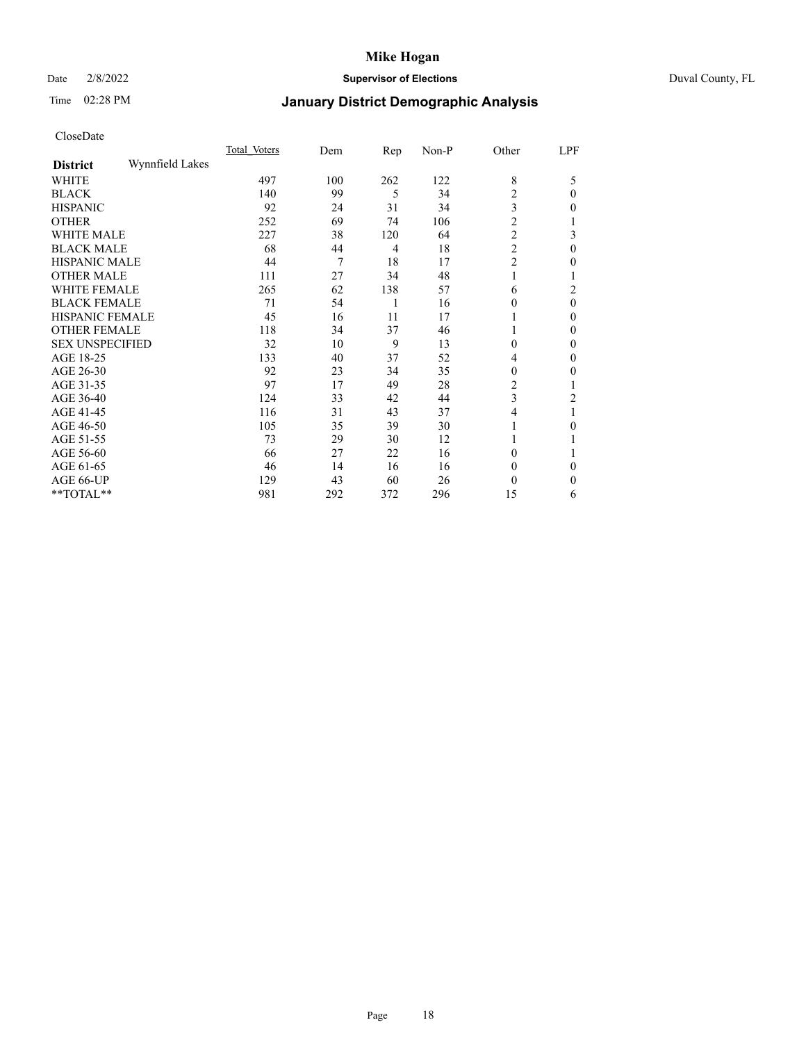## Date 2/8/2022 **Supervisor of Elections** Duval County, FL

## Time 02:28 PM **January District Demographic Analysis**

|                        |                 | Total Voters | Dem | Rep | Non-P | Other            | LPF          |
|------------------------|-----------------|--------------|-----|-----|-------|------------------|--------------|
| <b>District</b>        | Wynnfield Lakes |              |     |     |       |                  |              |
| WHITE                  |                 | 497          | 100 | 262 | 122   | 8                | 5            |
| <b>BLACK</b>           |                 | 140          | 99  | 5   | 34    | 2                | $\theta$     |
| <b>HISPANIC</b>        |                 | 92           | 24  | 31  | 34    | 3                | $\theta$     |
| <b>OTHER</b>           |                 | 252          | 69  | 74  | 106   | $\overline{2}$   |              |
| WHITE MALE             |                 | 227          | 38  | 120 | 64    | $\overline{c}$   | 3            |
| <b>BLACK MALE</b>      |                 | 68           | 44  | 4   | 18    | $\overline{c}$   | $\theta$     |
| <b>HISPANIC MALE</b>   |                 | 44           | 7   | 18  | 17    | $\overline{2}$   | 0            |
| <b>OTHER MALE</b>      |                 | 111          | 27  | 34  | 48    | 1                |              |
| <b>WHITE FEMALE</b>    |                 | 265          | 62  | 138 | 57    | 6                | 2            |
| <b>BLACK FEMALE</b>    |                 | 71           | 54  | 1   | 16    | 0                | $\theta$     |
| <b>HISPANIC FEMALE</b> |                 | 45           | 16  | 11  | 17    |                  | $\Omega$     |
| <b>OTHER FEMALE</b>    |                 | 118          | 34  | 37  | 46    |                  | $\Omega$     |
| <b>SEX UNSPECIFIED</b> |                 | 32           | 10  | 9   | 13    | $\boldsymbol{0}$ | $\theta$     |
| AGE 18-25              |                 | 133          | 40  | 37  | 52    | 4                | $\theta$     |
| AGE 26-30              |                 | 92           | 23  | 34  | 35    | 0                | $\mathbf{0}$ |
| AGE 31-35              |                 | 97           | 17  | 49  | 28    | 2                |              |
| AGE 36-40              |                 | 124          | 33  | 42  | 44    | 3                | 2            |
| AGE 41-45              |                 | 116          | 31  | 43  | 37    | 4                |              |
| AGE 46-50              |                 | 105          | 35  | 39  | 30    | 1                | $\theta$     |
| AGE 51-55              |                 | 73           | 29  | 30  | 12    |                  |              |
| AGE 56-60              |                 | 66           | 27  | 22  | 16    | 0                |              |
| AGE 61-65              |                 | 46           | 14  | 16  | 16    | 0                | $\Omega$     |
| AGE 66-UP              |                 | 129          | 43  | 60  | 26    | 0                | 0            |
| **TOTAL**              |                 | 981          | 292 | 372 | 296   | 15               | 6            |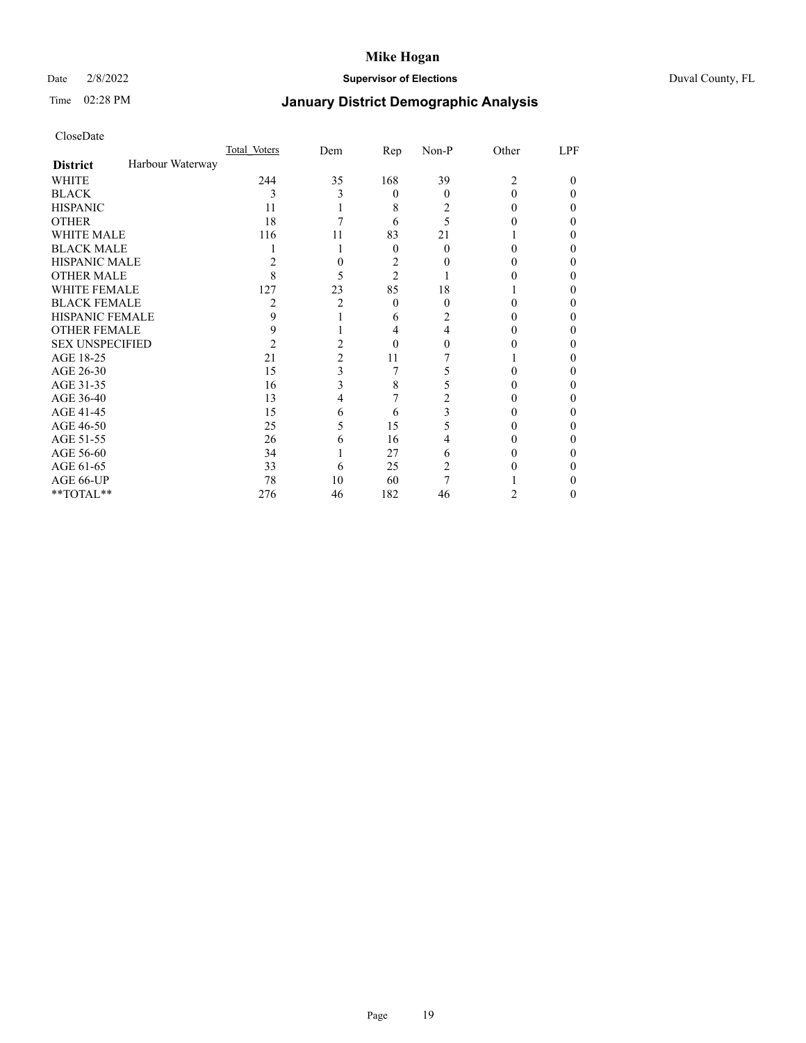## Date 2/8/2022 **Supervisor of Elections** Duval County, FL

## Time 02:28 PM **January District Demographic Analysis**

|                        |                  | Total Voters   | Dem | Rep            | Non-P | Other | LPF |
|------------------------|------------------|----------------|-----|----------------|-------|-------|-----|
| <b>District</b>        | Harbour Waterway |                |     |                |       |       |     |
| WHITE                  |                  | 244            | 35  | 168            | 39    | 2     | 0   |
| <b>BLACK</b>           |                  | 3              | 3   | $\theta$       | 0     | 0     | 0   |
| <b>HISPANIC</b>        |                  | 11             |     | 8              | 2     | 0     | 0   |
| <b>OTHER</b>           |                  | 18             |     | 6              | 5     |       |     |
| WHITE MALE             |                  | 116            | 11  | 83             | 21    |       |     |
| <b>BLACK MALE</b>      |                  |                |     | $\theta$       | 0     |       |     |
| <b>HISPANIC MALE</b>   |                  |                |     | 2              |       |       |     |
| <b>OTHER MALE</b>      |                  | 8              |     | $\overline{2}$ |       |       |     |
| WHITE FEMALE           |                  | 127            | 23  | 85             | 18    |       |     |
| <b>BLACK FEMALE</b>    |                  | 2              | 2   | $\theta$       | 0     | 0     |     |
| <b>HISPANIC FEMALE</b> |                  | 9              |     | 6              |       |       |     |
| <b>OTHER FEMALE</b>    |                  | 9              |     | 4              | 4     |       |     |
| <b>SEX UNSPECIFIED</b> |                  | $\overline{c}$ | 2   | 0              |       |       |     |
| AGE 18-25              |                  | 21             | 2   | 11             |       |       |     |
| AGE 26-30              |                  | 15             | 3   | 7              | 5     |       | 0   |
| AGE 31-35              |                  | 16             | 3   | 8              |       |       |     |
| AGE 36-40              |                  | 13             | 4   |                | 2     |       | 0   |
| AGE 41-45              |                  | 15             | 6   | 6              | 3     |       |     |
| AGE 46-50              |                  | 25             | 5   | 15             | 5     | 0     | 0   |
| AGE 51-55              |                  | 26             | 6   | 16             |       |       |     |
| AGE 56-60              |                  | 34             |     | 27             | 6     |       |     |
| AGE 61-65              |                  | 33             | 6   | 25             | 2     |       |     |
| AGE 66-UP              |                  | 78             | 10  | 60             |       |       |     |
| **TOTAL**              |                  | 276            | 46  | 182            | 46    | 2     | 0   |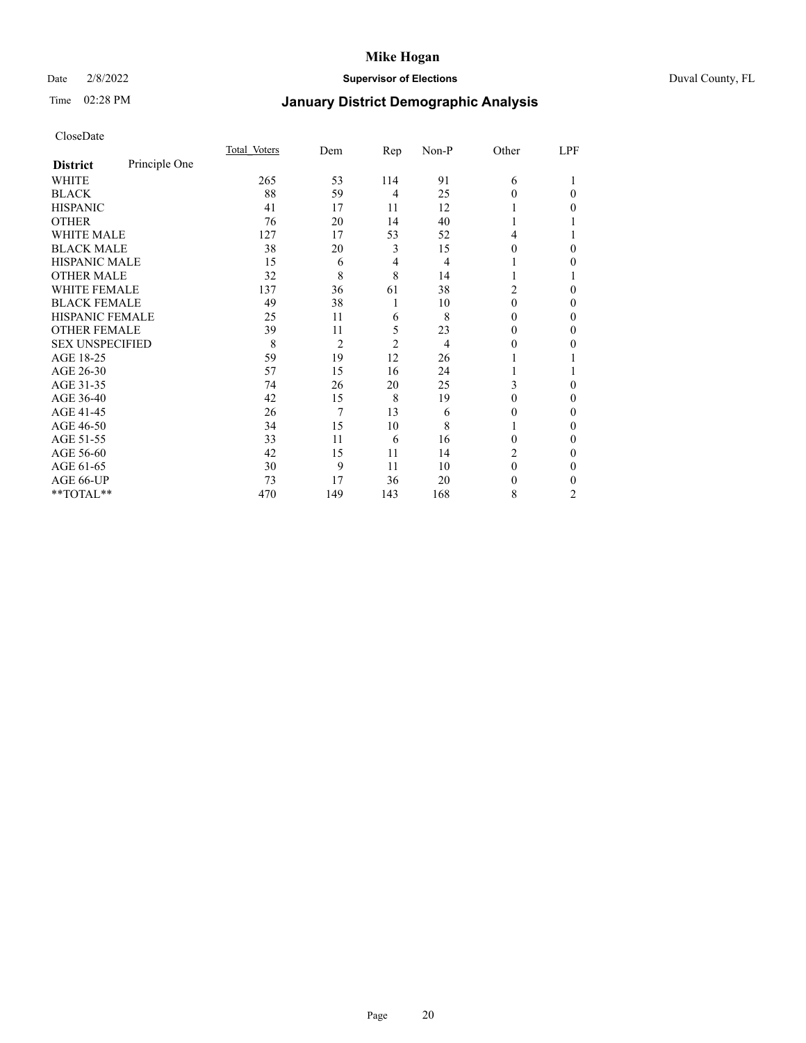### Date 2/8/2022 **Supervisor of Elections** Duval County, FL

# Time 02:28 PM **January District Demographic Analysis**

|                        |               | Total Voters | Dem            | Rep            | Non-P | Other          | LPF      |
|------------------------|---------------|--------------|----------------|----------------|-------|----------------|----------|
| <b>District</b>        | Principle One |              |                |                |       |                |          |
| WHITE                  |               | 265          | 53             | 114            | 91    | 6              |          |
| <b>BLACK</b>           |               | 88           | 59             | $\overline{4}$ | 25    | 0              | 0        |
| <b>HISPANIC</b>        |               | 41           | 17             | 11             | 12    |                | 0        |
| <b>OTHER</b>           |               | 76           | 20             | 14             | 40    |                |          |
| WHITE MALE             |               | 127          | 17             | 53             | 52    | 4              |          |
| <b>BLACK MALE</b>      |               | 38           | 20             | 3              | 15    | $\Omega$       | 0        |
| <b>HISPANIC MALE</b>   |               | 15           | 6              | 4              | 4     |                | 0        |
| <b>OTHER MALE</b>      |               | 32           | 8              | 8              | 14    |                |          |
| WHITE FEMALE           |               | 137          | 36             | 61             | 38    | $\overline{c}$ | 0        |
| <b>BLACK FEMALE</b>    |               | 49           | 38             | 1              | 10    | $\theta$       | $\Omega$ |
| <b>HISPANIC FEMALE</b> |               | 25           | 11             | 6              | 8     | 0              | 0        |
| <b>OTHER FEMALE</b>    |               | 39           | 11             | 5              | 23    | 0              | 0        |
| <b>SEX UNSPECIFIED</b> |               | 8            | $\overline{2}$ | $\overline{2}$ | 4     | 0              | 0        |
| AGE 18-25              |               | 59           | 19             | 12             | 26    |                |          |
| AGE 26-30              |               | 57           | 15             | 16             | 24    |                |          |
| AGE 31-35              |               | 74           | 26             | 20             | 25    | 3              | 0        |
| AGE 36-40              |               | 42           | 15             | 8              | 19    | 0              | 0        |
| AGE 41-45              |               | 26           | 7              | 13             | 6     | 0              | 0        |
| AGE 46-50              |               | 34           | 15             | 10             | 8     |                | 0        |
| AGE 51-55              |               | 33           | 11             | 6              | 16    | 0              | 0        |
| AGE 56-60              |               | 42           | 15             | 11             | 14    | 2              | $_{0}$   |
| AGE 61-65              |               | 30           | 9              | 11             | 10    | $\theta$       | 0        |
| AGE 66-UP              |               | 73           | 17             | 36             | 20    | 0              | 0        |
| **TOTAL**              |               | 470          | 149            | 143            | 168   | 8              | 2        |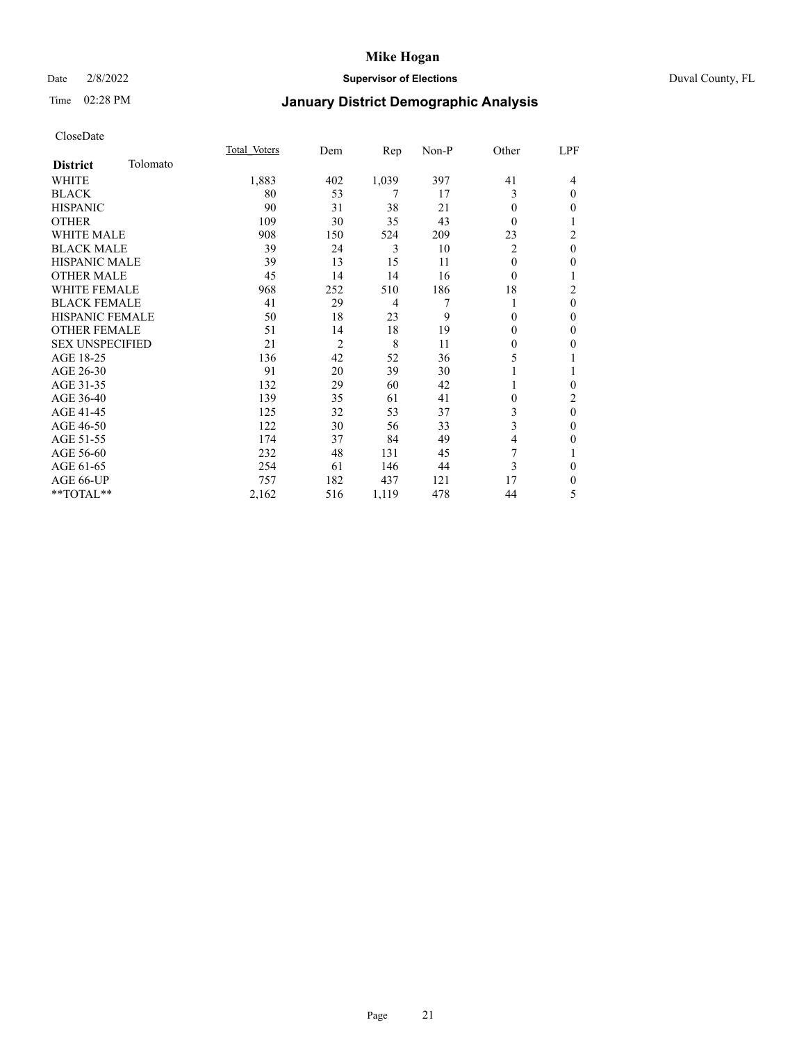### Date 2/8/2022 **Supervisor of Elections** Duval County, FL

# Time 02:28 PM **January District Demographic Analysis**

|                        |          | Total Voters | Dem            | Rep   | Non-P | Other          | LPF            |
|------------------------|----------|--------------|----------------|-------|-------|----------------|----------------|
| <b>District</b>        | Tolomato |              |                |       |       |                |                |
| WHITE                  |          | 1,883        | 402            | 1,039 | 397   | 41             | 4              |
| <b>BLACK</b>           |          | 80           | 53             | 7     | 17    | 3              | $\theta$       |
| <b>HISPANIC</b>        |          | 90           | 31             | 38    | 21    | 0              | $\mathbf{0}$   |
| <b>OTHER</b>           |          | 109          | 30             | 35    | 43    | 0              | 1              |
| <b>WHITE MALE</b>      |          | 908          | 150            | 524   | 209   | 23             | $\overline{2}$ |
| <b>BLACK MALE</b>      |          | 39           | 24             | 3     | 10    | $\overline{2}$ | $\mathbf{0}$   |
| <b>HISPANIC MALE</b>   |          | 39           | 13             | 15    | 11    | 0              | $\mathbf{0}$   |
| <b>OTHER MALE</b>      |          | 45           | 14             | 14    | 16    | $\theta$       | 1              |
| <b>WHITE FEMALE</b>    |          | 968          | 252            | 510   | 186   | 18             | $\overline{c}$ |
| <b>BLACK FEMALE</b>    |          | 41           | 29             | 4     | 7     |                | $\mathbf{0}$   |
| <b>HISPANIC FEMALE</b> |          | 50           | 18             | 23    | 9     | 0              | $\theta$       |
| <b>OTHER FEMALE</b>    |          | 51           | 14             | 18    | 19    | 0              | $\mathbf{0}$   |
| <b>SEX UNSPECIFIED</b> |          | 21           | $\overline{2}$ | 8     | 11    | 0              | $\theta$       |
| AGE 18-25              |          | 136          | 42             | 52    | 36    | 5              | 1              |
| AGE 26-30              |          | 91           | 20             | 39    | 30    |                | 1              |
| AGE 31-35              |          | 132          | 29             | 60    | 42    |                | $\mathbf{0}$   |
| AGE 36-40              |          | 139          | 35             | 61    | 41    | 0              | $\overline{c}$ |
| AGE 41-45              |          | 125          | 32             | 53    | 37    | 3              | $\mathbf{0}$   |
| AGE 46-50              |          | 122          | 30             | 56    | 33    | 3              | $\mathbf{0}$   |
| AGE 51-55              |          | 174          | 37             | 84    | 49    | 4              | $\mathbf{0}$   |
| AGE 56-60              |          | 232          | 48             | 131   | 45    | 7              | 1              |
| AGE 61-65              |          | 254          | 61             | 146   | 44    | 3              | $\theta$       |
| AGE 66-UP              |          | 757          | 182            | 437   | 121   | 17             | $\mathbf{0}$   |
| **TOTAL**              |          | 2,162        | 516            | 1,119 | 478   | 44             | 5              |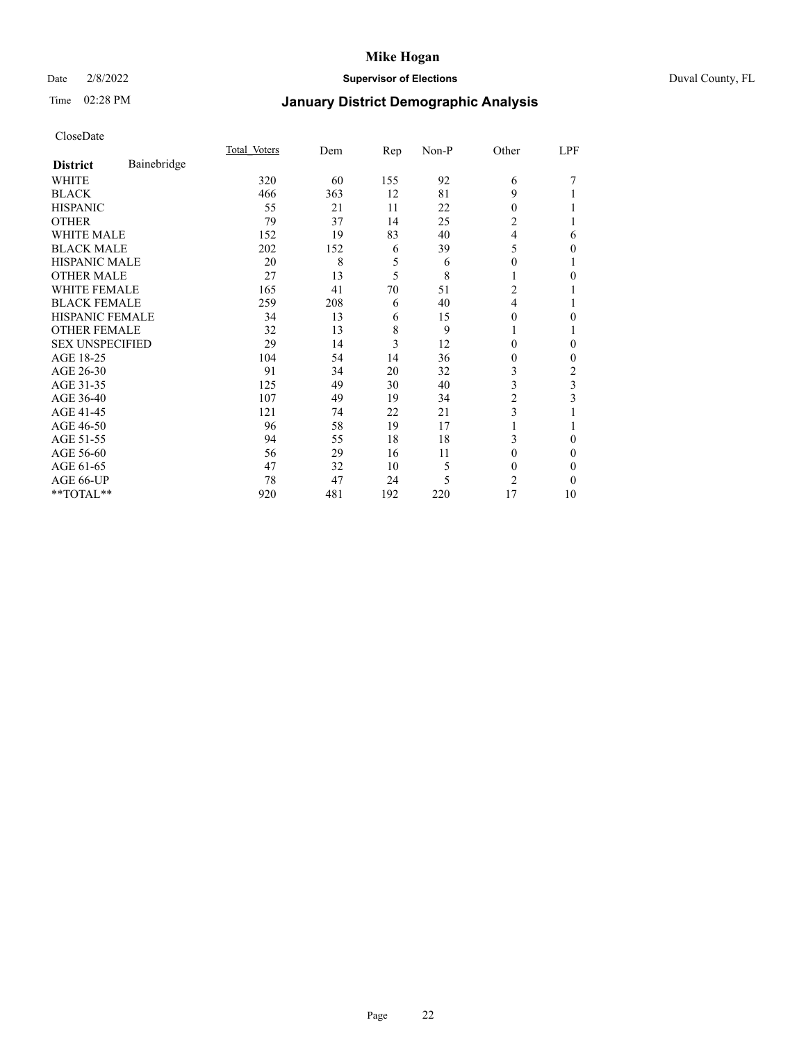### Date 2/8/2022 **Supervisor of Elections** Duval County, FL

# Time 02:28 PM **January District Demographic Analysis**

|                        |             | Total Voters | Dem | Rep | Non-P | Other          | LPF      |
|------------------------|-------------|--------------|-----|-----|-------|----------------|----------|
| <b>District</b>        | Bainebridge |              |     |     |       |                |          |
| WHITE                  |             | 320          | 60  | 155 | 92    | 6              |          |
| <b>BLACK</b>           |             | 466          | 363 | 12  | 81    | 9              |          |
| <b>HISPANIC</b>        |             | 55           | 21  | 11  | 22    | 0              |          |
| <b>OTHER</b>           |             | 79           | 37  | 14  | 25    | 2              |          |
| <b>WHITE MALE</b>      |             | 152          | 19  | 83  | 40    | 4              | 6        |
| <b>BLACK MALE</b>      |             | 202          | 152 | 6   | 39    | 5              | 0        |
| <b>HISPANIC MALE</b>   |             | 20           | 8   | 5   | 6     | $_{0}$         |          |
| <b>OTHER MALE</b>      |             | 27           | 13  | 5   | 8     |                | $\Omega$ |
| <b>WHITE FEMALE</b>    |             | 165          | 41  | 70  | 51    | 2              |          |
| <b>BLACK FEMALE</b>    |             | 259          | 208 | 6   | 40    | 4              |          |
| <b>HISPANIC FEMALE</b> |             | 34           | 13  | 6   | 15    | 0              | 0        |
| <b>OTHER FEMALE</b>    |             | 32           | 13  | 8   | 9     |                |          |
| <b>SEX UNSPECIFIED</b> |             | 29           | 14  | 3   | 12    | 0              | $\Omega$ |
| AGE 18-25              |             | 104          | 54  | 14  | 36    | $_{0}$         | $\Omega$ |
| AGE 26-30              |             | 91           | 34  | 20  | 32    | 3              | 2        |
| AGE 31-35              |             | 125          | 49  | 30  | 40    | 3              | 3        |
| AGE 36-40              |             | 107          | 49  | 19  | 34    | 2              | 3        |
| AGE 41-45              |             | 121          | 74  | 22  | 21    | 3              |          |
| AGE 46-50              |             | 96           | 58  | 19  | 17    |                |          |
| AGE 51-55              |             | 94           | 55  | 18  | 18    | 3              | $\Omega$ |
| AGE 56-60              |             | 56           | 29  | 16  | 11    | 0              | $\Omega$ |
| AGE 61-65              |             | 47           | 32  | 10  | 5     | 0              | $\Omega$ |
| AGE 66-UP              |             | 78           | 47  | 24  | 5     | $\overline{c}$ | $\Omega$ |
| $**TOTAL**$            |             | 920          | 481 | 192 | 220   | 17             | 10       |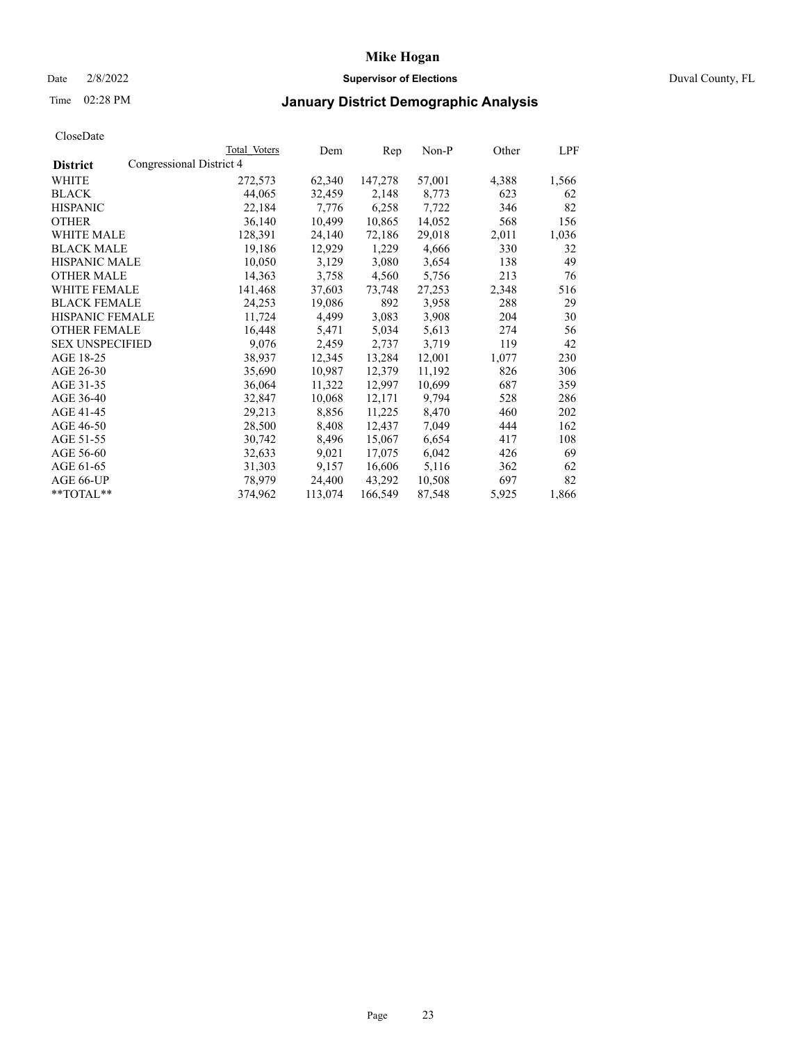## Date 2/8/2022 **Supervisor of Elections** Duval County, FL

## Time 02:28 PM **January District Demographic Analysis**

|                        | Total Voters             | Dem     | Rep     | Non-P  | Other | LPF   |
|------------------------|--------------------------|---------|---------|--------|-------|-------|
| <b>District</b>        | Congressional District 4 |         |         |        |       |       |
| WHITE                  | 272,573                  | 62,340  | 147,278 | 57,001 | 4,388 | 1,566 |
| <b>BLACK</b>           | 44,065                   | 32,459  | 2,148   | 8,773  | 623   | 62    |
| <b>HISPANIC</b>        | 22,184                   | 7,776   | 6,258   | 7,722  | 346   | 82    |
| <b>OTHER</b>           | 36,140                   | 10,499  | 10,865  | 14,052 | 568   | 156   |
| <b>WHITE MALE</b>      | 128,391                  | 24,140  | 72,186  | 29,018 | 2,011 | 1,036 |
| <b>BLACK MALE</b>      | 19,186                   | 12,929  | 1,229   | 4,666  | 330   | 32    |
| <b>HISPANIC MALE</b>   | 10,050                   | 3,129   | 3,080   | 3,654  | 138   | 49    |
| <b>OTHER MALE</b>      | 14,363                   | 3,758   | 4,560   | 5,756  | 213   | 76    |
| <b>WHITE FEMALE</b>    | 141,468                  | 37,603  | 73,748  | 27,253 | 2,348 | 516   |
| <b>BLACK FEMALE</b>    | 24,253                   | 19,086  | 892     | 3,958  | 288   | 29    |
| <b>HISPANIC FEMALE</b> | 11,724                   | 4,499   | 3,083   | 3,908  | 204   | 30    |
| <b>OTHER FEMALE</b>    | 16,448                   | 5,471   | 5,034   | 5,613  | 274   | 56    |
| <b>SEX UNSPECIFIED</b> | 9,076                    | 2,459   | 2,737   | 3,719  | 119   | 42    |
| AGE 18-25              | 38,937                   | 12,345  | 13,284  | 12,001 | 1,077 | 230   |
| AGE 26-30              | 35,690                   | 10,987  | 12,379  | 11,192 | 826   | 306   |
| AGE 31-35              | 36,064                   | 11,322  | 12,997  | 10,699 | 687   | 359   |
| AGE 36-40              | 32,847                   | 10,068  | 12,171  | 9,794  | 528   | 286   |
| AGE 41-45              | 29,213                   | 8,856   | 11,225  | 8,470  | 460   | 202   |
| AGE 46-50              | 28,500                   | 8,408   | 12,437  | 7,049  | 444   | 162   |
| AGE 51-55              | 30,742                   | 8,496   | 15,067  | 6,654  | 417   | 108   |
| AGE 56-60              | 32,633                   | 9,021   | 17,075  | 6,042  | 426   | 69    |
| AGE 61-65              | 31,303                   | 9,157   | 16,606  | 5,116  | 362   | 62    |
| AGE 66-UP              | 78,979                   | 24,400  | 43,292  | 10,508 | 697   | 82    |
| $*$ TOTAL $*$          | 374,962                  | 113,074 | 166,549 | 87,548 | 5,925 | 1,866 |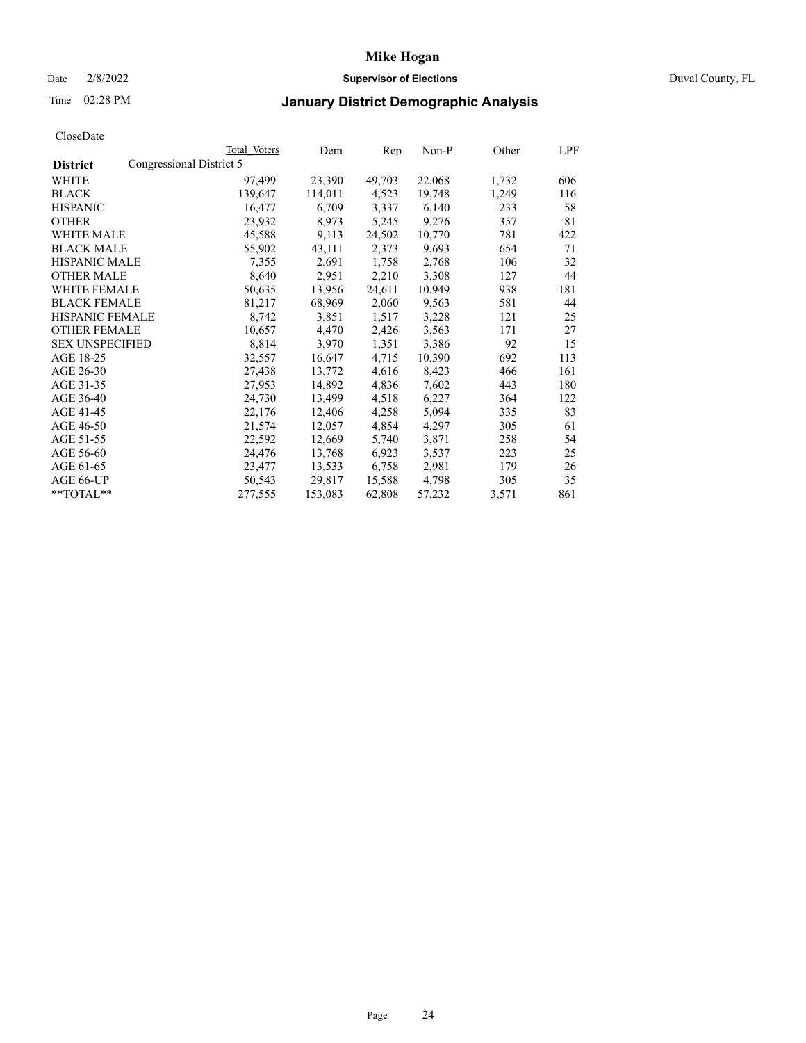### Date 2/8/2022 **Supervisor of Elections** Duval County, FL

## Time 02:28 PM **January District Demographic Analysis**

|                        |                          | Total Voters | Dem     | Rep    | Non-P  | Other | LPF |
|------------------------|--------------------------|--------------|---------|--------|--------|-------|-----|
| <b>District</b>        | Congressional District 5 |              |         |        |        |       |     |
| WHITE                  |                          | 97,499       | 23,390  | 49,703 | 22,068 | 1,732 | 606 |
| <b>BLACK</b>           |                          | 139,647      | 114,011 | 4,523  | 19,748 | 1,249 | 116 |
| <b>HISPANIC</b>        |                          | 16,477       | 6,709   | 3,337  | 6,140  | 233   | 58  |
| <b>OTHER</b>           |                          | 23,932       | 8,973   | 5,245  | 9,276  | 357   | 81  |
| WHITE MALE             |                          | 45,588       | 9,113   | 24,502 | 10,770 | 781   | 422 |
| <b>BLACK MALE</b>      |                          | 55,902       | 43,111  | 2,373  | 9,693  | 654   | 71  |
| <b>HISPANIC MALE</b>   |                          | 7,355        | 2,691   | 1,758  | 2,768  | 106   | 32  |
| <b>OTHER MALE</b>      |                          | 8,640        | 2,951   | 2,210  | 3,308  | 127   | 44  |
| <b>WHITE FEMALE</b>    |                          | 50,635       | 13,956  | 24,611 | 10,949 | 938   | 181 |
| <b>BLACK FEMALE</b>    |                          | 81,217       | 68,969  | 2,060  | 9,563  | 581   | 44  |
| <b>HISPANIC FEMALE</b> |                          | 8,742        | 3,851   | 1,517  | 3,228  | 121   | 25  |
| <b>OTHER FEMALE</b>    |                          | 10,657       | 4,470   | 2,426  | 3,563  | 171   | 27  |
| <b>SEX UNSPECIFIED</b> |                          | 8,814        | 3,970   | 1,351  | 3,386  | 92    | 15  |
| AGE 18-25              |                          | 32,557       | 16,647  | 4,715  | 10,390 | 692   | 113 |
| AGE 26-30              |                          | 27,438       | 13,772  | 4,616  | 8,423  | 466   | 161 |
| AGE 31-35              |                          | 27,953       | 14,892  | 4,836  | 7,602  | 443   | 180 |
| AGE 36-40              |                          | 24,730       | 13,499  | 4,518  | 6,227  | 364   | 122 |
| AGE 41-45              |                          | 22,176       | 12,406  | 4,258  | 5,094  | 335   | 83  |
| AGE 46-50              |                          | 21,574       | 12,057  | 4,854  | 4,297  | 305   | 61  |
| AGE 51-55              |                          | 22,592       | 12,669  | 5,740  | 3,871  | 258   | 54  |
| AGE 56-60              |                          | 24,476       | 13,768  | 6,923  | 3,537  | 223   | 25  |
| AGE 61-65              |                          | 23,477       | 13,533  | 6,758  | 2,981  | 179   | 26  |
| AGE 66-UP              |                          | 50,543       | 29,817  | 15,588 | 4,798  | 305   | 35  |
| $*$ $TOTAL**$          |                          | 277,555      | 153,083 | 62,808 | 57,232 | 3,571 | 861 |
|                        |                          |              |         |        |        |       |     |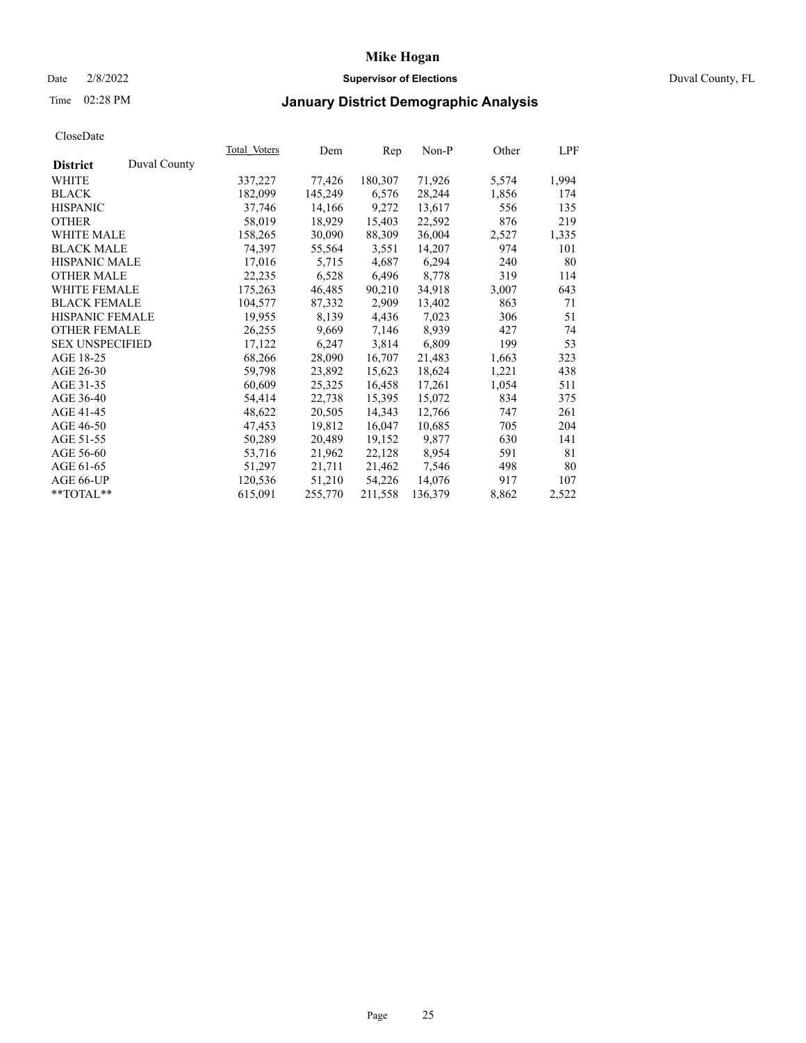### Date 2/8/2022 **Supervisor of Elections** Duval County, FL

## Time 02:28 PM **January District Demographic Analysis**

|                                 | Total Voters | Dem     | Rep     | Non-P   | Other | LPF   |
|---------------------------------|--------------|---------|---------|---------|-------|-------|
| Duval County<br><b>District</b> |              |         |         |         |       |       |
| WHITE                           | 337,227      | 77,426  | 180,307 | 71,926  | 5,574 | 1,994 |
| <b>BLACK</b>                    | 182,099      | 145,249 | 6,576   | 28,244  | 1,856 | 174   |
| <b>HISPANIC</b>                 | 37,746       | 14,166  | 9,272   | 13,617  | 556   | 135   |
| <b>OTHER</b>                    | 58,019       | 18,929  | 15,403  | 22,592  | 876   | 219   |
| <b>WHITE MALE</b>               | 158,265      | 30,090  | 88,309  | 36,004  | 2,527 | 1,335 |
| <b>BLACK MALE</b>               | 74,397       | 55,564  | 3,551   | 14,207  | 974   | 101   |
| <b>HISPANIC MALE</b>            | 17,016       | 5,715   | 4,687   | 6,294   | 240   | 80    |
| <b>OTHER MALE</b>               | 22,235       | 6,528   | 6,496   | 8,778   | 319   | 114   |
| <b>WHITE FEMALE</b>             | 175,263      | 46,485  | 90,210  | 34,918  | 3,007 | 643   |
| <b>BLACK FEMALE</b>             | 104,577      | 87,332  | 2,909   | 13,402  | 863   | 71    |
| HISPANIC FEMALE                 | 19,955       | 8,139   | 4,436   | 7,023   | 306   | 51    |
| <b>OTHER FEMALE</b>             | 26,255       | 9,669   | 7,146   | 8,939   | 427   | 74    |
| <b>SEX UNSPECIFIED</b>          | 17,122       | 6,247   | 3,814   | 6,809   | 199   | 53    |
| AGE 18-25                       | 68,266       | 28,090  | 16,707  | 21,483  | 1,663 | 323   |
| AGE 26-30                       | 59,798       | 23,892  | 15,623  | 18,624  | 1,221 | 438   |
| AGE 31-35                       | 60,609       | 25,325  | 16,458  | 17,261  | 1,054 | 511   |
| AGE 36-40                       | 54,414       | 22,738  | 15,395  | 15,072  | 834   | 375   |
| AGE 41-45                       | 48,622       | 20,505  | 14,343  | 12,766  | 747   | 261   |
| AGE 46-50                       | 47,453       | 19,812  | 16,047  | 10,685  | 705   | 204   |
| AGE 51-55                       | 50,289       | 20,489  | 19,152  | 9,877   | 630   | 141   |
| AGE 56-60                       | 53,716       | 21,962  | 22,128  | 8,954   | 591   | 81    |
| AGE 61-65                       | 51,297       | 21,711  | 21,462  | 7,546   | 498   | 80    |
| AGE 66-UP                       | 120,536      | 51,210  | 54,226  | 14,076  | 917   | 107   |
| **TOTAL**                       | 615,091      | 255,770 | 211,558 | 136,379 | 8,862 | 2,522 |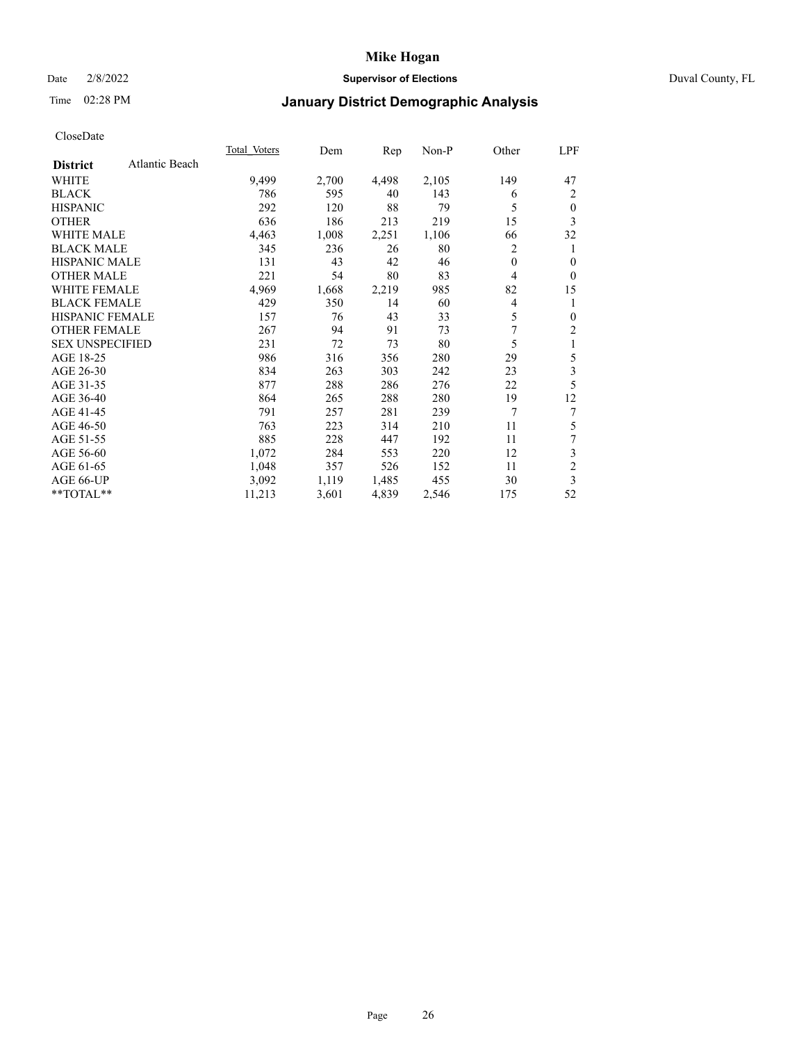### Date 2/8/2022 **Supervisor of Elections** Duval County, FL

## Time 02:28 PM **January District Demographic Analysis**

|                                   | Total Voters | Dem   | Rep   | Non-P | Other | LPF            |
|-----------------------------------|--------------|-------|-------|-------|-------|----------------|
| Atlantic Beach<br><b>District</b> |              |       |       |       |       |                |
| WHITE                             | 9,499        | 2,700 | 4,498 | 2,105 | 149   | 47             |
| <b>BLACK</b>                      | 786          | 595   | 40    | 143   | 6     | 2              |
| <b>HISPANIC</b>                   | 292          | 120   | 88    | 79    | 5     | $\mathbf{0}$   |
| <b>OTHER</b>                      | 636          | 186   | 213   | 219   | 15    | 3              |
| <b>WHITE MALE</b>                 | 4,463        | 1,008 | 2,251 | 1,106 | 66    | 32             |
| <b>BLACK MALE</b>                 | 345          | 236   | 26    | 80    | 2     | 1              |
| HISPANIC MALE                     | 131          | 43    | 42    | 46    | 0     | $\mathbf{0}$   |
| <b>OTHER MALE</b>                 | 221          | 54    | 80    | 83    | 4     | $\Omega$       |
| <b>WHITE FEMALE</b>               | 4,969        | 1,668 | 2,219 | 985   | 82    | 15             |
| <b>BLACK FEMALE</b>               | 429          | 350   | 14    | 60    | 4     | 1              |
| <b>HISPANIC FEMALE</b>            | 157          | 76    | 43    | 33    | 5     | $\mathbf{0}$   |
| <b>OTHER FEMALE</b>               | 267          | 94    | 91    | 73    | 7     | $\overline{c}$ |
| <b>SEX UNSPECIFIED</b>            | 231          | 72    | 73    | 80    | 5     | 1              |
| AGE 18-25                         | 986          | 316   | 356   | 280   | 29    | 5              |
| AGE 26-30                         | 834          | 263   | 303   | 242   | 23    | 3              |
| AGE 31-35                         | 877          | 288   | 286   | 276   | 22    | 5              |
| AGE 36-40                         | 864          | 265   | 288   | 280   | 19    | 12             |
| AGE 41-45                         | 791          | 257   | 281   | 239   | 7     | 7              |
| AGE 46-50                         | 763          | 223   | 314   | 210   | 11    | 5              |
| AGE 51-55                         | 885          | 228   | 447   | 192   | 11    | 7              |
| AGE 56-60                         | 1,072        | 284   | 553   | 220   | 12    | 3              |
| AGE 61-65                         | 1,048        | 357   | 526   | 152   | 11    | $\overline{c}$ |
| AGE 66-UP                         | 3,092        | 1,119 | 1,485 | 455   | 30    | 3              |
| **TOTAL**                         | 11,213       | 3,601 | 4,839 | 2,546 | 175   | 52             |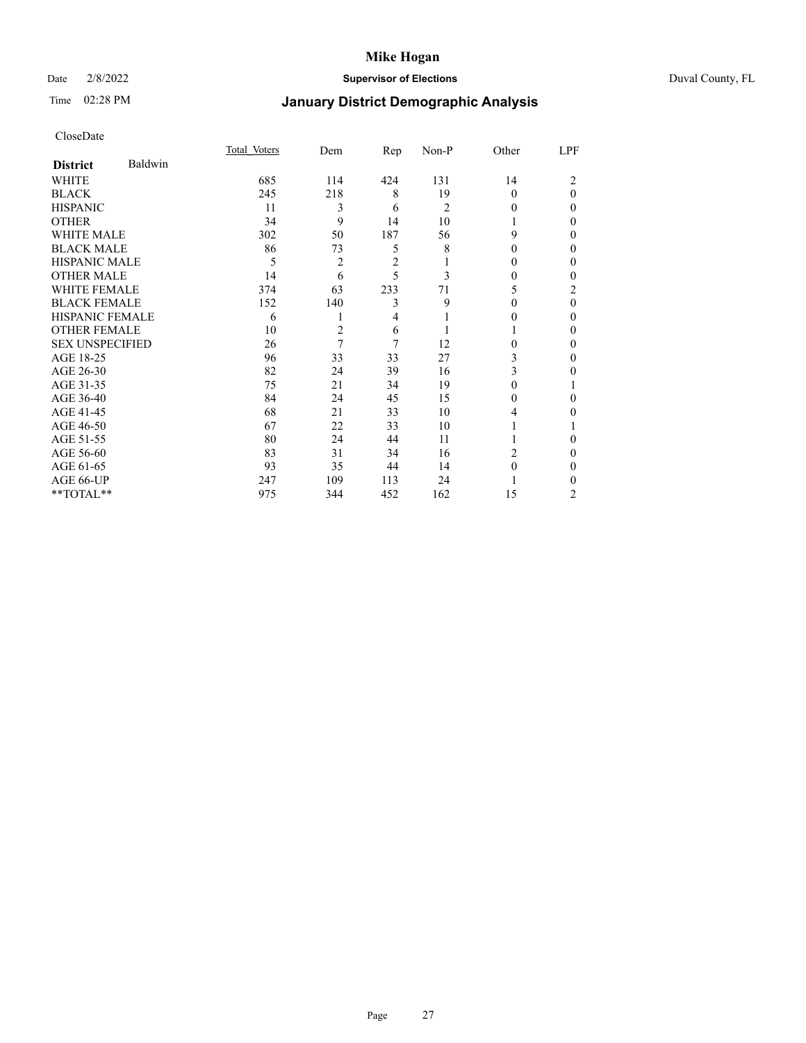### Date 2/8/2022 **Supervisor of Elections** Duval County, FL

# Time 02:28 PM **January District Demographic Analysis**

|                        |         | Total Voters | Dem | Rep            | Non-P          | Other    | LPF      |
|------------------------|---------|--------------|-----|----------------|----------------|----------|----------|
| <b>District</b>        | Baldwin |              |     |                |                |          |          |
| WHITE                  |         | 685          | 114 | 424            | 131            | 14       | 2        |
| <b>BLACK</b>           |         | 245          | 218 | 8              | 19             | $\Omega$ | $\Omega$ |
| <b>HISPANIC</b>        |         | 11           | 3   | 6              | $\overline{c}$ | $\theta$ | $_{0}$   |
| <b>OTHER</b>           |         | 34           | 9   | 14             | 10             |          | 0        |
| <b>WHITE MALE</b>      |         | 302          | 50  | 187            | 56             | 9        | $_{0}$   |
| <b>BLACK MALE</b>      |         | 86           | 73  | 5              | 8              | 0        | 0        |
| <b>HISPANIC MALE</b>   |         | 5            | 2   | $\overline{2}$ |                | 0        | 0        |
| <b>OTHER MALE</b>      |         | 14           | 6   | 5              | 3              | $_{0}$   | 0        |
| WHITE FEMALE           |         | 374          | 63  | 233            | 71             | 5        | 2        |
| <b>BLACK FEMALE</b>    |         | 152          | 140 | 3              | 9              | 0        | 0        |
| <b>HISPANIC FEMALE</b> |         | 6            | 1   | 4              |                | 0        | 0        |
| <b>OTHER FEMALE</b>    |         | 10           | 2   | 6              |                |          | $_{0}$   |
| <b>SEX UNSPECIFIED</b> |         | 26           | 7   | 7              | 12             | 0        | 0        |
| AGE 18-25              |         | 96           | 33  | 33             | 27             | 3        | 0        |
| AGE 26-30              |         | 82           | 24  | 39             | 16             | 3        | 0        |
| AGE 31-35              |         | 75           | 21  | 34             | 19             | 0        |          |
| AGE 36-40              |         | 84           | 24  | 45             | 15             | 0        | 0        |
| AGE 41-45              |         | 68           | 21  | 33             | 10             | 4        | 0        |
| AGE 46-50              |         | 67           | 22  | 33             | 10             |          |          |
| AGE 51-55              |         | 80           | 24  | 44             | 11             |          | 0        |
| AGE 56-60              |         | 83           | 31  | 34             | 16             | 2        | $_{0}$   |
| AGE 61-65              |         | 93           | 35  | 44             | 14             | $\Omega$ | 0        |
| AGE 66-UP              |         | 247          | 109 | 113            | 24             |          | 0        |
| **TOTAL**              |         | 975          | 344 | 452            | 162            | 15       | 2        |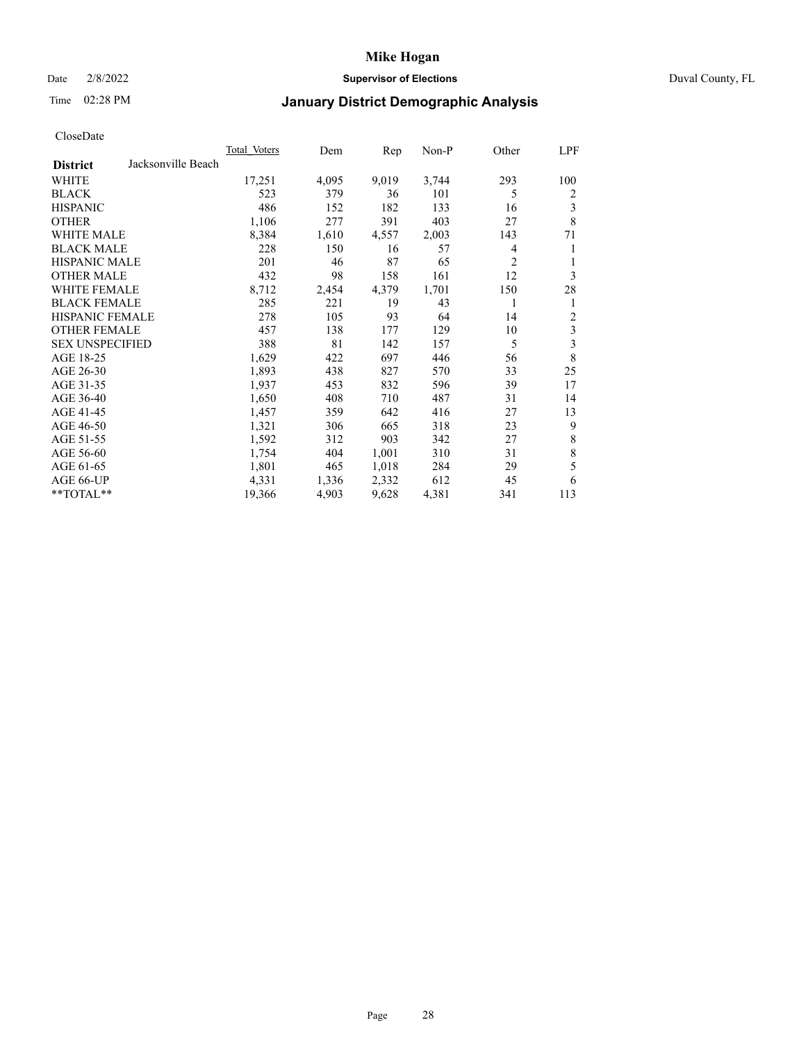### Date 2/8/2022 **Supervisor of Elections** Duval County, FL

## Time 02:28 PM **January District Demographic Analysis**

|                        |                    | <b>Total Voters</b> | Dem   | Rep   | $Non-P$ | Other          | LPF         |
|------------------------|--------------------|---------------------|-------|-------|---------|----------------|-------------|
| <b>District</b>        | Jacksonville Beach |                     |       |       |         |                |             |
| WHITE                  |                    | 17,251              | 4,095 | 9,019 | 3,744   | 293            | 100         |
| <b>BLACK</b>           |                    | 523                 | 379   | 36    | 101     | 5              | 2           |
| <b>HISPANIC</b>        |                    | 486                 | 152   | 182   | 133     | 16             | 3           |
| <b>OTHER</b>           |                    | 1,106               | 277   | 391   | 403     | 27             | 8           |
| <b>WHITE MALE</b>      |                    | 8,384               | 1,610 | 4,557 | 2,003   | 143            | 71          |
| <b>BLACK MALE</b>      |                    | 228                 | 150   | 16    | 57      | 4              | 1           |
| <b>HISPANIC MALE</b>   |                    | 201                 | 46    | 87    | 65      | $\overline{2}$ | 1           |
| <b>OTHER MALE</b>      |                    | 432                 | 98    | 158   | 161     | 12             | 3           |
| WHITE FEMALE           |                    | 8,712               | 2,454 | 4,379 | 1,701   | 150            | 28          |
| <b>BLACK FEMALE</b>    |                    | 285                 | 221   | 19    | 43      | 1              | 1           |
| HISPANIC FEMALE        |                    | 278                 | 105   | 93    | 64      | 14             | 2           |
| <b>OTHER FEMALE</b>    |                    | 457                 | 138   | 177   | 129     | 10             | 3           |
| <b>SEX UNSPECIFIED</b> |                    | 388                 | 81    | 142   | 157     | 5              | 3           |
| AGE 18-25              |                    | 1,629               | 422   | 697   | 446     | 56             | 8           |
| AGE 26-30              |                    | 1,893               | 438   | 827   | 570     | 33             | 25          |
| AGE 31-35              |                    | 1,937               | 453   | 832   | 596     | 39             | 17          |
| AGE 36-40              |                    | 1,650               | 408   | 710   | 487     | 31             | 14          |
| AGE 41-45              |                    | 1,457               | 359   | 642   | 416     | 27             | 13          |
| AGE 46-50              |                    | 1,321               | 306   | 665   | 318     | 23             | 9           |
| AGE 51-55              |                    | 1,592               | 312   | 903   | 342     | 27             | 8           |
| AGE 56-60              |                    | 1,754               | 404   | 1,001 | 310     | 31             | $\,$ 8 $\,$ |
| AGE 61-65              |                    | 1,801               | 465   | 1,018 | 284     | 29             | 5           |
| AGE 66-UP              |                    | 4,331               | 1,336 | 2,332 | 612     | 45             | 6           |
| **TOTAL**              |                    | 19,366              | 4,903 | 9,628 | 4,381   | 341            | 113         |
|                        |                    |                     |       |       |         |                |             |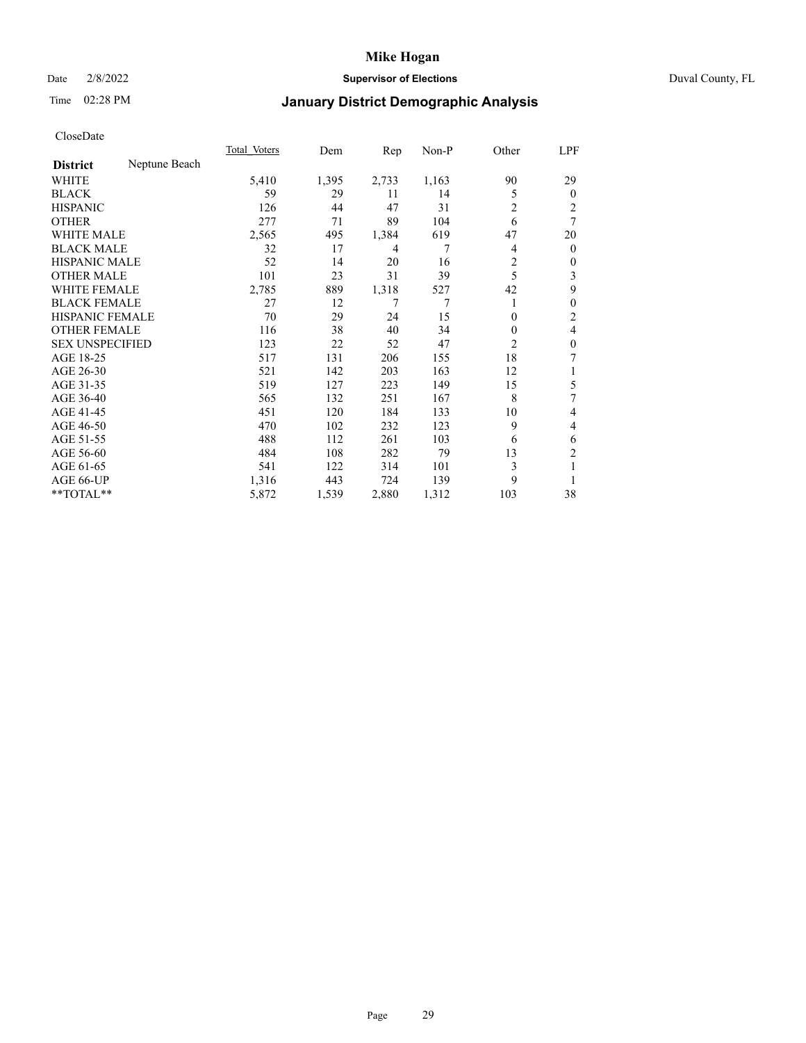### Date 2/8/2022 **Supervisor of Elections** Duval County, FL

# Time 02:28 PM **January District Demographic Analysis**

|                        |               | Total Voters | Dem   | $\mathbf{Rep}$ | Non-P | Other          | LPF            |
|------------------------|---------------|--------------|-------|----------------|-------|----------------|----------------|
| <b>District</b>        | Neptune Beach |              |       |                |       |                |                |
| WHITE                  |               | 5,410        | 1,395 | 2,733          | 1,163 | 90             | 29             |
| <b>BLACK</b>           |               | 59           | 29    | 11             | 14    | 5              | $\overline{0}$ |
| <b>HISPANIC</b>        |               | 126          | 44    | 47             | 31    | 2              | 2              |
| <b>OTHER</b>           |               | 277          | 71    | 89             | 104   | 6              | 7              |
| <b>WHITE MALE</b>      |               | 2,565        | 495   | 1,384          | 619   | 47             | 20             |
| <b>BLACK MALE</b>      |               | 32           | 17    | 4              | 7     | 4              | $\overline{0}$ |
| <b>HISPANIC MALE</b>   |               | 52           | 14    | 20             | 16    | 2              | 0              |
| <b>OTHER MALE</b>      |               | 101          | 23    | 31             | 39    | 5              | 3              |
| WHITE FEMALE           |               | 2,785        | 889   | 1,318          | 527   | 42             | 9              |
| <b>BLACK FEMALE</b>    |               | 27           | 12    | 7              | 7     | 1              | 0              |
| <b>HISPANIC FEMALE</b> |               | 70           | 29    | 24             | 15    | $\Omega$       | 2              |
| <b>OTHER FEMALE</b>    |               | 116          | 38    | 40             | 34    | $\Omega$       | 4              |
| <b>SEX UNSPECIFIED</b> |               | 123          | 22    | 52             | 47    | $\overline{2}$ | 0              |
| AGE 18-25              |               | 517          | 131   | 206            | 155   | 18             | 7              |
| AGE 26-30              |               | 521          | 142   | 203            | 163   | 12             | 1              |
| AGE 31-35              |               | 519          | 127   | 223            | 149   | 15             | 5              |
| AGE 36-40              |               | 565          | 132   | 251            | 167   | 8              | 7              |
| AGE 41-45              |               | 451          | 120   | 184            | 133   | 10             | 4              |
| AGE 46-50              |               | 470          | 102   | 232            | 123   | 9              | 4              |
| AGE 51-55              |               | 488          | 112   | 261            | 103   | 6              | 6              |
| AGE 56-60              |               | 484          | 108   | 282            | 79    | 13             | $\overline{2}$ |
| AGE 61-65              |               | 541          | 122   | 314            | 101   | 3              |                |
| AGE 66-UP              |               | 1,316        | 443   | 724            | 139   | 9              |                |
| **TOTAL**              |               | 5,872        | 1,539 | 2,880          | 1,312 | 103            | 38             |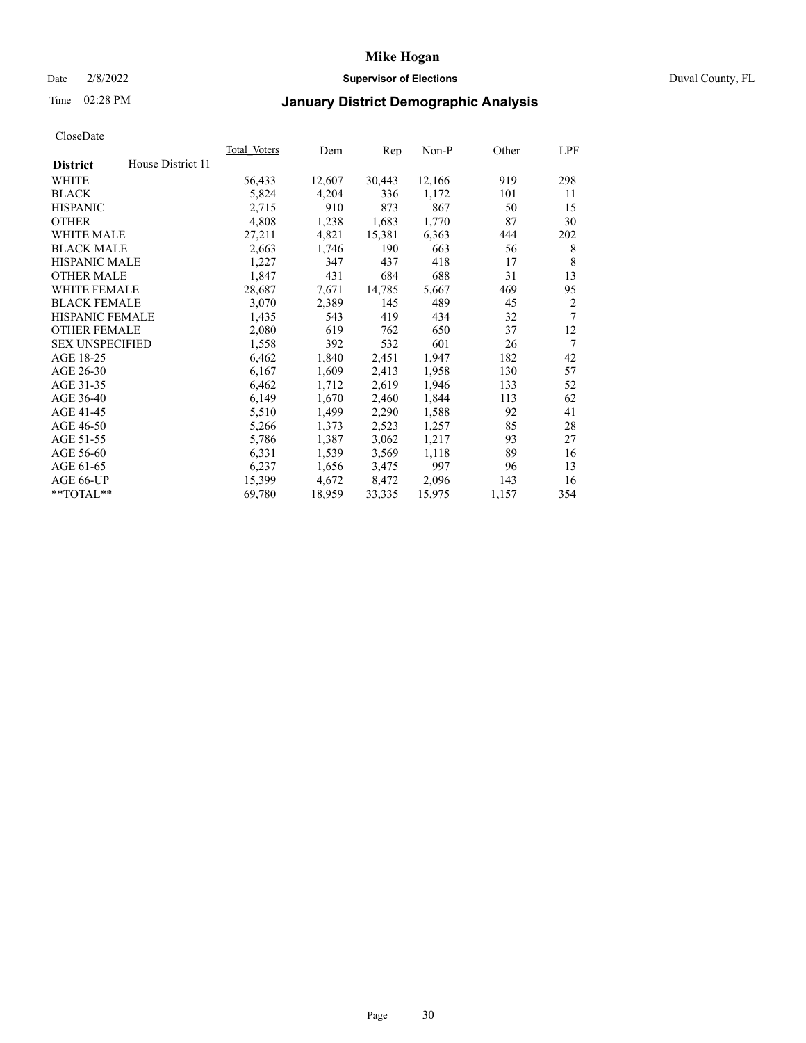### Date 2/8/2022 **Supervisor of Elections** Duval County, FL

## Time 02:28 PM **January District Demographic Analysis**

| <b>Total Voters</b> | Dem    | Rep    | $Non-P$ | Other | LPF |
|---------------------|--------|--------|---------|-------|-----|
|                     |        |        |         |       |     |
| 56,433              | 12,607 | 30,443 | 12,166  | 919   | 298 |
| 5,824               | 4,204  | 336    | 1,172   | 101   | 11  |
| 2,715               | 910    | 873    | 867     | 50    | 15  |
| 4,808               | 1,238  | 1,683  | 1,770   | 87    | 30  |
| 27,211              | 4,821  | 15,381 | 6,363   | 444   | 202 |
| 2,663               | 1,746  | 190    | 663     | 56    | 8   |
| 1,227               | 347    | 437    | 418     | 17    | 8   |
| 1,847               | 431    | 684    | 688     | 31    | 13  |
|                     | 7,671  | 14,785 | 5,667   | 469   | 95  |
| 3,070               | 2,389  | 145    | 489     | 45    | 2   |
| 1,435               | 543    | 419    | 434     | 32    | 7   |
| 2,080               | 619    | 762    | 650     | 37    | 12  |
| 1,558               | 392    | 532    | 601     | 26    | 7   |
| 6,462               | 1,840  | 2,451  | 1,947   | 182   | 42  |
| 6,167               | 1,609  | 2,413  | 1,958   | 130   | 57  |
| 6,462               | 1,712  | 2,619  | 1,946   | 133   | 52  |
| 6,149               | 1,670  | 2,460  | 1,844   | 113   | 62  |
| 5,510               | 1,499  | 2,290  | 1,588   | 92    | 41  |
| 5,266               | 1,373  | 2,523  | 1,257   | 85    | 28  |
| 5,786               | 1,387  | 3,062  | 1,217   | 93    | 27  |
| 6,331               | 1,539  | 3,569  | 1,118   | 89    | 16  |
| 6,237               | 1,656  | 3,475  | 997     | 96    | 13  |
| 15,399              | 4,672  | 8,472  | 2,096   | 143   | 16  |
| 69,780              | 18,959 | 33,335 | 15,975  | 1,157 | 354 |
|                     | 28,687 |        |         |       |     |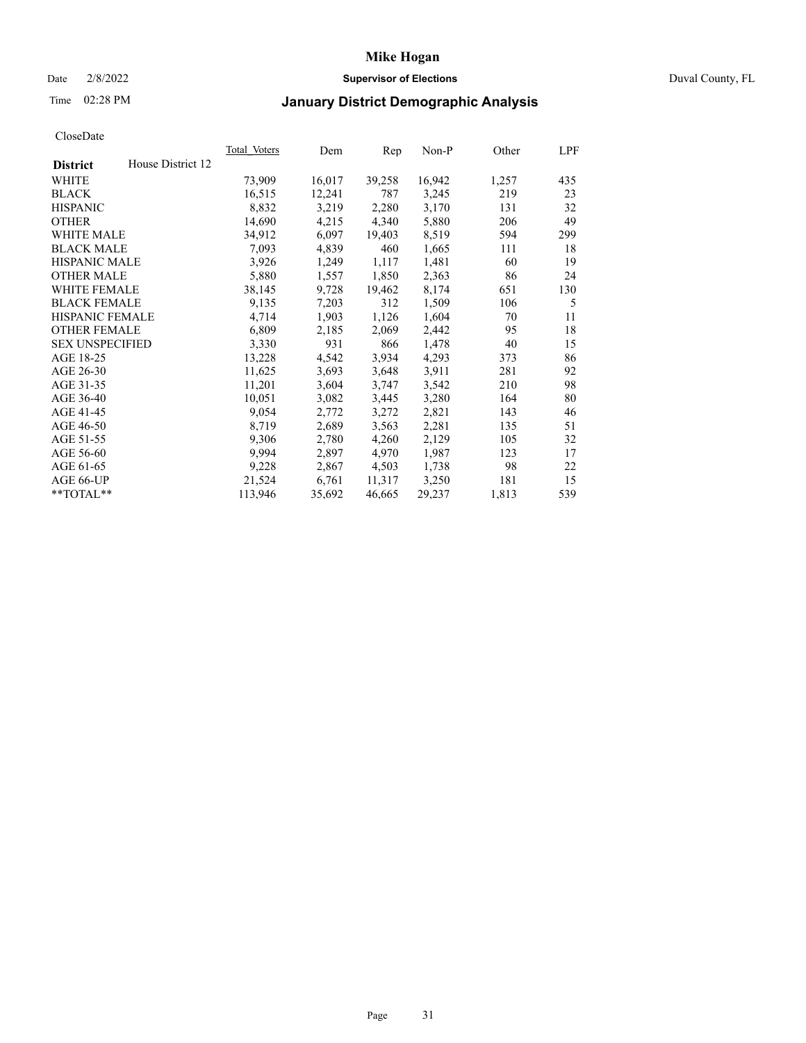## Date 2/8/2022 **Supervisor of Elections** Duval County, FL

## Time 02:28 PM **January District Demographic Analysis**

|                        |                   | Total Voters | Dem    | Rep    | Non-P  | Other | LPF |
|------------------------|-------------------|--------------|--------|--------|--------|-------|-----|
| <b>District</b>        | House District 12 |              |        |        |        |       |     |
| WHITE                  |                   | 73,909       | 16,017 | 39,258 | 16,942 | 1,257 | 435 |
| <b>BLACK</b>           |                   | 16,515       | 12,241 | 787    | 3,245  | 219   | 23  |
| <b>HISPANIC</b>        |                   | 8,832        | 3,219  | 2,280  | 3,170  | 131   | 32  |
| <b>OTHER</b>           |                   | 14,690       | 4,215  | 4,340  | 5,880  | 206   | 49  |
| <b>WHITE MALE</b>      |                   | 34,912       | 6,097  | 19,403 | 8,519  | 594   | 299 |
| <b>BLACK MALE</b>      |                   | 7,093        | 4,839  | 460    | 1,665  | 111   | 18  |
| <b>HISPANIC MALE</b>   |                   | 3,926        | 1,249  | 1,117  | 1,481  | 60    | 19  |
| <b>OTHER MALE</b>      |                   | 5,880        | 1,557  | 1,850  | 2,363  | 86    | 24  |
| WHITE FEMALE           |                   | 38,145       | 9,728  | 19,462 | 8,174  | 651   | 130 |
| <b>BLACK FEMALE</b>    |                   | 9,135        | 7,203  | 312    | 1,509  | 106   | 5   |
| <b>HISPANIC FEMALE</b> |                   | 4,714        | 1,903  | 1,126  | 1,604  | 70    | 11  |
| <b>OTHER FEMALE</b>    |                   | 6,809        | 2,185  | 2,069  | 2,442  | 95    | 18  |
| <b>SEX UNSPECIFIED</b> |                   | 3,330        | 931    | 866    | 1,478  | 40    | 15  |
| AGE 18-25              |                   | 13,228       | 4,542  | 3,934  | 4,293  | 373   | 86  |
| AGE 26-30              |                   | 11,625       | 3,693  | 3,648  | 3,911  | 281   | 92  |
| AGE 31-35              |                   | 11,201       | 3,604  | 3,747  | 3,542  | 210   | 98  |
| AGE 36-40              |                   | 10,051       | 3,082  | 3,445  | 3,280  | 164   | 80  |
| AGE 41-45              |                   | 9,054        | 2,772  | 3,272  | 2,821  | 143   | 46  |
| AGE 46-50              |                   | 8,719        | 2,689  | 3,563  | 2,281  | 135   | 51  |
| AGE 51-55              |                   | 9,306        | 2,780  | 4,260  | 2,129  | 105   | 32  |
| AGE 56-60              |                   | 9,994        | 2,897  | 4,970  | 1,987  | 123   | 17  |
| AGE 61-65              |                   | 9,228        | 2,867  | 4,503  | 1,738  | 98    | 22  |
| AGE 66-UP              |                   | 21,524       | 6,761  | 11,317 | 3,250  | 181   | 15  |
| $*$ TOTAL $*$          |                   | 113,946      | 35,692 | 46,665 | 29,237 | 1,813 | 539 |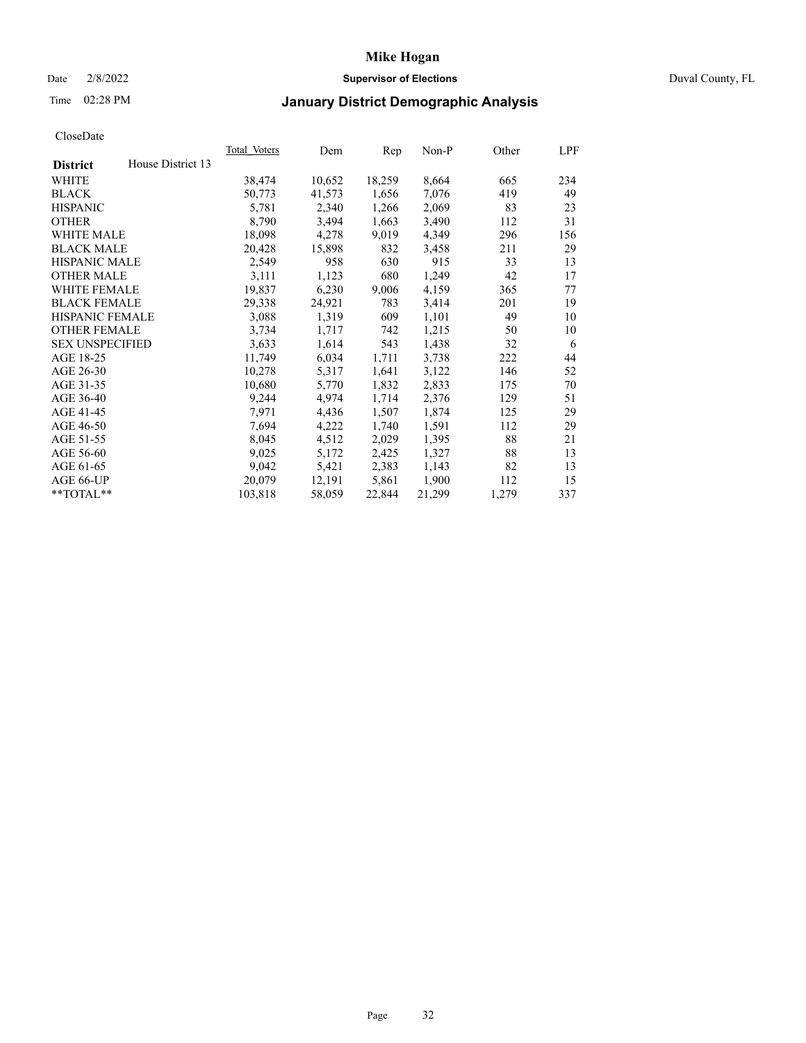### Date 2/8/2022 **Supervisor of Elections** Duval County, FL

## Time 02:28 PM **January District Demographic Analysis**

| Total Voters | Dem    | Rep    | $Non-P$ | Other | LPF |
|--------------|--------|--------|---------|-------|-----|
|              |        |        |         |       |     |
| 38,474       | 10,652 | 18,259 | 8,664   | 665   | 234 |
| 50,773       | 41,573 | 1,656  | 7,076   | 419   | 49  |
| 5,781        | 2,340  | 1,266  | 2,069   | 83    | 23  |
| 8,790        | 3,494  | 1,663  | 3,490   | 112   | 31  |
| 18,098       | 4,278  | 9,019  | 4,349   | 296   | 156 |
| 20,428       | 15,898 | 832    | 3,458   | 211   | 29  |
| 2,549        | 958    | 630    | 915     | 33    | 13  |
| 3,111        | 1,123  | 680    | 1,249   | 42    | 17  |
| 19,837       | 6,230  | 9,006  | 4,159   | 365   | 77  |
| 29,338       | 24,921 | 783    | 3,414   | 201   | 19  |
| 3,088        | 1,319  | 609    | 1,101   | 49    | 10  |
| 3,734        | 1,717  | 742    | 1,215   | 50    | 10  |
| 3,633        | 1,614  | 543    | 1,438   | 32    | 6   |
| 11,749       | 6,034  | 1,711  | 3,738   | 222   | 44  |
| 10,278       | 5,317  | 1,641  | 3,122   | 146   | 52  |
| 10,680       | 5,770  | 1,832  | 2,833   | 175   | 70  |
| 9,244        | 4,974  | 1,714  | 2,376   | 129   | 51  |
| 7,971        | 4,436  | 1,507  | 1,874   | 125   | 29  |
| 7,694        | 4,222  | 1,740  | 1,591   | 112   | 29  |
| 8,045        | 4,512  | 2,029  | 1,395   | 88    | 21  |
| 9,025        | 5,172  | 2,425  | 1,327   | 88    | 13  |
| 9,042        | 5,421  | 2,383  | 1,143   | 82    | 13  |
| 20,079       | 12,191 | 5,861  | 1,900   | 112   | 15  |
| 103,818      | 58,059 | 22,844 | 21,299  | 1,279 | 337 |
|              |        |        |         |       |     |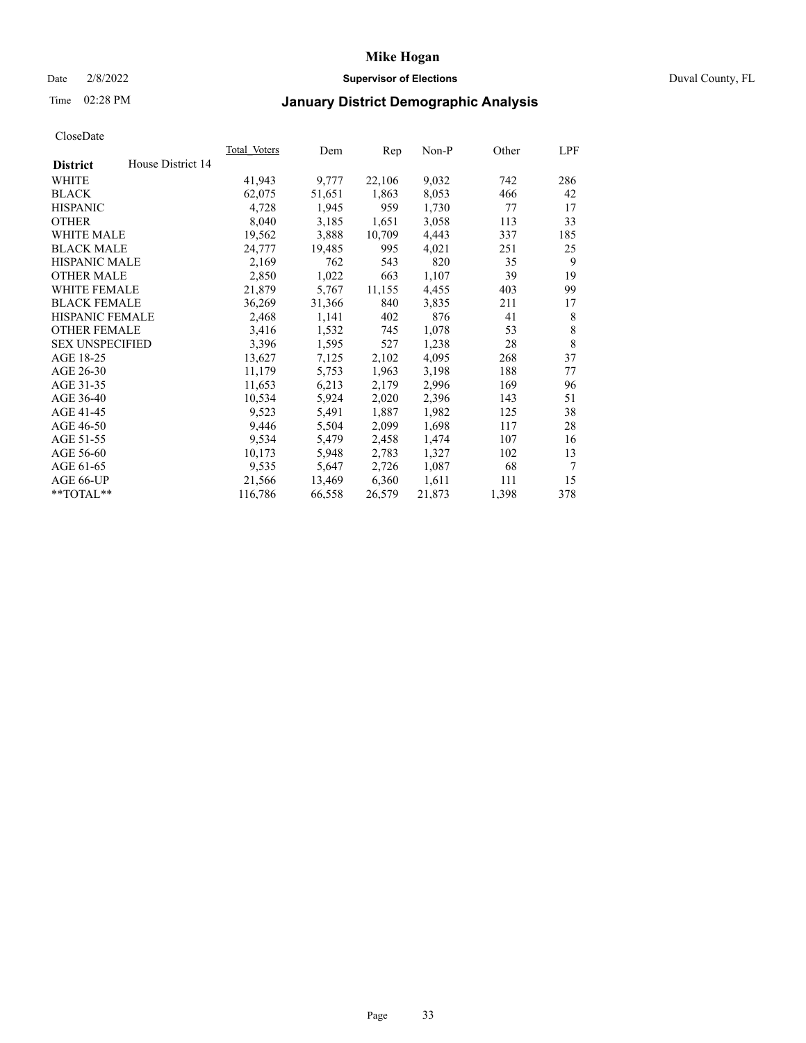### Date 2/8/2022 **Supervisor of Elections** Duval County, FL

## Time 02:28 PM **January District Demographic Analysis**

| <b>Total Voters</b> | Dem    | Rep    | $Non-P$ | Other | LPF |
|---------------------|--------|--------|---------|-------|-----|
|                     |        |        |         |       |     |
| 41,943              | 9,777  | 22,106 | 9,032   | 742   | 286 |
| 62,075              | 51,651 | 1,863  | 8,053   | 466   | 42  |
| 4,728               | 1,945  | 959    | 1,730   | 77    | 17  |
| 8,040               | 3,185  | 1,651  | 3,058   | 113   | 33  |
| 19,562              | 3,888  | 10,709 | 4,443   | 337   | 185 |
| 24,777              | 19,485 | 995    | 4,021   | 251   | 25  |
| 2,169               | 762    | 543    | 820     | 35    | 9   |
| 2,850               | 1,022  | 663    | 1,107   | 39    | 19  |
| 21,879              | 5,767  | 11,155 | 4,455   | 403   | 99  |
| 36,269              | 31,366 | 840    | 3,835   | 211   | 17  |
| 2,468               | 1,141  | 402    | 876     | 41    | 8   |
| 3,416               | 1,532  | 745    | 1,078   | 53    | 8   |
| 3,396               | 1,595  | 527    | 1,238   | 28    | 8   |
| 13,627              | 7,125  | 2,102  | 4,095   | 268   | 37  |
| 11,179              | 5,753  | 1,963  | 3,198   | 188   | 77  |
| 11,653              | 6,213  | 2,179  | 2,996   | 169   | 96  |
| 10,534              | 5,924  | 2,020  | 2,396   | 143   | 51  |
| 9,523               | 5,491  | 1,887  | 1,982   | 125   | 38  |
| 9,446               | 5,504  | 2,099  | 1,698   | 117   | 28  |
| 9,534               | 5,479  | 2,458  | 1,474   | 107   | 16  |
| 10,173              | 5,948  | 2,783  | 1,327   | 102   | 13  |
| 9,535               | 5,647  | 2,726  | 1,087   | 68    | 7   |
| 21,566              | 13,469 | 6,360  | 1,611   | 111   | 15  |
| 116,786             | 66,558 | 26,579 | 21,873  | 1,398 | 378 |
|                     |        |        |         |       |     |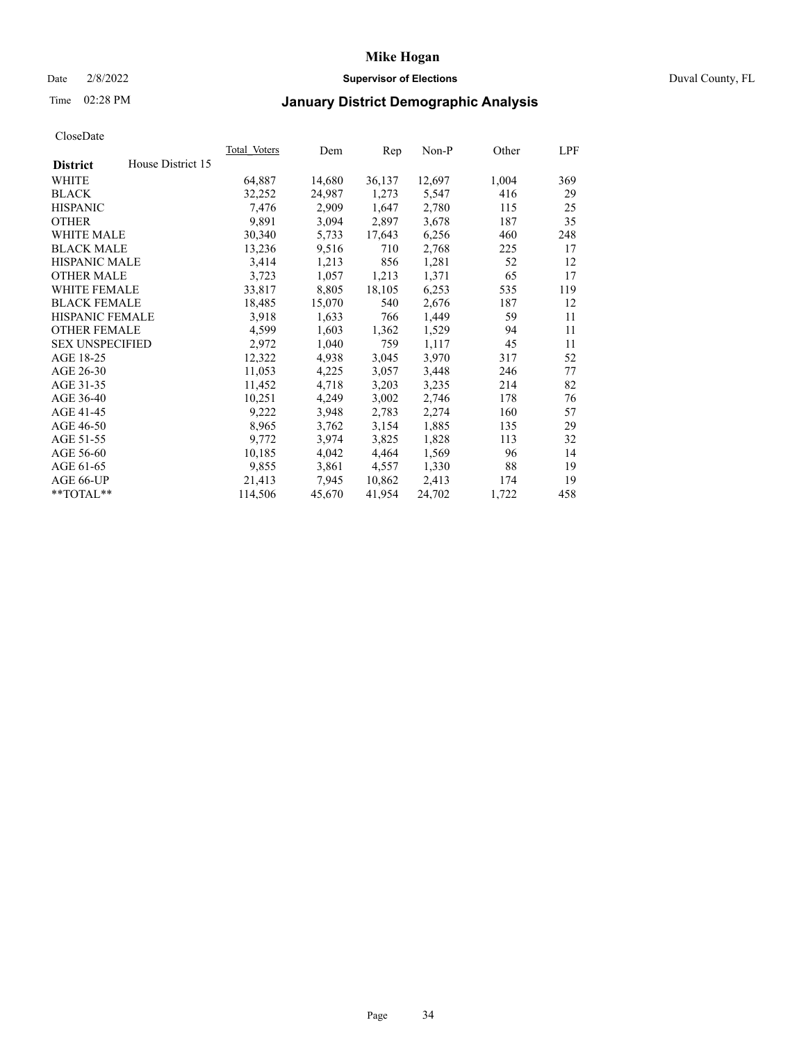### Date 2/8/2022 **Supervisor of Elections** Duval County, FL

## Time 02:28 PM **January District Demographic Analysis**

| Total Voters | Dem    | Rep    | $Non-P$ | Other | LPF |
|--------------|--------|--------|---------|-------|-----|
|              |        |        |         |       |     |
| 64,887       | 14,680 | 36,137 | 12,697  | 1,004 | 369 |
| 32,252       | 24,987 | 1,273  | 5,547   | 416   | 29  |
| 7,476        | 2,909  | 1,647  | 2,780   | 115   | 25  |
| 9,891        | 3,094  | 2,897  | 3,678   | 187   | 35  |
| 30,340       | 5,733  | 17,643 | 6,256   | 460   | 248 |
| 13,236       | 9,516  | 710    | 2,768   | 225   | 17  |
| 3,414        | 1,213  | 856    | 1,281   | 52    | 12  |
| 3,723        | 1,057  | 1,213  | 1,371   | 65    | 17  |
| 33,817       | 8,805  | 18,105 | 6,253   | 535   | 119 |
| 18,485       | 15,070 | 540    | 2,676   | 187   | 12  |
| 3,918        | 1,633  | 766    | 1,449   | 59    | 11  |
| 4,599        | 1,603  | 1,362  | 1,529   | 94    | 11  |
| 2,972        | 1,040  | 759    | 1,117   | 45    | 11  |
| 12,322       | 4,938  | 3,045  | 3,970   | 317   | 52  |
| 11,053       | 4,225  | 3,057  | 3,448   | 246   | 77  |
| 11,452       | 4,718  | 3,203  | 3,235   | 214   | 82  |
| 10,251       | 4,249  | 3,002  | 2,746   | 178   | 76  |
| 9,222        | 3,948  | 2,783  | 2,274   | 160   | 57  |
| 8,965        | 3,762  | 3,154  | 1,885   | 135   | 29  |
| 9,772        | 3,974  | 3,825  | 1,828   | 113   | 32  |
| 10,185       | 4,042  | 4,464  | 1,569   | 96    | 14  |
| 9,855        | 3,861  | 4,557  | 1,330   | 88    | 19  |
| 21,413       | 7,945  | 10,862 | 2,413   | 174   | 19  |
| 114,506      | 45,670 | 41,954 | 24,702  | 1,722 | 458 |
|              |        |        |         |       |     |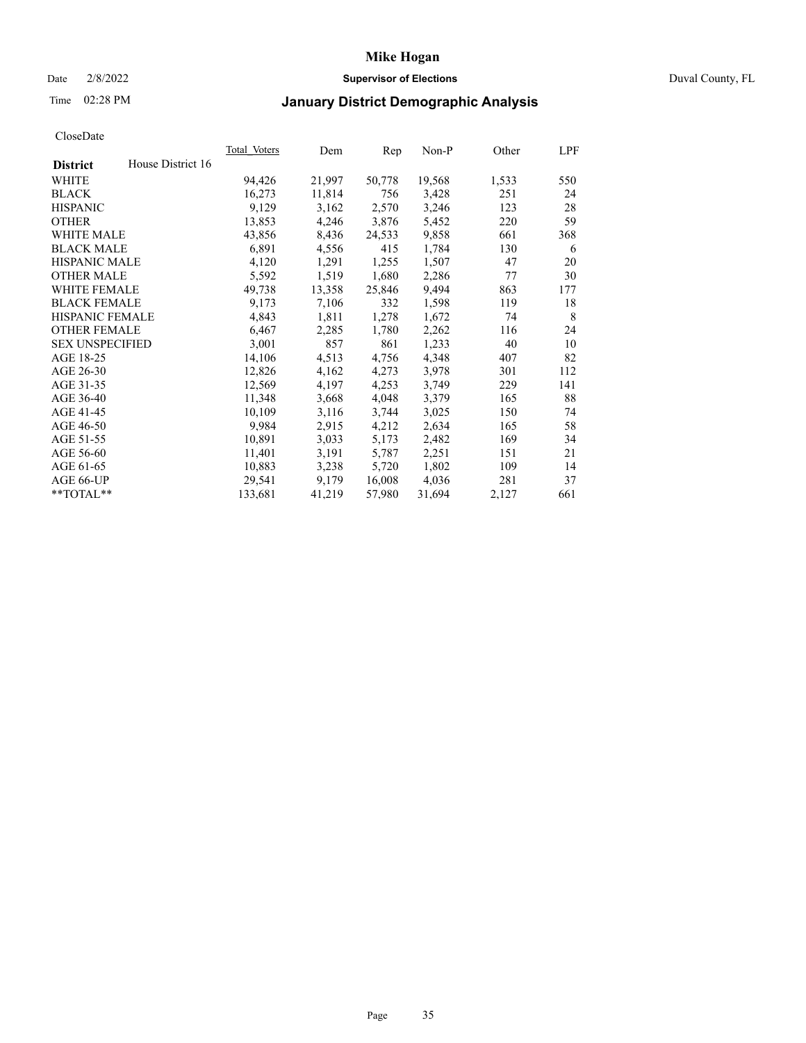### Date 2/8/2022 **Supervisor of Elections** Duval County, FL

## Time 02:28 PM **January District Demographic Analysis**

|                        |                   | Total Voters | Dem    | Rep    | $Non-P$ | Other | LPF |
|------------------------|-------------------|--------------|--------|--------|---------|-------|-----|
| <b>District</b>        | House District 16 |              |        |        |         |       |     |
| WHITE                  |                   | 94,426       | 21,997 | 50,778 | 19,568  | 1,533 | 550 |
| <b>BLACK</b>           |                   | 16,273       | 11,814 | 756    | 3,428   | 251   | 24  |
| <b>HISPANIC</b>        |                   | 9,129        | 3,162  | 2,570  | 3,246   | 123   | 28  |
| <b>OTHER</b>           |                   | 13,853       | 4,246  | 3,876  | 5,452   | 220   | 59  |
| <b>WHITE MALE</b>      |                   | 43,856       | 8,436  | 24,533 | 9,858   | 661   | 368 |
| <b>BLACK MALE</b>      |                   | 6,891        | 4,556  | 415    | 1,784   | 130   | 6   |
| <b>HISPANIC MALE</b>   |                   | 4,120        | 1,291  | 1,255  | 1,507   | 47    | 20  |
| <b>OTHER MALE</b>      |                   | 5,592        | 1,519  | 1,680  | 2,286   | 77    | 30  |
| WHITE FEMALE           |                   | 49,738       | 13,358 | 25,846 | 9,494   | 863   | 177 |
| <b>BLACK FEMALE</b>    |                   | 9,173        | 7,106  | 332    | 1,598   | 119   | 18  |
| HISPANIC FEMALE        |                   | 4,843        | 1,811  | 1,278  | 1,672   | 74    | 8   |
| <b>OTHER FEMALE</b>    |                   | 6,467        | 2,285  | 1,780  | 2,262   | 116   | 24  |
| <b>SEX UNSPECIFIED</b> |                   | 3,001        | 857    | 861    | 1,233   | 40    | 10  |
| AGE 18-25              |                   | 14,106       | 4,513  | 4,756  | 4,348   | 407   | 82  |
| AGE 26-30              |                   | 12,826       | 4,162  | 4,273  | 3,978   | 301   | 112 |
| AGE 31-35              |                   | 12,569       | 4,197  | 4,253  | 3,749   | 229   | 141 |
| AGE 36-40              |                   | 11,348       | 3,668  | 4,048  | 3,379   | 165   | 88  |
| AGE 41-45              |                   | 10,109       | 3,116  | 3,744  | 3,025   | 150   | 74  |
| AGE 46-50              |                   | 9,984        | 2,915  | 4,212  | 2,634   | 165   | 58  |
| AGE 51-55              |                   | 10,891       | 3,033  | 5,173  | 2,482   | 169   | 34  |
| AGE 56-60              |                   | 11,401       | 3,191  | 5,787  | 2,251   | 151   | 21  |
| AGE 61-65              |                   | 10,883       | 3,238  | 5,720  | 1,802   | 109   | 14  |
| AGE 66-UP              |                   | 29,541       | 9,179  | 16,008 | 4,036   | 281   | 37  |
| **TOTAL**              |                   | 133,681      | 41,219 | 57,980 | 31,694  | 2,127 | 661 |
|                        |                   |              |        |        |         |       |     |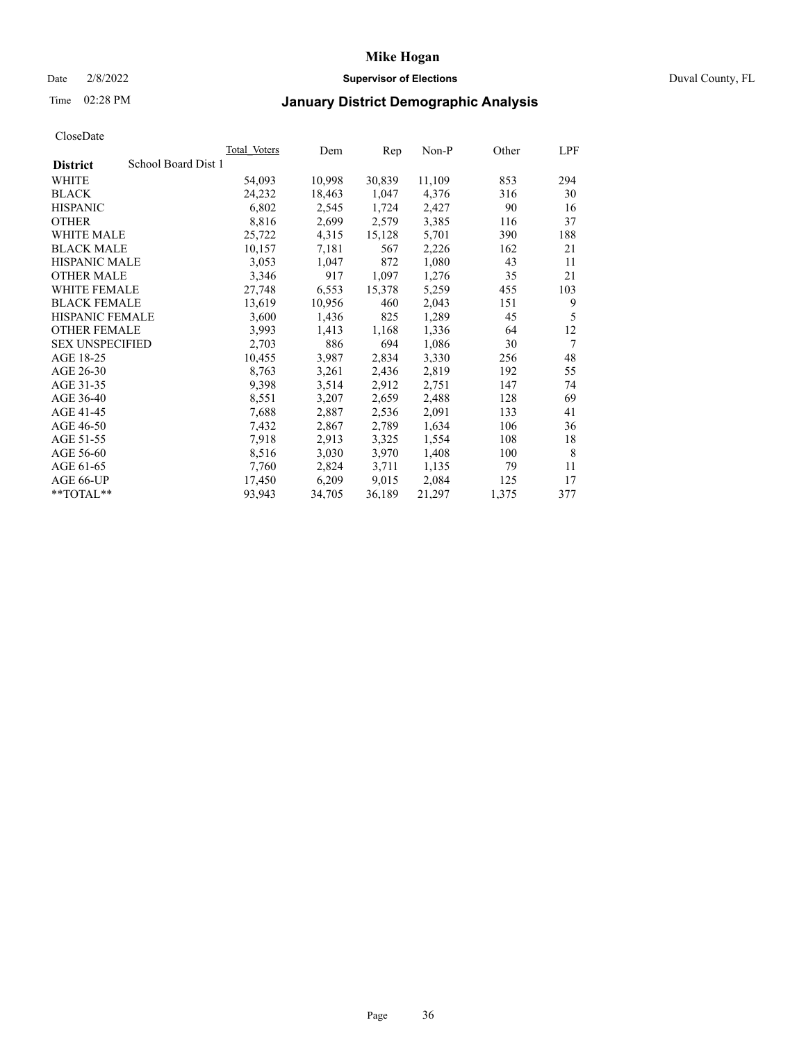### Date 2/8/2022 **Supervisor of Elections** Duval County, FL

## Time 02:28 PM **January District Demographic Analysis**

| <b>Total Voters</b> | Dem    | Rep    | $Non-P$ | Other | LPF    |
|---------------------|--------|--------|---------|-------|--------|
| School Board Dist 1 |        |        |         |       |        |
| 54,093              | 10,998 | 30,839 | 11,109  | 853   | 294    |
| 24,232              | 18,463 | 1,047  | 4,376   | 316   | 30     |
| 6,802               | 2,545  | 1,724  | 2,427   | 90    | 16     |
| 8,816               | 2,699  | 2,579  | 3,385   | 116   | 37     |
| 25,722              | 4,315  | 15,128 | 5,701   | 390   | 188    |
| 10,157              | 7,181  | 567    | 2,226   | 162   | 21     |
| 3,053               | 1,047  | 872    | 1,080   | 43    | 11     |
| 3,346               | 917    | 1,097  | 1,276   | 35    | 21     |
| 27,748              | 6,553  | 15,378 | 5,259   | 455   | 103    |
| 13,619              | 10,956 | 460    | 2,043   | 151   | 9      |
| 3,600               | 1,436  | 825    | 1,289   | 45    | 5      |
| 3,993               | 1,413  | 1,168  | 1,336   | 64    | 12     |
| 2,703               | 886    | 694    | 1,086   | 30    | $\tau$ |
| 10,455              | 3,987  | 2,834  | 3,330   | 256   | 48     |
| 8,763               | 3,261  | 2,436  | 2,819   | 192   | 55     |
| 9,398               | 3,514  | 2,912  | 2,751   | 147   | 74     |
| 8,551               | 3,207  | 2,659  | 2,488   | 128   | 69     |
| 7,688               | 2,887  | 2,536  | 2,091   | 133   | 41     |
| 7,432               | 2,867  | 2,789  | 1,634   | 106   | 36     |
| 7,918               | 2,913  | 3,325  | 1,554   | 108   | 18     |
| 8,516               | 3,030  | 3,970  | 1,408   | 100   | 8      |
| 7,760               | 2,824  | 3,711  | 1,135   | 79    | 11     |
| 17,450              | 6,209  | 9,015  | 2,084   | 125   | 17     |
| 93,943              | 34,705 | 36,189 | 21,297  | 1,375 | 377    |
|                     |        |        |         |       |        |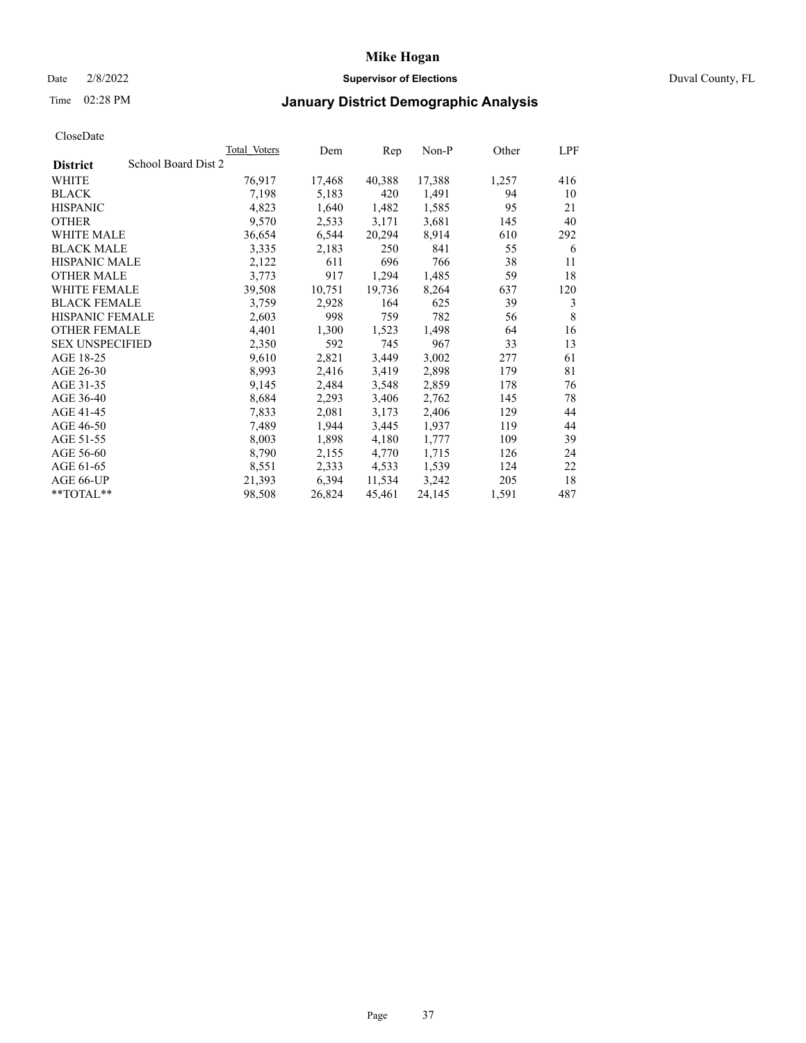## Date 2/8/2022 **Supervisor of Elections** Duval County, FL

## Time 02:28 PM **January District Demographic Analysis**

|                                        | Total Voters | Dem    | Rep    | Non-P  | Other | LPF |
|----------------------------------------|--------------|--------|--------|--------|-------|-----|
| School Board Dist 2<br><b>District</b> |              |        |        |        |       |     |
| WHITE                                  | 76,917       | 17,468 | 40,388 | 17,388 | 1,257 | 416 |
| <b>BLACK</b>                           | 7,198        | 5,183  | 420    | 1,491  | 94    | 10  |
| <b>HISPANIC</b>                        | 4,823        | 1,640  | 1,482  | 1,585  | 95    | 21  |
| <b>OTHER</b>                           | 9,570        | 2,533  | 3,171  | 3,681  | 145   | 40  |
| <b>WHITE MALE</b>                      | 36,654       | 6,544  | 20,294 | 8,914  | 610   | 292 |
| <b>BLACK MALE</b>                      | 3,335        | 2,183  | 250    | 841    | 55    | 6   |
| <b>HISPANIC MALE</b>                   | 2,122        | 611    | 696    | 766    | 38    | 11  |
| <b>OTHER MALE</b>                      | 3,773        | 917    | 1,294  | 1,485  | 59    | 18  |
| WHITE FEMALE                           | 39,508       | 10,751 | 19,736 | 8,264  | 637   | 120 |
| <b>BLACK FEMALE</b>                    | 3,759        | 2,928  | 164    | 625    | 39    | 3   |
| <b>HISPANIC FEMALE</b>                 | 2,603        | 998    | 759    | 782    | 56    | 8   |
| <b>OTHER FEMALE</b>                    | 4,401        | 1,300  | 1,523  | 1,498  | 64    | 16  |
| <b>SEX UNSPECIFIED</b>                 | 2,350        | 592    | 745    | 967    | 33    | 13  |
| AGE 18-25                              | 9,610        | 2,821  | 3,449  | 3,002  | 277   | 61  |
| AGE 26-30                              | 8,993        | 2,416  | 3,419  | 2,898  | 179   | 81  |
| AGE 31-35                              | 9,145        | 2,484  | 3,548  | 2,859  | 178   | 76  |
| AGE 36-40                              | 8,684        | 2,293  | 3,406  | 2,762  | 145   | 78  |
| AGE 41-45                              | 7,833        | 2,081  | 3,173  | 2,406  | 129   | 44  |
| AGE 46-50                              | 7,489        | 1,944  | 3,445  | 1,937  | 119   | 44  |
| AGE 51-55                              | 8,003        | 1,898  | 4,180  | 1,777  | 109   | 39  |
| AGE 56-60                              | 8,790        | 2,155  | 4,770  | 1,715  | 126   | 24  |
| AGE 61-65                              | 8,551        | 2,333  | 4,533  | 1,539  | 124   | 22  |
| AGE 66-UP                              | 21,393       | 6,394  | 11,534 | 3,242  | 205   | 18  |
| $*$ TOTAL $*$                          | 98,508       | 26,824 | 45,461 | 24,145 | 1,591 | 487 |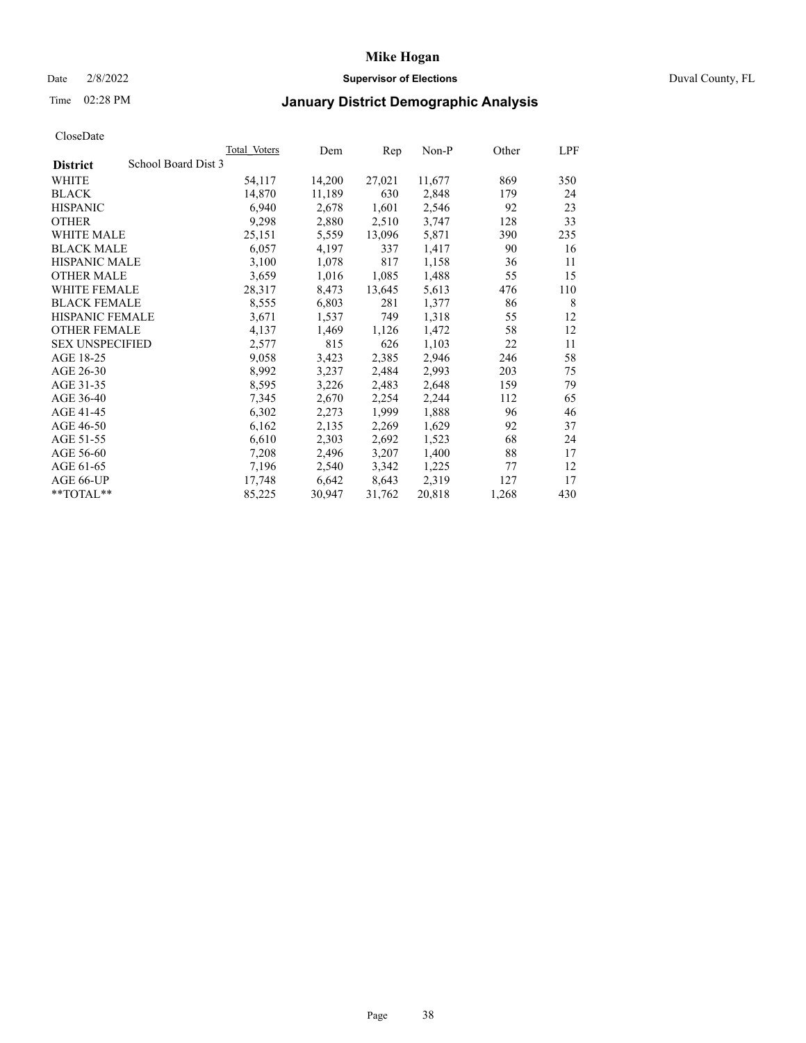### Date 2/8/2022 **Supervisor of Elections** Duval County, FL

## Time 02:28 PM **January District Demographic Analysis**

|                                        | Total Voters | Dem    | Rep    | Non-P  | Other | LPF |
|----------------------------------------|--------------|--------|--------|--------|-------|-----|
| School Board Dist 3<br><b>District</b> |              |        |        |        |       |     |
| WHITE                                  | 54,117       | 14,200 | 27,021 | 11,677 | 869   | 350 |
| <b>BLACK</b>                           | 14,870       | 11,189 | 630    | 2,848  | 179   | 24  |
| <b>HISPANIC</b>                        | 6,940        | 2,678  | 1,601  | 2,546  | 92    | 23  |
| <b>OTHER</b>                           | 9,298        | 2,880  | 2,510  | 3,747  | 128   | 33  |
| WHITE MALE                             | 25,151       | 5,559  | 13,096 | 5,871  | 390   | 235 |
| <b>BLACK MALE</b>                      | 6,057        | 4,197  | 337    | 1,417  | 90    | 16  |
| <b>HISPANIC MALE</b>                   | 3,100        | 1,078  | 817    | 1,158  | 36    | 11  |
| <b>OTHER MALE</b>                      | 3,659        | 1,016  | 1,085  | 1,488  | 55    | 15  |
| WHITE FEMALE                           | 28,317       | 8,473  | 13,645 | 5,613  | 476   | 110 |
| <b>BLACK FEMALE</b>                    | 8,555        | 6,803  | 281    | 1,377  | 86    | 8   |
| <b>HISPANIC FEMALE</b>                 | 3,671        | 1,537  | 749    | 1,318  | 55    | 12  |
| <b>OTHER FEMALE</b>                    | 4,137        | 1,469  | 1,126  | 1,472  | 58    | 12  |
| <b>SEX UNSPECIFIED</b>                 | 2,577        | 815    | 626    | 1,103  | 22    | 11  |
| AGE 18-25                              | 9,058        | 3,423  | 2,385  | 2,946  | 246   | 58  |
| AGE 26-30                              | 8,992        | 3,237  | 2,484  | 2,993  | 203   | 75  |
| AGE 31-35                              | 8,595        | 3,226  | 2,483  | 2,648  | 159   | 79  |
| AGE 36-40                              | 7,345        | 2,670  | 2,254  | 2,244  | 112   | 65  |
| AGE 41-45                              | 6,302        | 2,273  | 1,999  | 1,888  | 96    | 46  |
| AGE 46-50                              | 6,162        | 2,135  | 2,269  | 1,629  | 92    | 37  |
| AGE 51-55                              | 6,610        | 2,303  | 2,692  | 1,523  | 68    | 24  |
| AGE 56-60                              | 7,208        | 2,496  | 3,207  | 1,400  | 88    | 17  |
| AGE 61-65                              | 7,196        | 2,540  | 3,342  | 1,225  | 77    | 12  |
| AGE 66-UP                              | 17,748       | 6,642  | 8,643  | 2,319  | 127   | 17  |
| **TOTAL**                              | 85,225       | 30,947 | 31,762 | 20,818 | 1,268 | 430 |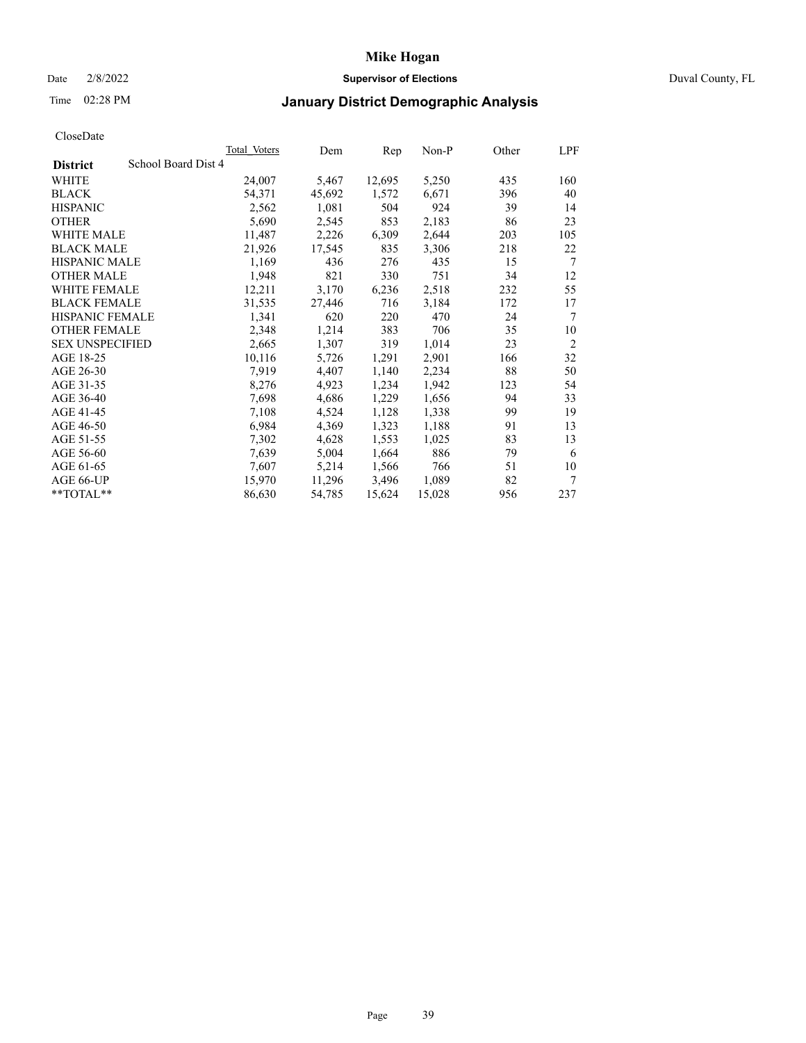### Date 2/8/2022 **Supervisor of Elections** Duval County, FL

## Time 02:28 PM **January District Demographic Analysis**

| <b>Total Voters</b> | Dem                 | Rep    | $Non-P$ | Other | LPF            |
|---------------------|---------------------|--------|---------|-------|----------------|
|                     |                     |        |         |       |                |
| 24,007              | 5,467               | 12,695 | 5,250   | 435   | 160            |
| 54,371              | 45,692              | 1,572  | 6,671   | 396   | 40             |
| 2,562               | 1,081               | 504    | 924     | 39    | 14             |
| 5,690               | 2,545               | 853    | 2,183   | 86    | 23             |
| 11,487              | 2,226               | 6,309  | 2,644   | 203   | 105            |
| 21,926              | 17,545              | 835    | 3,306   | 218   | 22             |
| 1,169               | 436                 | 276    | 435     | 15    | 7              |
| 1,948               | 821                 | 330    | 751     | 34    | 12             |
| 12,211              | 3,170               | 6,236  | 2,518   | 232   | 55             |
| 31,535              | 27,446              | 716    | 3,184   | 172   | 17             |
| 1,341               | 620                 | 220    | 470     | 24    | 7              |
| 2,348               | 1,214               | 383    | 706     | 35    | 10             |
| 2,665               | 1,307               | 319    | 1,014   | 23    | $\overline{2}$ |
| 10,116              | 5,726               | 1,291  | 2,901   | 166   | 32             |
| 7,919               | 4,407               | 1,140  | 2,234   | 88    | 50             |
| 8,276               | 4,923               | 1,234  | 1,942   | 123   | 54             |
| 7,698               | 4,686               | 1,229  | 1,656   | 94    | 33             |
| 7,108               | 4,524               | 1,128  | 1,338   | 99    | 19             |
| 6,984               | 4,369               | 1,323  | 1,188   | 91    | 13             |
| 7,302               | 4,628               | 1,553  | 1,025   | 83    | 13             |
| 7,639               | 5,004               | 1,664  | 886     | 79    | 6              |
| 7,607               | 5,214               | 1,566  | 766     | 51    | 10             |
| 15,970              | 11,296              | 3,496  | 1,089   | 82    | 7              |
| 86,630              | 54,785              | 15,624 | 15,028  | 956   | 237            |
|                     | School Board Dist 4 |        |         |       |                |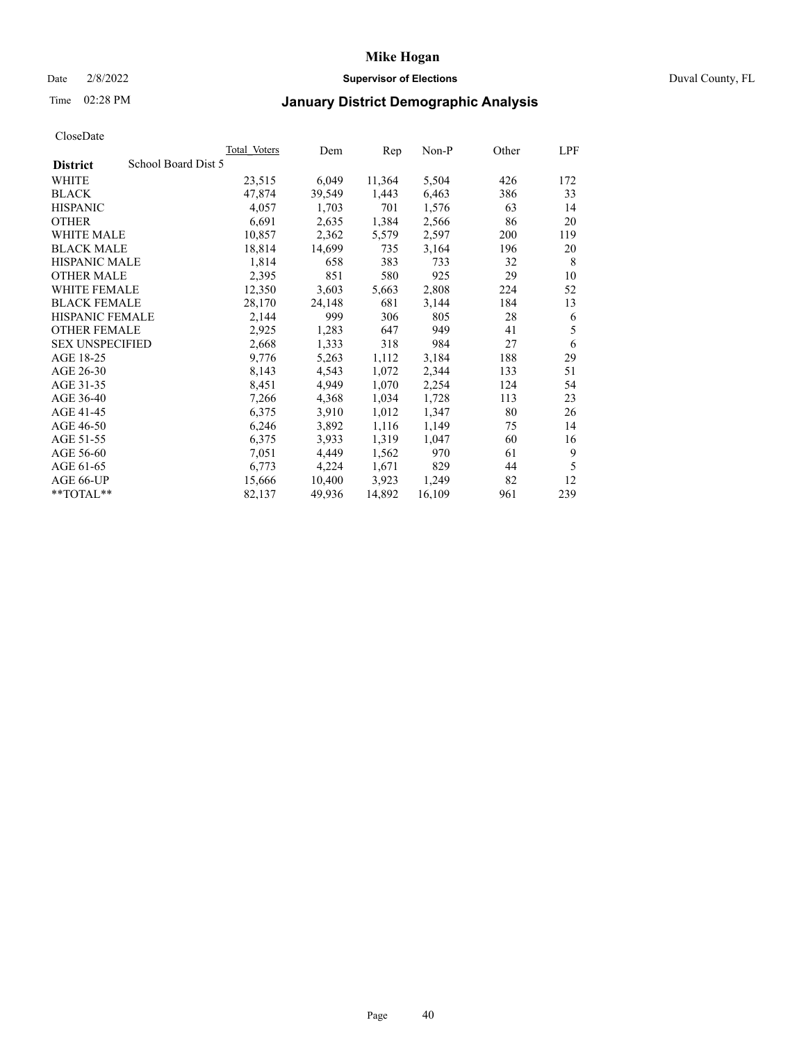### Date 2/8/2022 **Supervisor of Elections** Duval County, FL

## Time 02:28 PM **January District Demographic Analysis**

|                        |                     | Total Voters | Dem    | Rep    | Non-P  | Other | LPF |
|------------------------|---------------------|--------------|--------|--------|--------|-------|-----|
| <b>District</b>        | School Board Dist 5 |              |        |        |        |       |     |
| WHITE                  |                     | 23,515       | 6,049  | 11,364 | 5,504  | 426   | 172 |
| <b>BLACK</b>           |                     | 47,874       | 39,549 | 1,443  | 6,463  | 386   | 33  |
| <b>HISPANIC</b>        |                     | 4,057        | 1,703  | 701    | 1,576  | 63    | 14  |
| <b>OTHER</b>           |                     | 6,691        | 2,635  | 1,384  | 2,566  | 86    | 20  |
| WHITE MALE             |                     | 10,857       | 2,362  | 5,579  | 2,597  | 200   | 119 |
| <b>BLACK MALE</b>      |                     | 18,814       | 14,699 | 735    | 3,164  | 196   | 20  |
| <b>HISPANIC MALE</b>   |                     | 1,814        | 658    | 383    | 733    | 32    | 8   |
| <b>OTHER MALE</b>      |                     | 2,395        | 851    | 580    | 925    | 29    | 10  |
| <b>WHITE FEMALE</b>    |                     | 12,350       | 3,603  | 5,663  | 2,808  | 224   | 52  |
| <b>BLACK FEMALE</b>    |                     | 28,170       | 24,148 | 681    | 3,144  | 184   | 13  |
| HISPANIC FEMALE        |                     | 2,144        | 999    | 306    | 805    | 28    | 6   |
| <b>OTHER FEMALE</b>    |                     | 2,925        | 1,283  | 647    | 949    | 41    | 5   |
| <b>SEX UNSPECIFIED</b> |                     | 2,668        | 1,333  | 318    | 984    | 27    | 6   |
| AGE 18-25              |                     | 9,776        | 5,263  | 1,112  | 3,184  | 188   | 29  |
| AGE 26-30              |                     | 8,143        | 4,543  | 1,072  | 2,344  | 133   | 51  |
| AGE 31-35              |                     | 8,451        | 4,949  | 1,070  | 2,254  | 124   | 54  |
| AGE 36-40              |                     | 7,266        | 4,368  | 1,034  | 1,728  | 113   | 23  |
| AGE 41-45              |                     | 6,375        | 3,910  | 1,012  | 1,347  | 80    | 26  |
| AGE 46-50              |                     | 6,246        | 3,892  | 1,116  | 1,149  | 75    | 14  |
| AGE 51-55              |                     | 6,375        | 3,933  | 1,319  | 1,047  | 60    | 16  |
| AGE 56-60              |                     | 7,051        | 4,449  | 1,562  | 970    | 61    | 9   |
| AGE 61-65              |                     | 6,773        | 4,224  | 1,671  | 829    | 44    | 5   |
| AGE 66-UP              |                     | 15,666       | 10,400 | 3,923  | 1,249  | 82    | 12  |
| $*$ $TOTAL**$          |                     | 82,137       | 49,936 | 14,892 | 16,109 | 961   | 239 |
|                        |                     |              |        |        |        |       |     |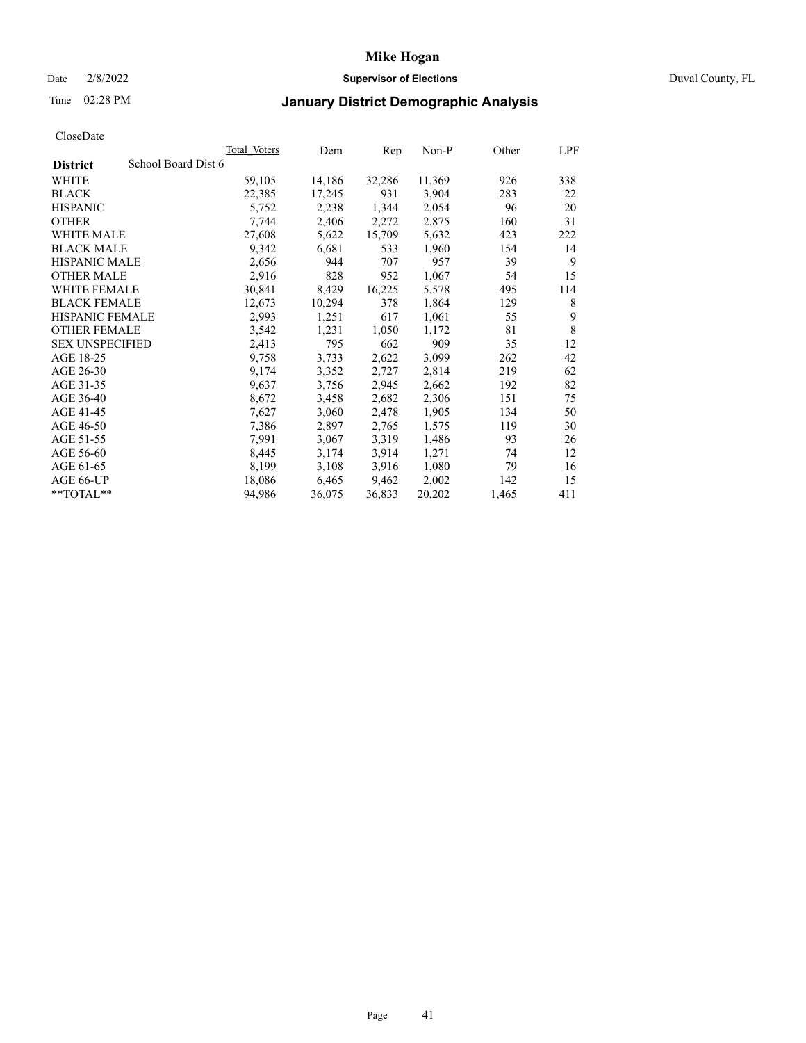### Date 2/8/2022 **Supervisor of Elections** Duval County, FL

## Time 02:28 PM **January District Demographic Analysis**

| Total Voters        | Dem    | Rep    | Non-P  | Other | LPF |
|---------------------|--------|--------|--------|-------|-----|
| School Board Dist 6 |        |        |        |       |     |
| 59,105              | 14,186 | 32,286 | 11,369 | 926   | 338 |
| 22,385              | 17,245 | 931    | 3,904  | 283   | 22  |
| 5,752               | 2,238  | 1,344  | 2,054  | 96    | 20  |
| 7,744               | 2,406  | 2,272  | 2,875  | 160   | 31  |
| 27,608              | 5,622  | 15,709 | 5,632  | 423   | 222 |
| 9,342               | 6,681  | 533    | 1,960  | 154   | 14  |
| 2,656               | 944    | 707    | 957    | 39    | 9   |
| 2,916               | 828    | 952    | 1,067  | 54    | 15  |
| 30,841              | 8,429  | 16,225 | 5,578  | 495   | 114 |
| 12,673              | 10,294 | 378    | 1,864  | 129   | 8   |
| 2,993               | 1,251  | 617    | 1,061  | 55    | 9   |
| 3,542               | 1,231  | 1,050  | 1,172  | 81    | 8   |
| 2,413               | 795    | 662    | 909    | 35    | 12  |
| 9,758               | 3,733  | 2,622  | 3,099  | 262   | 42  |
| 9,174               | 3,352  | 2,727  | 2,814  | 219   | 62  |
| 9,637               | 3,756  | 2,945  | 2,662  | 192   | 82  |
| 8,672               | 3,458  | 2,682  | 2,306  | 151   | 75  |
| 7,627               | 3,060  | 2,478  | 1,905  | 134   | 50  |
| 7,386               | 2,897  | 2,765  | 1,575  | 119   | 30  |
| 7,991               | 3,067  | 3,319  | 1,486  | 93    | 26  |
| 8,445               | 3,174  | 3,914  | 1,271  | 74    | 12  |
| 8,199               | 3,108  | 3,916  | 1,080  | 79    | 16  |
| 18,086              | 6,465  | 9,462  | 2,002  | 142   | 15  |
| 94,986              | 36,075 | 36,833 | 20,202 | 1,465 | 411 |
|                     |        |        |        |       |     |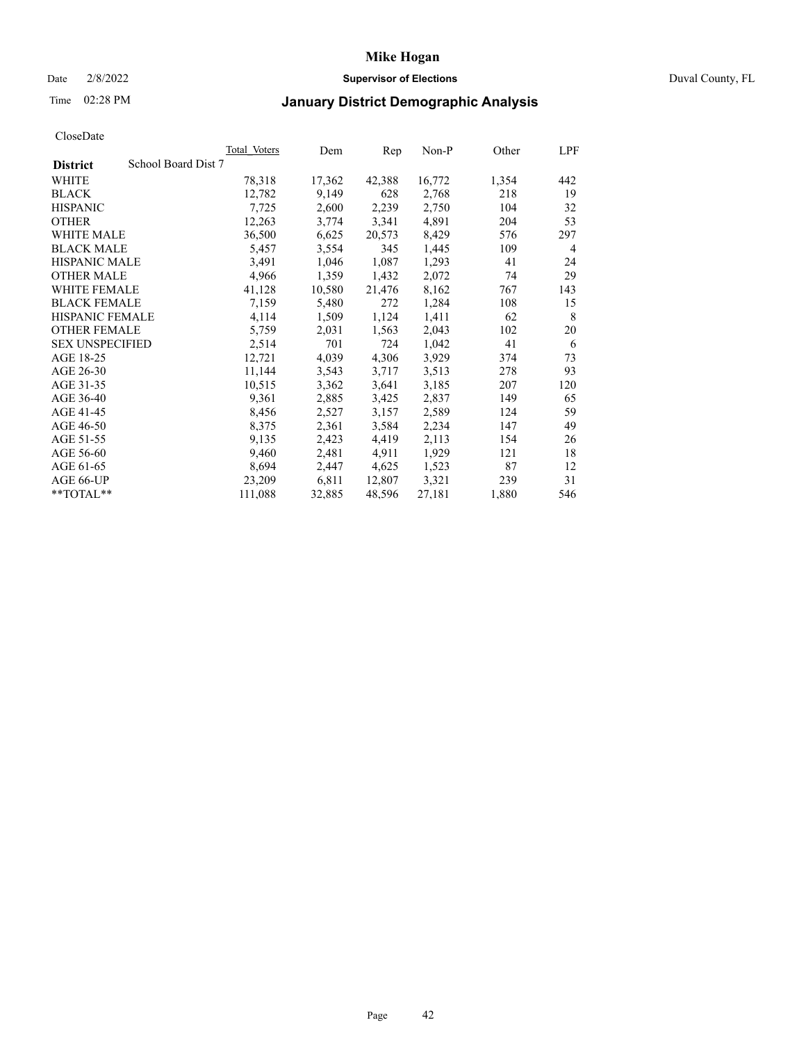## Date 2/8/2022 **Supervisor of Elections** Duval County, FL

## Time 02:28 PM **January District Demographic Analysis**

|                                        | Total Voters | Dem    | Rep    | Non-P  | Other | LPF |
|----------------------------------------|--------------|--------|--------|--------|-------|-----|
| School Board Dist 7<br><b>District</b> |              |        |        |        |       |     |
| WHITE                                  | 78,318       | 17,362 | 42,388 | 16,772 | 1,354 | 442 |
| <b>BLACK</b>                           | 12,782       | 9,149  | 628    | 2,768  | 218   | 19  |
| <b>HISPANIC</b>                        | 7,725        | 2,600  | 2,239  | 2,750  | 104   | 32  |
| <b>OTHER</b>                           | 12,263       | 3,774  | 3,341  | 4,891  | 204   | 53  |
| <b>WHITE MALE</b>                      | 36,500       | 6,625  | 20,573 | 8,429  | 576   | 297 |
| <b>BLACK MALE</b>                      | 5,457        | 3,554  | 345    | 1,445  | 109   | 4   |
| <b>HISPANIC MALE</b>                   | 3,491        | 1,046  | 1,087  | 1,293  | 41    | 24  |
| <b>OTHER MALE</b>                      | 4,966        | 1,359  | 1,432  | 2,072  | 74    | 29  |
| WHITE FEMALE                           | 41,128       | 10,580 | 21,476 | 8,162  | 767   | 143 |
| <b>BLACK FEMALE</b>                    | 7,159        | 5,480  | 272    | 1,284  | 108   | 15  |
| <b>HISPANIC FEMALE</b>                 | 4,114        | 1,509  | 1,124  | 1,411  | 62    | 8   |
| <b>OTHER FEMALE</b>                    | 5,759        | 2,031  | 1,563  | 2,043  | 102   | 20  |
| <b>SEX UNSPECIFIED</b>                 | 2,514        | 701    | 724    | 1,042  | 41    | 6   |
| AGE 18-25                              | 12,721       | 4,039  | 4,306  | 3,929  | 374   | 73  |
| AGE 26-30                              | 11,144       | 3,543  | 3,717  | 3,513  | 278   | 93  |
| AGE 31-35                              | 10,515       | 3,362  | 3,641  | 3,185  | 207   | 120 |
| AGE 36-40                              | 9,361        | 2,885  | 3,425  | 2,837  | 149   | 65  |
| AGE 41-45                              | 8,456        | 2,527  | 3,157  | 2,589  | 124   | 59  |
| AGE 46-50                              | 8,375        | 2,361  | 3,584  | 2,234  | 147   | 49  |
| AGE 51-55                              | 9,135        | 2,423  | 4,419  | 2,113  | 154   | 26  |
| AGE 56-60                              | 9,460        | 2,481  | 4,911  | 1,929  | 121   | 18  |
| AGE 61-65                              | 8,694        | 2,447  | 4,625  | 1,523  | 87    | 12  |
| AGE 66-UP                              | 23,209       | 6,811  | 12,807 | 3,321  | 239   | 31  |
| $*$ TOTAL $*$                          | 111,088      | 32,885 | 48,596 | 27,181 | 1,880 | 546 |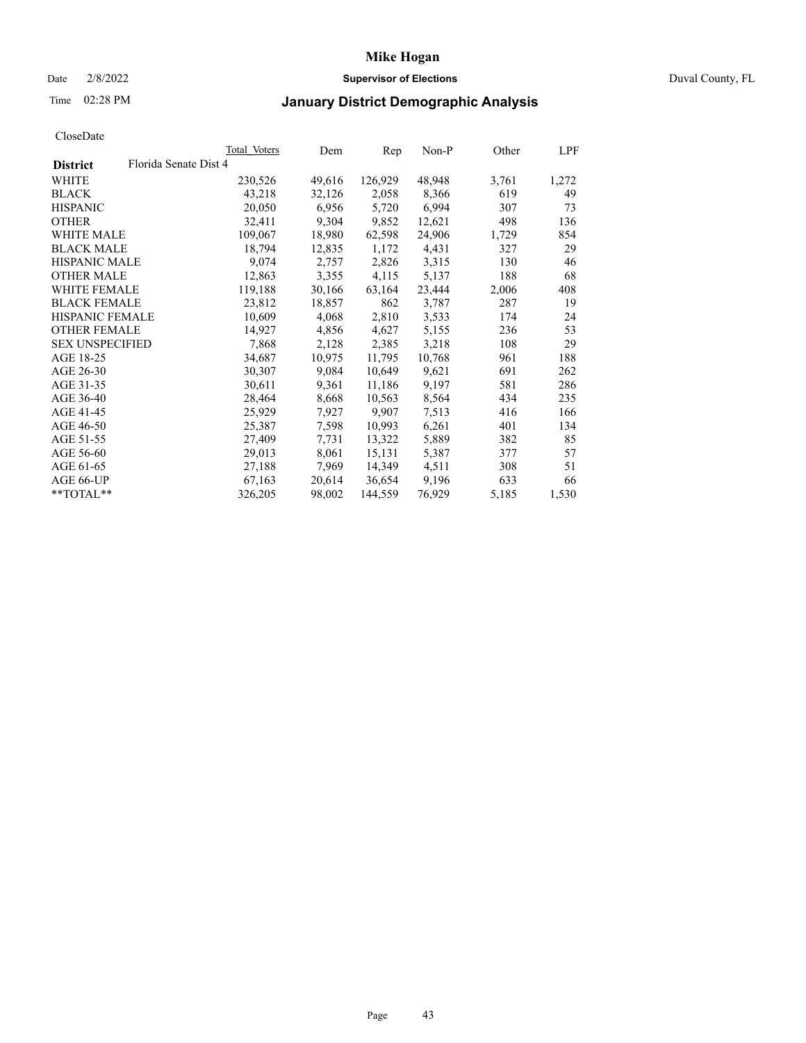### Date 2/8/2022 **Supervisor of Elections** Duval County, FL

## Time 02:28 PM **January District Demographic Analysis**

|                        |                       | Total Voters | Dem    | Rep     | $Non-P$ | Other | LPF   |
|------------------------|-----------------------|--------------|--------|---------|---------|-------|-------|
| <b>District</b>        | Florida Senate Dist 4 |              |        |         |         |       |       |
| WHITE                  |                       | 230,526      | 49,616 | 126,929 | 48,948  | 3,761 | 1,272 |
| <b>BLACK</b>           |                       | 43,218       | 32,126 | 2,058   | 8,366   | 619   | 49    |
| <b>HISPANIC</b>        |                       | 20,050       | 6,956  | 5,720   | 6,994   | 307   | 73    |
| <b>OTHER</b>           |                       | 32,411       | 9,304  | 9,852   | 12,621  | 498   | 136   |
| <b>WHITE MALE</b>      |                       | 109,067      | 18,980 | 62,598  | 24,906  | 1,729 | 854   |
| <b>BLACK MALE</b>      |                       | 18,794       | 12,835 | 1,172   | 4,431   | 327   | 29    |
| <b>HISPANIC MALE</b>   |                       | 9,074        | 2,757  | 2,826   | 3,315   | 130   | 46    |
| <b>OTHER MALE</b>      |                       | 12,863       | 3,355  | 4,115   | 5,137   | 188   | 68    |
| <b>WHITE FEMALE</b>    |                       | 119,188      | 30,166 | 63,164  | 23,444  | 2,006 | 408   |
| <b>BLACK FEMALE</b>    |                       | 23,812       | 18,857 | 862     | 3,787   | 287   | 19    |
| HISPANIC FEMALE        |                       | 10,609       | 4,068  | 2,810   | 3,533   | 174   | 24    |
| <b>OTHER FEMALE</b>    |                       | 14,927       | 4,856  | 4,627   | 5,155   | 236   | 53    |
| <b>SEX UNSPECIFIED</b> |                       | 7,868        | 2,128  | 2,385   | 3,218   | 108   | 29    |
| AGE 18-25              |                       | 34,687       | 10,975 | 11,795  | 10,768  | 961   | 188   |
| AGE 26-30              |                       | 30,307       | 9,084  | 10,649  | 9,621   | 691   | 262   |
| AGE 31-35              |                       | 30,611       | 9,361  | 11,186  | 9,197   | 581   | 286   |
| AGE 36-40              |                       | 28,464       | 8,668  | 10,563  | 8,564   | 434   | 235   |
| AGE 41-45              |                       | 25,929       | 7,927  | 9,907   | 7,513   | 416   | 166   |
| AGE 46-50              |                       | 25,387       | 7,598  | 10,993  | 6,261   | 401   | 134   |
| AGE 51-55              |                       | 27,409       | 7,731  | 13,322  | 5,889   | 382   | 85    |
| AGE 56-60              |                       | 29,013       | 8,061  | 15,131  | 5,387   | 377   | 57    |
| AGE 61-65              |                       | 27,188       | 7,969  | 14,349  | 4,511   | 308   | 51    |
| AGE 66-UP              |                       | 67,163       | 20,614 | 36,654  | 9,196   | 633   | 66    |
| $*$ $TOTAL**$          |                       | 326,205      | 98,002 | 144,559 | 76,929  | 5,185 | 1,530 |
|                        |                       |              |        |         |         |       |       |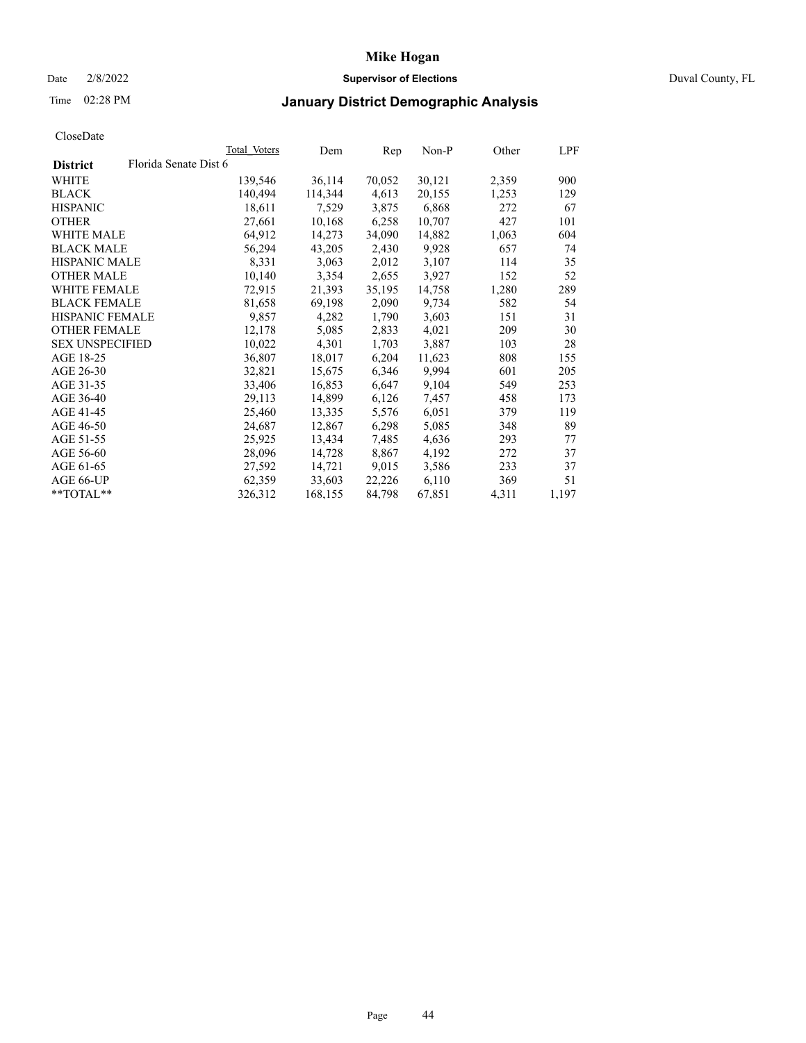### Date 2/8/2022 **Supervisor of Elections** Duval County, FL

# Time 02:28 PM **January District Demographic Analysis**

|                        |                       | Total Voters | Dem     | Rep    | Non-P  | Other | LPF   |
|------------------------|-----------------------|--------------|---------|--------|--------|-------|-------|
| <b>District</b>        | Florida Senate Dist 6 |              |         |        |        |       |       |
| WHITE                  |                       | 139,546      | 36,114  | 70,052 | 30,121 | 2,359 | 900   |
| <b>BLACK</b>           |                       | 140,494      | 114,344 | 4,613  | 20,155 | 1,253 | 129   |
| <b>HISPANIC</b>        |                       | 18,611       | 7,529   | 3,875  | 6,868  | 272   | 67    |
| <b>OTHER</b>           |                       | 27,661       | 10,168  | 6,258  | 10,707 | 427   | 101   |
| <b>WHITE MALE</b>      |                       | 64,912       | 14,273  | 34,090 | 14,882 | 1,063 | 604   |
| <b>BLACK MALE</b>      |                       | 56,294       | 43,205  | 2,430  | 9,928  | 657   | 74    |
| <b>HISPANIC MALE</b>   |                       | 8,331        | 3,063   | 2,012  | 3,107  | 114   | 35    |
| <b>OTHER MALE</b>      |                       | 10,140       | 3,354   | 2,655  | 3,927  | 152   | 52    |
| <b>WHITE FEMALE</b>    |                       | 72,915       | 21,393  | 35,195 | 14,758 | 1,280 | 289   |
| <b>BLACK FEMALE</b>    |                       | 81,658       | 69,198  | 2,090  | 9,734  | 582   | 54    |
| <b>HISPANIC FEMALE</b> |                       | 9,857        | 4,282   | 1,790  | 3,603  | 151   | 31    |
| <b>OTHER FEMALE</b>    |                       | 12,178       | 5,085   | 2,833  | 4,021  | 209   | 30    |
| <b>SEX UNSPECIFIED</b> |                       | 10,022       | 4,301   | 1,703  | 3,887  | 103   | 28    |
| AGE 18-25              |                       | 36,807       | 18,017  | 6,204  | 11,623 | 808   | 155   |
| AGE 26-30              |                       | 32,821       | 15,675  | 6,346  | 9,994  | 601   | 205   |
| AGE 31-35              |                       | 33,406       | 16,853  | 6,647  | 9,104  | 549   | 253   |
| AGE 36-40              |                       | 29,113       | 14,899  | 6,126  | 7,457  | 458   | 173   |
| AGE 41-45              |                       | 25,460       | 13,335  | 5,576  | 6,051  | 379   | 119   |
| AGE 46-50              |                       | 24,687       | 12,867  | 6,298  | 5,085  | 348   | 89    |
| AGE 51-55              |                       | 25,925       | 13,434  | 7,485  | 4,636  | 293   | 77    |
| AGE 56-60              |                       | 28,096       | 14,728  | 8,867  | 4,192  | 272   | 37    |
| AGE 61-65              |                       | 27,592       | 14,721  | 9,015  | 3,586  | 233   | 37    |
| AGE 66-UP              |                       | 62,359       | 33,603  | 22,226 | 6,110  | 369   | 51    |
| $*$ TOTAL $*$          |                       | 326,312      | 168,155 | 84,798 | 67,851 | 4,311 | 1,197 |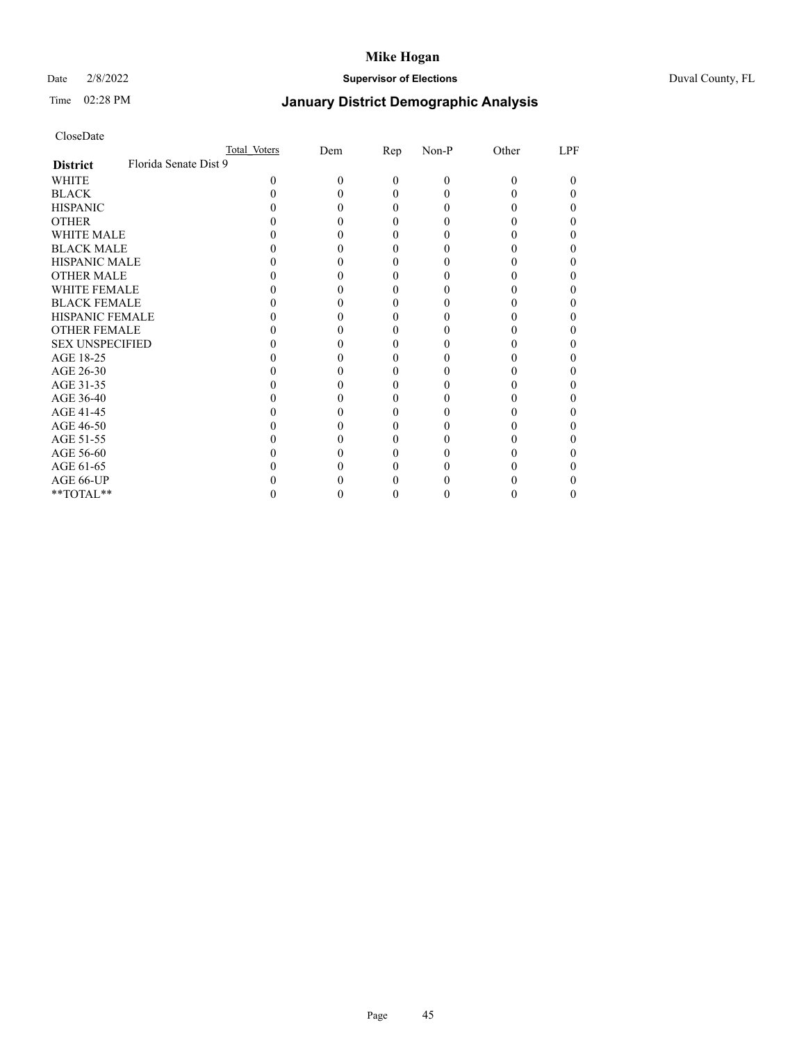### Date 2/8/2022 **Supervisor of Elections** Duval County, FL

# Time 02:28 PM **January District Demographic Analysis**

|                        | Total Voters          | Dem | <u>Rep</u> | Non-P | Other | LPF |
|------------------------|-----------------------|-----|------------|-------|-------|-----|
| <b>District</b>        | Florida Senate Dist 9 |     |            |       |       |     |
| WHITE                  | 0                     | 0   | 0          | 0     | 0     | 0   |
| <b>BLACK</b>           |                       |     |            |       |       |     |
| <b>HISPANIC</b>        |                       |     |            |       |       |     |
| <b>OTHER</b>           |                       |     |            |       |       |     |
| <b>WHITE MALE</b>      |                       |     |            |       |       |     |
| <b>BLACK MALE</b>      |                       |     |            |       |       |     |
| <b>HISPANIC MALE</b>   |                       |     |            |       |       |     |
| <b>OTHER MALE</b>      |                       |     |            |       |       |     |
| <b>WHITE FEMALE</b>    |                       |     |            |       |       |     |
| <b>BLACK FEMALE</b>    |                       |     |            |       |       |     |
| <b>HISPANIC FEMALE</b> |                       |     |            |       |       |     |
| <b>OTHER FEMALE</b>    |                       |     |            |       |       |     |
| <b>SEX UNSPECIFIED</b> |                       |     |            |       |       |     |
| AGE 18-25              |                       |     |            |       |       |     |
| AGE 26-30              |                       |     |            |       |       |     |
| AGE 31-35              |                       |     |            |       |       |     |
| AGE 36-40              |                       |     |            |       |       |     |
| AGE 41-45              |                       |     |            |       |       |     |
| AGE 46-50              |                       |     |            |       |       |     |
| AGE 51-55              |                       |     |            |       |       |     |
| AGE 56-60              |                       |     |            |       |       |     |
| AGE 61-65              |                       |     |            |       |       |     |
| AGE 66-UP              |                       |     |            |       |       |     |
| **TOTAL**              |                       |     |            |       |       | 0   |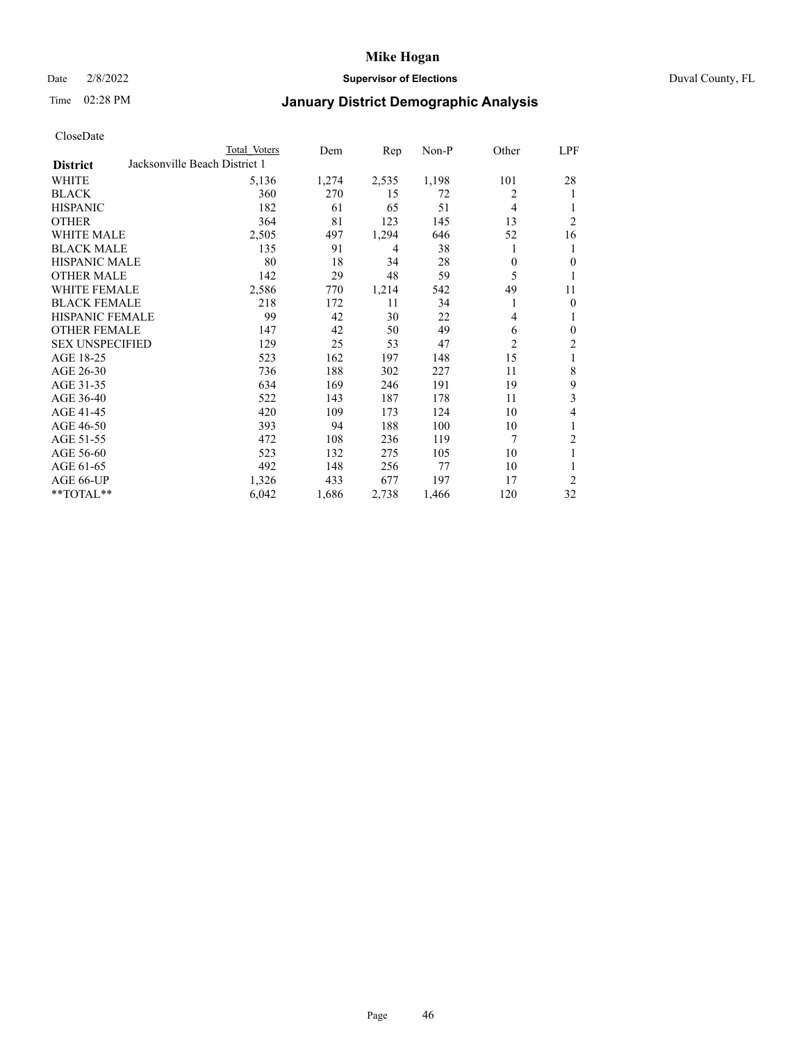### Date 2/8/2022 **Supervisor of Elections** Duval County, FL

## Time 02:28 PM **January District Demographic Analysis**

|                        |                               | Total Voters | Dem   | Rep   | $Non-P$ | Other          | <u>LPF</u>       |
|------------------------|-------------------------------|--------------|-------|-------|---------|----------------|------------------|
| <b>District</b>        | Jacksonville Beach District 1 |              |       |       |         |                |                  |
| WHITE                  |                               | 5,136        | 1,274 | 2,535 | 1,198   | 101            | 28               |
| <b>BLACK</b>           |                               | 360          | 270   | 15    | 72      | 2              | 1                |
| <b>HISPANIC</b>        |                               | 182          | 61    | 65    | 51      | $\overline{4}$ | 1                |
| <b>OTHER</b>           |                               | 364          | 81    | 123   | 145     | 13             | $\overline{2}$   |
| <b>WHITE MALE</b>      |                               | 2,505        | 497   | 1,294 | 646     | 52             | 16               |
| <b>BLACK MALE</b>      |                               | 135          | 91    | 4     | 38      | 1              | 1                |
| <b>HISPANIC MALE</b>   |                               | 80           | 18    | 34    | 28      | $\theta$       | $\overline{0}$   |
| <b>OTHER MALE</b>      |                               | 142          | 29    | 48    | 59      | 5              | 1                |
| WHITE FEMALE           |                               | 2,586        | 770   | 1,214 | 542     | 49             | 11               |
| <b>BLACK FEMALE</b>    |                               | 218          | 172   | 11    | 34      | 1              | $\overline{0}$   |
| <b>HISPANIC FEMALE</b> |                               | 99           | 42    | 30    | 22      | 4              | 1                |
| <b>OTHER FEMALE</b>    |                               | 147          | 42    | 50    | 49      | 6              | $\boldsymbol{0}$ |
| <b>SEX UNSPECIFIED</b> |                               | 129          | 25    | 53    | 47      | $\overline{2}$ | $\sqrt{2}$       |
| AGE 18-25              |                               | 523          | 162   | 197   | 148     | 15             | 1                |
| AGE 26-30              |                               | 736          | 188   | 302   | 227     | 11             | 8                |
| AGE 31-35              |                               | 634          | 169   | 246   | 191     | 19             | 9                |
| AGE 36-40              |                               | 522          | 143   | 187   | 178     | 11             | 3                |
| AGE 41-45              |                               | 420          | 109   | 173   | 124     | 10             | 4                |
| AGE 46-50              |                               | 393          | 94    | 188   | 100     | 10             | 1                |
| AGE 51-55              |                               | 472          | 108   | 236   | 119     | 7              | $\overline{2}$   |
| AGE 56-60              |                               | 523          | 132   | 275   | 105     | 10             | $\mathbf{1}$     |
| AGE 61-65              |                               | 492          | 148   | 256   | 77      | 10             | 1                |
| AGE 66-UP              |                               | 1,326        | 433   | 677   | 197     | 17             | $\overline{2}$   |
| $*$ $TOTAL**$          |                               | 6,042        | 1,686 | 2,738 | 1,466   | 120            | 32               |
|                        |                               |              |       |       |         |                |                  |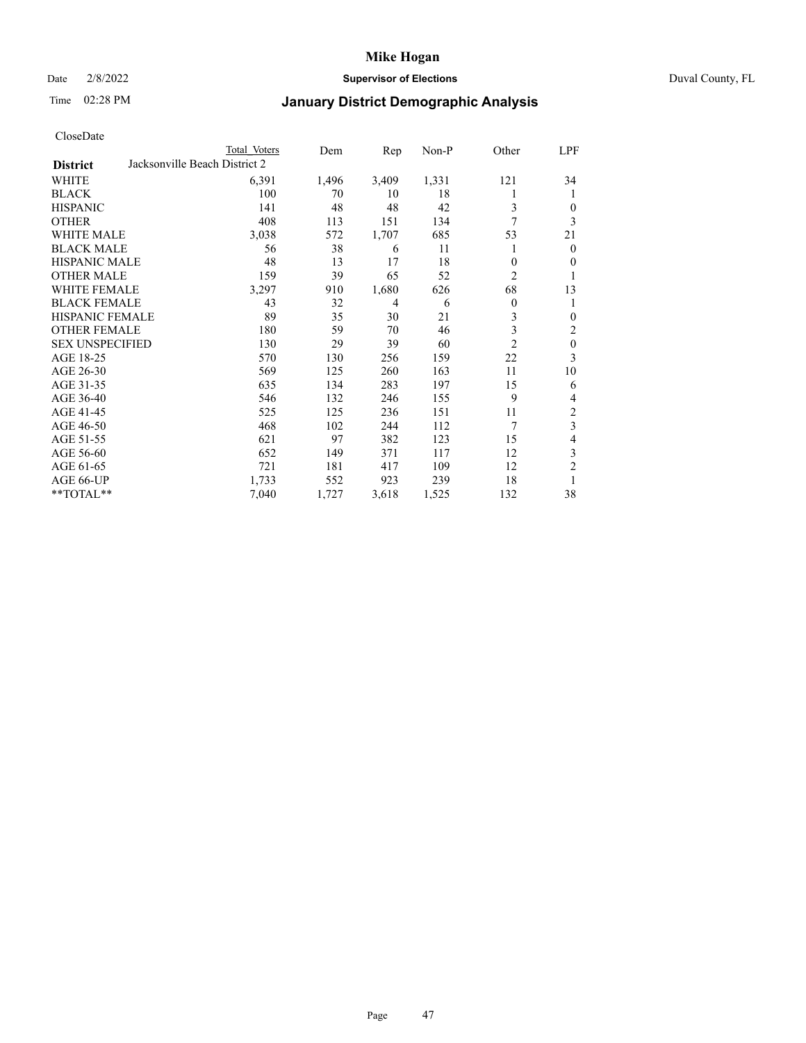### Date 2/8/2022 **Supervisor of Elections** Duval County, FL

# Time 02:28 PM **January District Demographic Analysis**

|                        |                               | Total Voters | Dem   | Rep   | Non-P | Other          | LPF              |
|------------------------|-------------------------------|--------------|-------|-------|-------|----------------|------------------|
| <b>District</b>        | Jacksonville Beach District 2 |              |       |       |       |                |                  |
| WHITE                  |                               | 6,391        | 1,496 | 3,409 | 1,331 | 121            | 34               |
| <b>BLACK</b>           |                               | 100          | 70    | 10    | 18    | 1              | 1                |
| <b>HISPANIC</b>        |                               | 141          | 48    | 48    | 42    | 3              | $\mathbf{0}$     |
| <b>OTHER</b>           |                               | 408          | 113   | 151   | 134   | 7              | 3                |
| <b>WHITE MALE</b>      |                               | 3,038        | 572   | 1,707 | 685   | 53             | 21               |
| <b>BLACK MALE</b>      |                               | 56           | 38    | 6     | 11    | 1              | $\mathbf{0}$     |
| <b>HISPANIC MALE</b>   |                               | 48           | 13    | 17    | 18    | $\theta$       | $\mathbf{0}$     |
| <b>OTHER MALE</b>      |                               | 159          | 39    | 65    | 52    | $\overline{c}$ | 1                |
| <b>WHITE FEMALE</b>    |                               | 3,297        | 910   | 1,680 | 626   | 68             | 13               |
| <b>BLACK FEMALE</b>    |                               | 43           | 32    | 4     | 6     | 0              | 1                |
| <b>HISPANIC FEMALE</b> |                               | 89           | 35    | 30    | 21    | 3              | $\mathbf{0}$     |
| <b>OTHER FEMALE</b>    |                               | 180          | 59    | 70    | 46    | 3              | $\overline{2}$   |
| <b>SEX UNSPECIFIED</b> |                               | 130          | 29    | 39    | 60    | $\overline{2}$ | $\boldsymbol{0}$ |
| AGE 18-25              |                               | 570          | 130   | 256   | 159   | 22             | 3                |
| AGE 26-30              |                               | 569          | 125   | 260   | 163   | 11             | 10               |
| AGE 31-35              |                               | 635          | 134   | 283   | 197   | 15             | 6                |
| AGE 36-40              |                               | 546          | 132   | 246   | 155   | 9              | 4                |
| AGE 41-45              |                               | 525          | 125   | 236   | 151   | 11             | $\sqrt{2}$       |
| AGE 46-50              |                               | 468          | 102   | 244   | 112   | 7              | $\overline{3}$   |
| AGE 51-55              |                               | 621          | 97    | 382   | 123   | 15             | $\overline{4}$   |
| AGE 56-60              |                               | 652          | 149   | 371   | 117   | 12             | 3                |
| AGE 61-65              |                               | 721          | 181   | 417   | 109   | 12             | $\mathfrak{2}$   |
| AGE 66-UP              |                               | 1,733        | 552   | 923   | 239   | 18             | 1                |
| **TOTAL**              |                               | 7,040        | 1,727 | 3,618 | 1,525 | 132            | 38               |